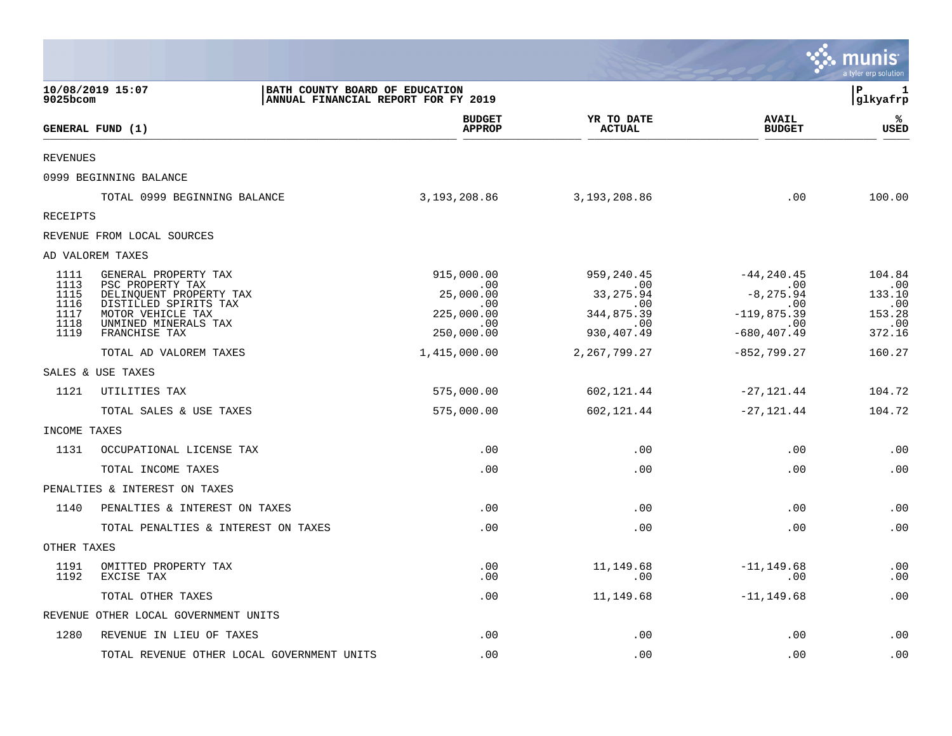|                 |                                                  |                                                                       |                             |                               | munis<br>a tyler erp solution |
|-----------------|--------------------------------------------------|-----------------------------------------------------------------------|-----------------------------|-------------------------------|-------------------------------|
| 9025bcom        | 10/08/2019 15:07                                 | BATH COUNTY BOARD OF EDUCATION<br>ANNUAL FINANCIAL REPORT FOR FY 2019 |                             |                               | ΙP<br>1<br>glkyafrp           |
|                 | GENERAL FUND (1)                                 | <b>BUDGET</b><br><b>APPROP</b>                                        | YR TO DATE<br><b>ACTUAL</b> | <b>AVAIL</b><br><b>BUDGET</b> | ℁<br>USED                     |
| <b>REVENUES</b> |                                                  |                                                                       |                             |                               |                               |
|                 | 0999 BEGINNING BALANCE                           |                                                                       |                             |                               |                               |
|                 | TOTAL 0999 BEGINNING BALANCE                     | 3, 193, 208.86                                                        | 3,193,208.86                | .00                           | 100.00                        |
| <b>RECEIPTS</b> |                                                  |                                                                       |                             |                               |                               |
|                 | REVENUE FROM LOCAL SOURCES                       |                                                                       |                             |                               |                               |
|                 | AD VALOREM TAXES                                 |                                                                       |                             |                               |                               |
| 1111<br>1113    | GENERAL PROPERTY TAX<br>PSC PROPERTY TAX         | 915,000.00<br>.00                                                     | 959, 240.45<br>.00          | $-44, 240.45$<br>$\sim$ 00    | 104.84<br>.00                 |
| 1115<br>1116    | DELINQUENT PROPERTY TAX<br>DISTILLED SPIRITS TAX | 25,000.00<br>$.00 \,$                                                 | 33,275.94<br>$.00 \,$       | $-8, 275.94$<br>.00           | 133.10<br>.00                 |
| 1117<br>1118    | MOTOR VEHICLE TAX<br>UNMINED MINERALS TAX        | 225,000.00<br>.00                                                     | 344,875.39<br>.00           | $-119,875.39$<br>.00          | 153.28<br>.00                 |
| 1119            | FRANCHISE TAX                                    | 250,000.00                                                            | 930, 407.49                 | $-680, 407.49$                | 372.16                        |
|                 | TOTAL AD VALOREM TAXES                           | 1,415,000.00                                                          | 2, 267, 799. 27             | $-852, 799.27$                | 160.27                        |
|                 | SALES & USE TAXES                                |                                                                       |                             |                               |                               |
| 1121            | UTILITIES TAX                                    | 575,000.00                                                            | 602,121.44                  | -27,121.44                    | 104.72                        |
|                 | TOTAL SALES & USE TAXES                          | 575,000.00                                                            | 602,121.44                  | $-27,121.44$                  | 104.72                        |
| INCOME TAXES    |                                                  |                                                                       |                             |                               |                               |
| 1131            | OCCUPATIONAL LICENSE TAX                         | .00                                                                   | .00                         | .00                           | .00                           |
|                 | TOTAL INCOME TAXES                               | .00                                                                   | .00                         | .00                           | .00                           |
|                 | PENALTIES & INTEREST ON TAXES                    |                                                                       |                             |                               |                               |
| 1140            | PENALTIES & INTEREST ON TAXES                    | .00                                                                   | .00                         | .00                           | .00                           |
|                 | TOTAL PENALTIES & INTEREST ON TAXES              | .00                                                                   | .00                         | .00                           | .00                           |
| OTHER TAXES     |                                                  |                                                                       |                             |                               |                               |
| 1191<br>1192    | OMITTED PROPERTY TAX<br>EXCISE TAX               | .00<br>$.00 \,$                                                       | 11,149.68<br>.00            | $-11, 149.68$<br>.00          | .00<br>.00                    |
|                 | TOTAL OTHER TAXES                                | .00                                                                   | 11,149.68                   | $-11, 149.68$                 | .00                           |
|                 | REVENUE OTHER LOCAL GOVERNMENT UNITS             |                                                                       |                             |                               |                               |
| 1280            | REVENUE IN LIEU OF TAXES                         | .00                                                                   | .00                         | .00                           | .00                           |
|                 | TOTAL REVENUE OTHER LOCAL GOVERNMENT UNITS       | .00                                                                   | .00                         | .00                           | .00                           |

 $\mathcal{L}^{\text{max}}$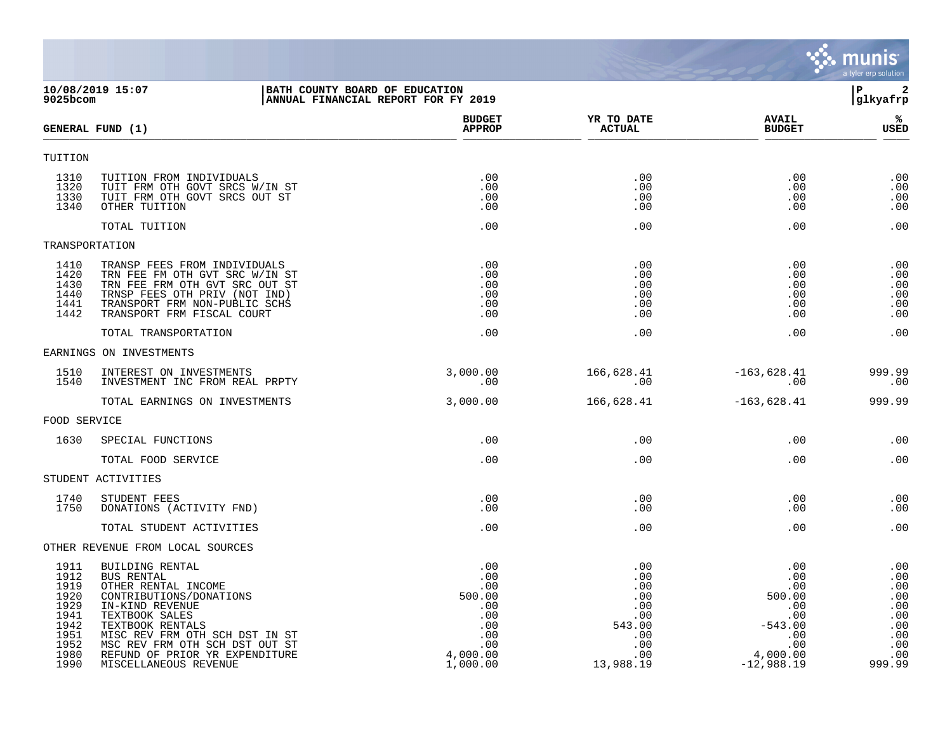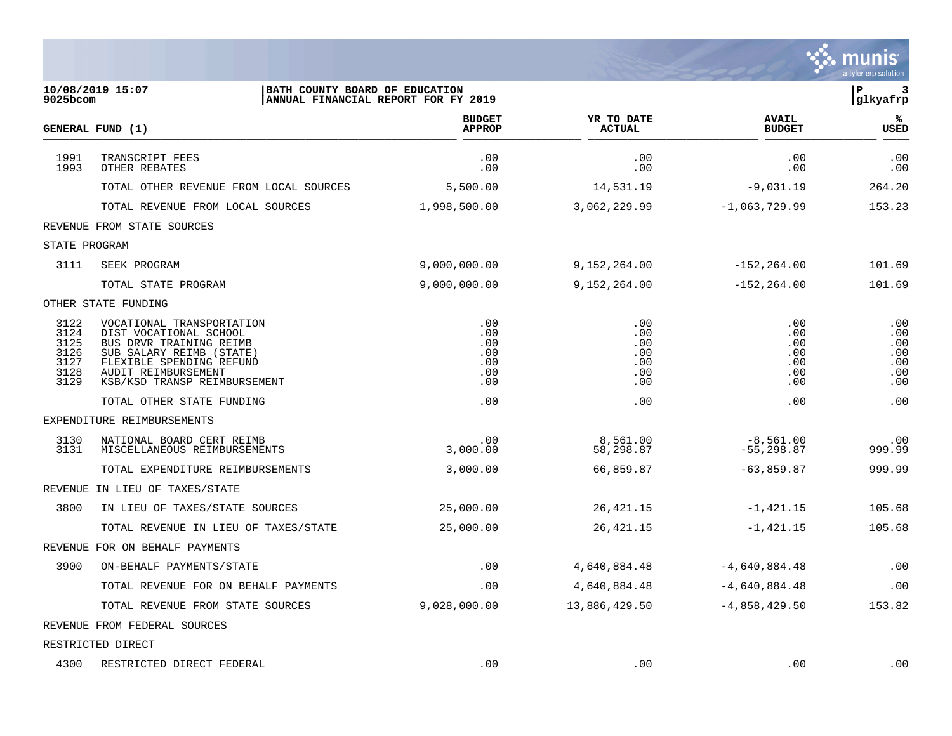|                                                      |                                                                                                                                                                                               |                                               |                                               |                                               | a tyler erp solution                          |
|------------------------------------------------------|-----------------------------------------------------------------------------------------------------------------------------------------------------------------------------------------------|-----------------------------------------------|-----------------------------------------------|-----------------------------------------------|-----------------------------------------------|
| $9025$ bcom                                          | BATH COUNTY BOARD OF EDUCATION<br>10/08/2019 15:07<br>ANNUAL FINANCIAL REPORT FOR FY 2019                                                                                                     |                                               |                                               |                                               | P<br>3<br>glkyafrp                            |
|                                                      | GENERAL FUND (1)                                                                                                                                                                              | <b>BUDGET</b><br><b>APPROP</b>                | YR TO DATE<br><b>ACTUAL</b>                   | <b>AVAIL</b><br><b>BUDGET</b>                 | ℁<br><b>USED</b>                              |
| 1991<br>1993                                         | TRANSCRIPT FEES<br>OTHER REBATES                                                                                                                                                              | .00<br>.00                                    | .00<br>.00                                    | .00<br>.00                                    | .00<br>.00                                    |
|                                                      | TOTAL OTHER REVENUE FROM LOCAL SOURCES                                                                                                                                                        | 5,500.00                                      | 14,531.19                                     | $-9,031.19$                                   | 264.20                                        |
|                                                      | TOTAL REVENUE FROM LOCAL SOURCES                                                                                                                                                              | 1,998,500.00                                  | 3,062,229.99                                  | $-1,063,729.99$                               | 153.23                                        |
|                                                      | REVENUE FROM STATE SOURCES                                                                                                                                                                    |                                               |                                               |                                               |                                               |
| STATE PROGRAM                                        |                                                                                                                                                                                               |                                               |                                               |                                               |                                               |
| 3111                                                 | SEEK PROGRAM                                                                                                                                                                                  | 9,000,000.00                                  | 9,152,264.00                                  | $-152, 264.00$                                | 101.69                                        |
|                                                      | TOTAL STATE PROGRAM                                                                                                                                                                           | 9,000,000.00                                  | 9,152,264.00                                  | $-152, 264.00$                                | 101.69                                        |
|                                                      | OTHER STATE FUNDING                                                                                                                                                                           |                                               |                                               |                                               |                                               |
| 3122<br>3124<br>3125<br>3126<br>3127<br>3128<br>3129 | VOCATIONAL TRANSPORTATION<br>DIST VOCATIONAL SCHOOL<br>BUS DRVR TRAINING REIMB<br>SUB SALARY REIMB (STATE)<br>FLEXIBLE SPENDING REFUND<br>AUDIT REIMBURSEMENT<br>KSB/KSD TRANSP REIMBURSEMENT | .00<br>.00<br>.00<br>.00<br>.00<br>.00<br>.00 | .00<br>.00<br>.00<br>.00<br>.00<br>.00<br>.00 | .00<br>.00<br>.00<br>.00<br>.00<br>.00<br>.00 | .00<br>.00<br>.00<br>.00<br>.00<br>.00<br>.00 |
|                                                      | TOTAL OTHER STATE FUNDING                                                                                                                                                                     | .00                                           | .00                                           | .00                                           | .00                                           |
|                                                      | EXPENDITURE REIMBURSEMENTS                                                                                                                                                                    |                                               |                                               |                                               |                                               |
| 3130<br>3131                                         | NATIONAL BOARD CERT REIMB<br>MISCELLANEOUS REIMBURSEMENTS                                                                                                                                     | .00<br>3,000.00                               | 8,561.00<br>58,298.87                         | $-8,561.00$<br>$-55, 298.87$                  | .00<br>999.99                                 |
|                                                      | TOTAL EXPENDITURE REIMBURSEMENTS                                                                                                                                                              | 3,000.00                                      | 66,859.87                                     | $-63,859.87$                                  | 999.99                                        |
|                                                      | REVENUE IN LIEU OF TAXES/STATE                                                                                                                                                                |                                               |                                               |                                               |                                               |
| 3800                                                 | IN LIEU OF TAXES/STATE SOURCES                                                                                                                                                                | 25,000.00                                     | 26, 421.15                                    | $-1,421.15$                                   | 105.68                                        |
|                                                      | TOTAL REVENUE IN LIEU OF TAXES/STATE                                                                                                                                                          | 25,000.00                                     | 26, 421.15                                    | $-1,421.15$                                   | 105.68                                        |
|                                                      | REVENUE FOR ON BEHALF PAYMENTS                                                                                                                                                                |                                               |                                               |                                               |                                               |
| 3900                                                 | ON-BEHALF PAYMENTS/STATE                                                                                                                                                                      | .00                                           | 4,640,884.48                                  | $-4,640,884.48$                               | .00                                           |
|                                                      | TOTAL REVENUE FOR ON BEHALF PAYMENTS                                                                                                                                                          | .00                                           | 4,640,884.48                                  | $-4,640,884.48$                               | .00                                           |
|                                                      | TOTAL REVENUE FROM STATE SOURCES                                                                                                                                                              | 9,028,000.00                                  | 13,886,429.50                                 | $-4,858,429.50$                               | 153.82                                        |
|                                                      | REVENUE FROM FEDERAL SOURCES                                                                                                                                                                  |                                               |                                               |                                               |                                               |
|                                                      | RESTRICTED DIRECT                                                                                                                                                                             |                                               |                                               |                                               |                                               |
| 4300                                                 | RESTRICTED DIRECT FEDERAL                                                                                                                                                                     | .00                                           | .00                                           | .00                                           | .00                                           |

 $\ddot{\ddot{\mathbf{w}}}$  munis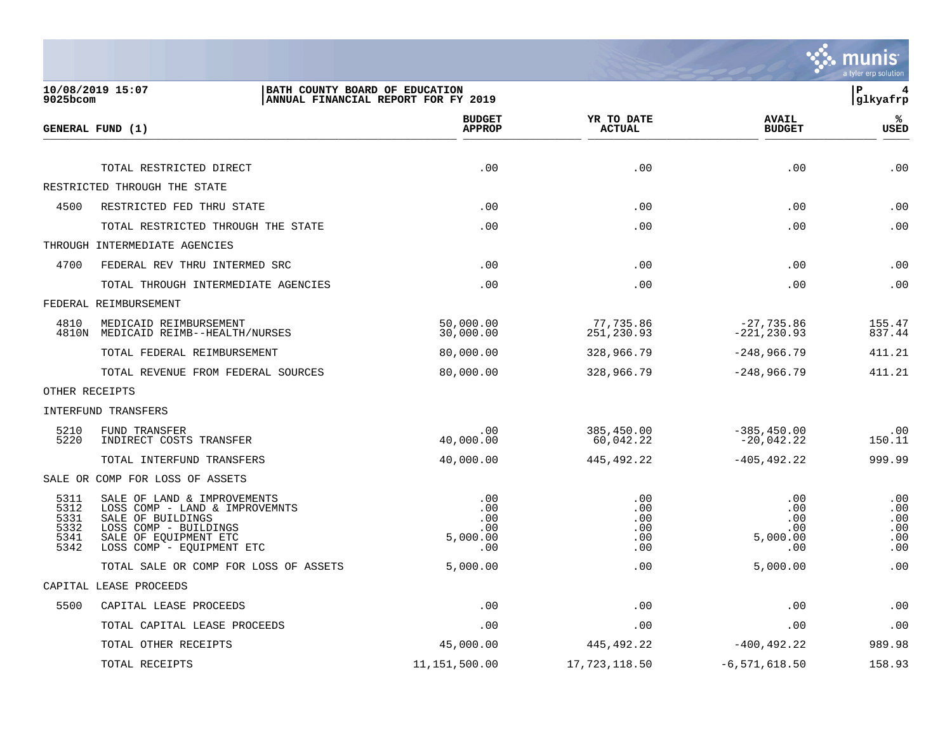

| 9025bcom                                     | 10/08/2019 15:07                                                                                                                                                  | BATH COUNTY BOARD OF EDUCATION<br>ANNUAL FINANCIAL REPORT FOR FY 2019 |                                        |                                             | ∣P<br>4<br>glkyafrp                    |
|----------------------------------------------|-------------------------------------------------------------------------------------------------------------------------------------------------------------------|-----------------------------------------------------------------------|----------------------------------------|---------------------------------------------|----------------------------------------|
|                                              | GENERAL FUND (1)                                                                                                                                                  | <b>BUDGET</b><br><b>APPROP</b>                                        | YR TO DATE<br><b>ACTUAL</b>            | <b>AVAIL</b><br><b>BUDGET</b>               | ℁<br><b>USED</b>                       |
|                                              | TOTAL RESTRICTED DIRECT                                                                                                                                           | .00                                                                   | .00                                    | .00                                         | .00                                    |
|                                              | RESTRICTED THROUGH THE STATE                                                                                                                                      |                                                                       |                                        |                                             |                                        |
| 4500                                         | RESTRICTED FED THRU STATE                                                                                                                                         | .00                                                                   | .00                                    | .00                                         | .00                                    |
|                                              | TOTAL RESTRICTED THROUGH THE STATE                                                                                                                                | .00                                                                   | .00                                    | .00                                         | .00                                    |
|                                              | THROUGH INTERMEDIATE AGENCIES                                                                                                                                     |                                                                       |                                        |                                             |                                        |
| 4700                                         | FEDERAL REV THRU INTERMED SRC                                                                                                                                     | .00                                                                   | .00                                    | .00                                         | .00                                    |
|                                              | TOTAL THROUGH INTERMEDIATE AGENCIES                                                                                                                               | .00                                                                   | .00                                    | .00                                         | .00                                    |
|                                              | FEDERAL REIMBURSEMENT                                                                                                                                             |                                                                       |                                        |                                             |                                        |
| 4810                                         | MEDICAID REIMBURSEMENT<br>4810N MEDICAID REIMB--HEALTH/NURSES                                                                                                     | 50,000.00<br>30,000.00                                                | 77,735.86<br>251,230.93                | $-27,735.86$<br>$-221, 230.93$              | 155.47<br>837.44                       |
|                                              | TOTAL FEDERAL REIMBURSEMENT                                                                                                                                       | 80,000.00                                                             | 328,966.79                             | $-248,966.79$                               | 411.21                                 |
|                                              | TOTAL REVENUE FROM FEDERAL SOURCES                                                                                                                                | 80,000.00                                                             | 328,966.79                             | $-248,966.79$                               | 411.21                                 |
| OTHER RECEIPTS                               |                                                                                                                                                                   |                                                                       |                                        |                                             |                                        |
|                                              | INTERFUND TRANSFERS                                                                                                                                               |                                                                       |                                        |                                             |                                        |
| 5210<br>5220                                 | FUND TRANSFER<br>INDIRECT COSTS TRANSFER                                                                                                                          | .00<br>40,000.00                                                      | 385,450.00<br>60,042.22                | $-385, 450.00$<br>$-20,042.22$              | .00<br>150.11                          |
|                                              | TOTAL INTERFUND TRANSFERS                                                                                                                                         | 40,000.00                                                             | 445,492.22                             | $-405, 492.22$                              | 999.99                                 |
|                                              | SALE OR COMP FOR LOSS OF ASSETS                                                                                                                                   |                                                                       |                                        |                                             |                                        |
| 5311<br>5312<br>5331<br>5332<br>5341<br>5342 | SALE OF LAND & IMPROVEMENTS<br>LOSS COMP - LAND & IMPROVEMNTS<br>SALE OF BUILDINGS<br>LOSS COMP - BUILDINGS<br>SALE OF EQUIPMENT ETC<br>LOSS COMP - EQUIPMENT ETC | .00<br>.00<br>.00<br>.00<br>5,000.00<br>.00                           | .00<br>.00<br>.00<br>.00<br>.00<br>.00 | .00<br>.00<br>.00<br>.00<br>5,000.00<br>.00 | .00<br>.00<br>.00<br>.00<br>.00<br>.00 |
|                                              | TOTAL SALE OR COMP FOR LOSS OF ASSETS                                                                                                                             | 5,000.00                                                              | .00                                    | 5,000.00                                    | .00                                    |
|                                              | CAPITAL LEASE PROCEEDS                                                                                                                                            |                                                                       |                                        |                                             |                                        |
| 5500                                         | CAPITAL LEASE PROCEEDS                                                                                                                                            | .00                                                                   | .00                                    | .00                                         | .00                                    |
|                                              | TOTAL CAPITAL LEASE PROCEEDS                                                                                                                                      | .00                                                                   | .00                                    | .00                                         | .00                                    |
|                                              | TOTAL OTHER RECEIPTS                                                                                                                                              | 45,000.00                                                             | 445,492.22                             | $-400, 492.22$                              | 989.98                                 |
|                                              | TOTAL RECEIPTS                                                                                                                                                    | 11, 151, 500.00                                                       | 17,723,118.50                          | $-6,571,618.50$                             | 158.93                                 |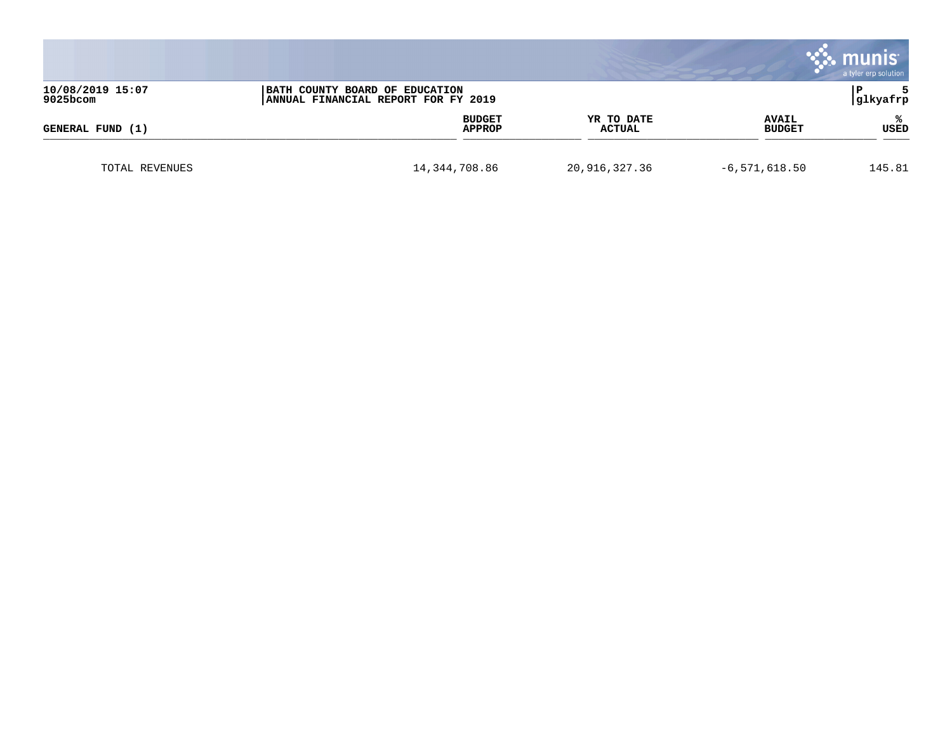|                                                                                                       |                 |                         |                      |                               | munis<br>a tyler erp solution |
|-------------------------------------------------------------------------------------------------------|-----------------|-------------------------|----------------------|-------------------------------|-------------------------------|
| 10/08/2019 15:07<br>BATH COUNTY BOARD OF EDUCATION<br>9025bcom<br>ANNUAL FINANCIAL REPORT FOR FY 2019 |                 |                         |                      | glkyafrp                      |                               |
| GENERAL FUND (1)                                                                                      |                 | <b>BUDGET</b><br>APPROP | YR TO DATE<br>ACTUAL | <b>AVAIL</b><br><b>BUDGET</b> | ℁<br>USED                     |
| TOTAL REVENUES                                                                                        | 14, 344, 708.86 |                         | 20,916,327.36        | $-6,571,618.50$               | 145.81                        |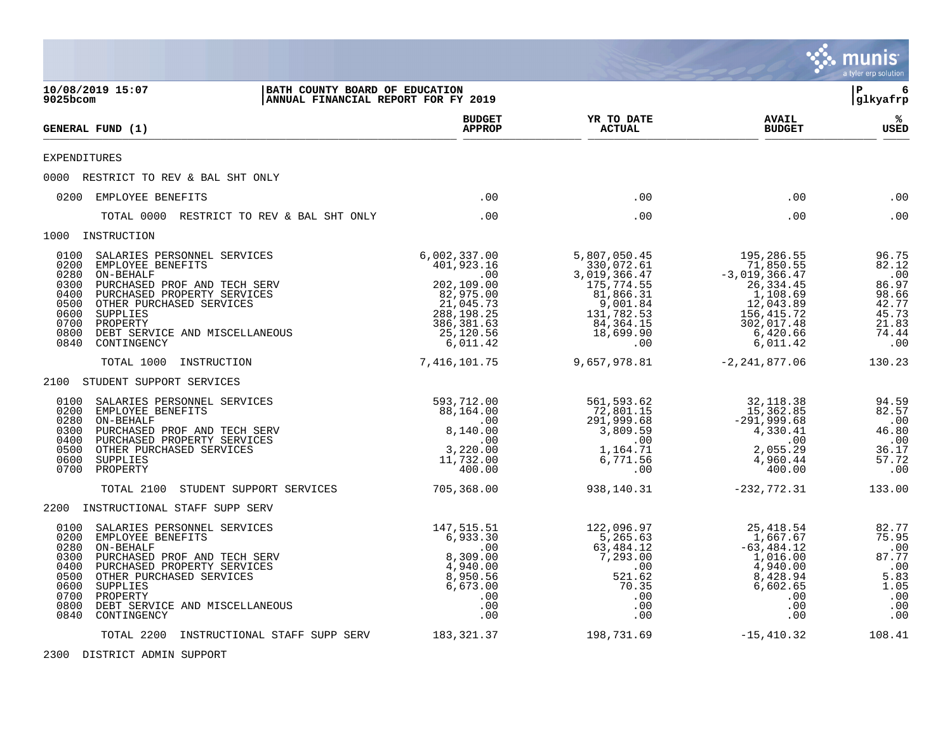|                                                                                                                                                                                                                                                                                                                          |                                                                       |                                                                                                                                  |                                                                                                                                  |                                                                                                                                      | munis<br>a tyler erp solution                                                      |
|--------------------------------------------------------------------------------------------------------------------------------------------------------------------------------------------------------------------------------------------------------------------------------------------------------------------------|-----------------------------------------------------------------------|----------------------------------------------------------------------------------------------------------------------------------|----------------------------------------------------------------------------------------------------------------------------------|--------------------------------------------------------------------------------------------------------------------------------------|------------------------------------------------------------------------------------|
| 10/08/2019 15:07<br>9025bcom                                                                                                                                                                                                                                                                                             | BATH COUNTY BOARD OF EDUCATION<br>ANNUAL FINANCIAL REPORT FOR FY 2019 |                                                                                                                                  |                                                                                                                                  |                                                                                                                                      | l P<br>6<br> glkyafrp                                                              |
| GENERAL FUND (1)                                                                                                                                                                                                                                                                                                         |                                                                       | <b>BUDGET</b><br><b>APPROP</b>                                                                                                   | YR TO DATE<br><b>ACTUAL</b>                                                                                                      | <b>AVAIL</b><br><b>BUDGET</b>                                                                                                        | ℁<br>USED                                                                          |
| <b>EXPENDITURES</b>                                                                                                                                                                                                                                                                                                      |                                                                       |                                                                                                                                  |                                                                                                                                  |                                                                                                                                      |                                                                                    |
| 0000 RESTRICT TO REV & BAL SHT ONLY                                                                                                                                                                                                                                                                                      |                                                                       |                                                                                                                                  |                                                                                                                                  |                                                                                                                                      |                                                                                    |
| 0200 EMPLOYEE BENEFITS                                                                                                                                                                                                                                                                                                   |                                                                       | .00                                                                                                                              | .00                                                                                                                              | .00                                                                                                                                  | .00                                                                                |
| TOTAL 0000 RESTRICT TO REV & BAL SHT ONLY                                                                                                                                                                                                                                                                                |                                                                       | .00                                                                                                                              | .00                                                                                                                              | .00                                                                                                                                  | .00                                                                                |
| 1000 INSTRUCTION                                                                                                                                                                                                                                                                                                         |                                                                       |                                                                                                                                  |                                                                                                                                  |                                                                                                                                      |                                                                                    |
| 0100<br>SALARIES PERSONNEL SERVICES<br>0200<br>EMPLOYEE BENEFITS<br>0280<br><b>ON-BEHALF</b><br>0300<br>PURCHASED PROF AND TECH SERV<br>0400<br>PURCHASED PROPERTY SERVICES<br>0500<br>OTHER PURCHASED SERVICES<br>0600<br>SUPPLIES<br>0700<br>PROPERTY<br>0800<br>DEBT SERVICE AND MISCELLANEOUS<br>0840<br>CONTINGENCY |                                                                       | 6,002,337.00<br>401,923.16<br>.00<br>202,109.00<br>82,975.00<br>21,045.73<br>288, 198. 25<br>386,381.63<br>25,120.56<br>6,011.42 | 5,807,050.45<br>330,072.61<br>3,019,366.47<br>175,774.55<br>81,866.31<br>9,001.84<br>131,782.53<br>84,364.15<br>18,699.90<br>.00 | 195,286.55<br>71,850.55<br>$-3,019,366.47$<br>26,334.45<br>1,108.69<br>12,043.89<br>156,415.72<br>302,017.48<br>6,420.66<br>6,011.42 | 96.75<br>82.12<br>.00<br>86.97<br>98.66<br>42.77<br>45.73<br>21.83<br>74.44<br>.00 |
| TOTAL 1000<br>INSTRUCTION                                                                                                                                                                                                                                                                                                |                                                                       | 7,416,101.75                                                                                                                     | 9,657,978.81                                                                                                                     | $-2, 241, 877.06$                                                                                                                    | 130.23                                                                             |
| 2100 STUDENT SUPPORT SERVICES                                                                                                                                                                                                                                                                                            |                                                                       |                                                                                                                                  |                                                                                                                                  |                                                                                                                                      |                                                                                    |
| 0100<br>SALARIES PERSONNEL SERVICES<br>0200<br>EMPLOYEE BENEFITS<br>0280<br><b>ON-BEHALF</b><br>0300<br>PURCHASED PROF AND TECH SERV<br>0400<br>PURCHASED PROPERTY SERVICES<br>0500<br>OTHER PURCHASED SERVICES<br>0600<br>SUPPLIES<br>0700<br>PROPERTY                                                                  |                                                                       | 593,712.00<br>88,164.00<br>.00<br>8,140.00<br>.00<br>3,220.00<br>11,732.00<br>400.00                                             | 561,593.62<br>72,801.15<br>291,999.68<br>3,809.59<br>.00<br>1,164.71<br>6,771.56<br>.00                                          | 32,118.38<br>15, 362.85<br>$-291,999.68$<br>4,330.41<br>.00<br>2,055.29<br>4,960.44<br>400.00                                        | 94.59<br>82.57<br>.00<br>46.80<br>.00<br>36.17<br>57.72<br>.00                     |
| TOTAL 2100<br>STUDENT SUPPORT SERVICES                                                                                                                                                                                                                                                                                   |                                                                       | 705,368.00                                                                                                                       | 938,140.31                                                                                                                       | $-232,772.31$                                                                                                                        | 133.00                                                                             |
| 2200 INSTRUCTIONAL STAFF SUPP SERV                                                                                                                                                                                                                                                                                       |                                                                       |                                                                                                                                  |                                                                                                                                  |                                                                                                                                      |                                                                                    |
| 0100<br>SALARIES PERSONNEL SERVICES<br>0200<br>EMPLOYEE BENEFITS<br>0280<br>ON-BEHALF<br>0300<br>PURCHASED PROF AND TECH SERV<br>0400<br>PURCHASED PROPERTY SERVICES<br>0500<br>OTHER PURCHASED SERVICES<br>0600<br>SUPPLIES<br>0700<br>PROPERTY<br>0800<br>DEBT SERVICE AND MISCELLANEOUS<br>0840<br>CONTINGENCY        |                                                                       | 147,515.51<br>6,933.30<br>.00<br>8,309.00<br>4,940.00<br>8,950.56<br>6,673.00<br>.00<br>.00<br>.00                               | 122,096.97<br>5,265.63<br>63,484.12<br>7,293.00<br>.00<br>521.62<br>70.35<br>.00<br>.00<br>.00                                   | 25,418.54<br>1,667.67<br>$-63, 484.12$<br>1,016.00<br>4,940.00<br>8,428.94<br>6,602.65<br>.00<br>.00<br>.00                          | 82.77<br>75.95<br>87.77<br>.00<br>5.83<br>1.05<br>.00<br>.00<br>.00                |
| TOTAL 2200                                                                                                                                                                                                                                                                                                               | INSTRUCTIONAL STAFF SUPP SERV                                         | 183,321.37                                                                                                                       | 198,731.69                                                                                                                       | $-15,410.32$                                                                                                                         | 108.41                                                                             |

2300 DISTRICT ADMIN SUPPORT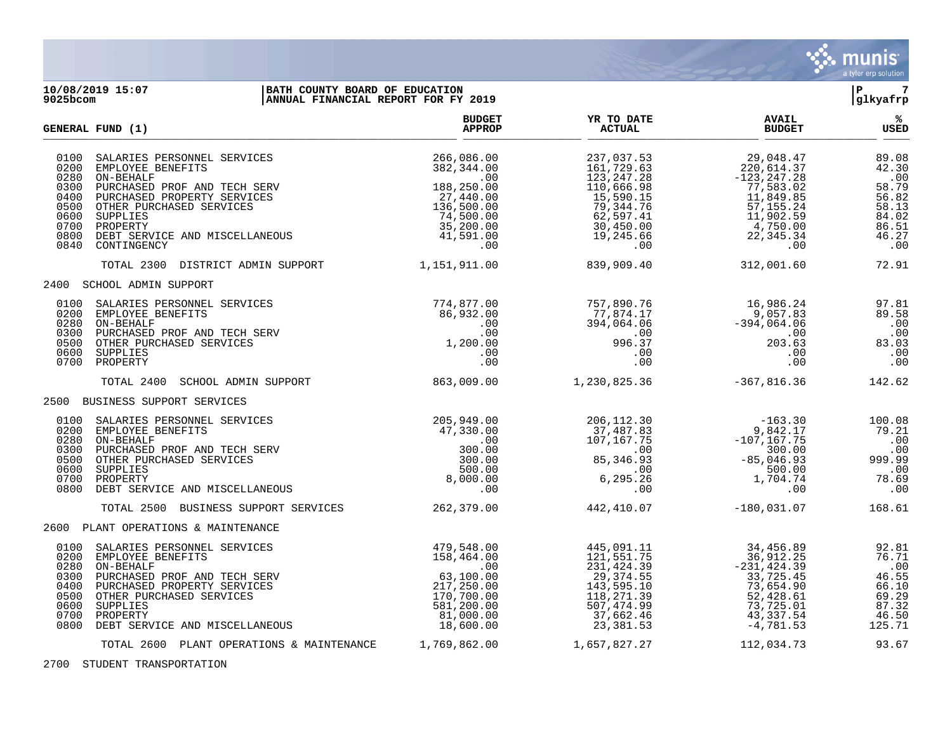

## **10/08/2019 15:07 |BATH COUNTY BOARD OF EDUCATION |P 7 9025bcom |ANNUAL FINANCIAL REPORT FOR FY 2019 |glkyafrp**

| GENERAL FUND (1)                                                                                                                                                                                                                                                                                                  | <b>BUDGET</b><br><b>APPROP</b>                                                                                                              | YR TO DATE<br><b>ACTUAL</b>                                                                                                  | <b>AVAIL</b><br><b>BUDGET</b>                                                                                                 | ℁<br>USED                                                                                 |
|-------------------------------------------------------------------------------------------------------------------------------------------------------------------------------------------------------------------------------------------------------------------------------------------------------------------|---------------------------------------------------------------------------------------------------------------------------------------------|------------------------------------------------------------------------------------------------------------------------------|-------------------------------------------------------------------------------------------------------------------------------|-------------------------------------------------------------------------------------------|
| 0100<br>SALARIES PERSONNEL SERVICES<br>0200<br>EMPLOYEE BENEFITS<br>ON-BEHALF<br>0280<br>PURCHASED PROF AND TECH SERV<br>0300<br>0400<br>PURCHASED PROPERTY SERVICES<br>0500<br>OTHER PURCHASED SERVICES<br>0600<br>SUPPLIES<br>0700<br>PROPERTY<br>0800<br>DEBT SERVICE AND MISCELLANEOUS<br>0840<br>CONTINGENCY | 266,086.00<br>382,344.00<br>$\ldots$<br>188,250.00<br>27,440.00<br>136,500.00<br>74,500.00<br>35,200.00<br>41,591.00<br>.00                 | 237,037.53<br>161,729.63<br>123,247.28<br>110,666.98<br>15,590.15<br>79,344.76<br>62,597.41<br>30,450.00<br>19,245.66<br>.00 | 29,048.47<br>220,614.37<br>$-123, 247.28$<br>77,583.02<br>11,849.85<br>57,155.24<br>11,902.59<br>4,750.00<br>22,345.34<br>.00 | 89.08<br>42.30<br>.00<br>58.79<br>56.82<br>$\frac{58.13}{84.02}$<br>86.51<br>46.27<br>.00 |
| TOTAL 2300 DISTRICT ADMIN SUPPORT                                                                                                                                                                                                                                                                                 | 1,151,911.00                                                                                                                                | 839,909.40                                                                                                                   | 312,001.60                                                                                                                    | 72.91                                                                                     |
| 2400 SCHOOL ADMIN SUPPORT                                                                                                                                                                                                                                                                                         |                                                                                                                                             |                                                                                                                              |                                                                                                                               |                                                                                           |
| 0100<br>SALARIES PERSONNEL SERVICES<br>0200<br>EMPLOYEE BENEFITS<br>0280<br>ON-BEHALF<br>0300<br>PURCHASED PROF AND TECH SERV<br>0500<br>OTHER PURCHASED SERVICES<br>0600<br>SUPPLIES<br>0700<br>PROPERTY                                                                                                         | 774,877.00<br>86,932.00<br>.00<br>$.00\,$<br>1,200.00<br>$.00 \,$<br>.00                                                                    | 757,890.76<br>77,874.17<br>394,064.06<br>.00<br>996.37<br>.00<br>.00                                                         | 16,986.24<br>9,057.83<br>$-394,064.06$<br>.00<br>203.63<br>.00<br>.00                                                         | 97.81<br>89.58<br>.00<br>.00<br>83.03<br>.00<br>.00                                       |
| TOTAL 2400<br>SCHOOL ADMIN SUPPORT                                                                                                                                                                                                                                                                                | 863,009.00                                                                                                                                  | 1,230,825.36                                                                                                                 | $-367,816.36$                                                                                                                 | 142.62                                                                                    |
| 2500 BUSINESS SUPPORT SERVICES                                                                                                                                                                                                                                                                                    |                                                                                                                                             |                                                                                                                              |                                                                                                                               |                                                                                           |
| 0100<br>SALARIES PERSONNEL SERVICES<br>0200 EMPLOYEE BENEFITS<br>0280<br>ON-BEHALF<br>0300<br>PURCHASED PROF AND TECH SERV<br>0500<br>OTHER PURCHASED SERVICES<br>0600<br>SUPPLIES<br>0700<br>PROPERTY<br>0800<br>DEBT SERVICE AND MISCELLANEOUS                                                                  | 205,949.00<br>47,330.00<br>.00<br>300.00<br>300.00<br>500.00<br>8,000.00<br>.00                                                             | 206,112.30<br>37,487.83<br>107,167.75<br>$\sim 00$<br>85, 346.93<br>$\sim$ 00<br>6, 295.26<br>.00                            | $-163.30$<br>9,842.17<br>9,842.17<br>107,167.75–<br>300.00<br>$-85,046.93$<br>500.00<br>1,704.74<br>.00                       | 100.08<br>79.21<br>.00<br>00.<br>99.99<br>.00<br>78.69<br>.00                             |
| TOTAL 2500 BUSINESS SUPPORT SERVICES                                                                                                                                                                                                                                                                              | 262, 379.00                                                                                                                                 | 442,410.07                                                                                                                   | $-180,031.07$                                                                                                                 | 168.61                                                                                    |
| 2600 PLANT OPERATIONS & MAINTENANCE                                                                                                                                                                                                                                                                               |                                                                                                                                             |                                                                                                                              |                                                                                                                               |                                                                                           |
| 0100<br>SALARIES PERSONNEL SERVICES<br>0200 EMPLOYEE BENEFITS<br>0280<br>ON-BEHALF<br>0300<br>PURCHASED PROF AND TECH SERV<br>0400<br>PURCHASED PROPERTY SERVICES<br>0500<br>OTHER PURCHASED SERVICES<br>0600<br>SUPPLIES<br>0700<br>PROPERTY<br>0800<br>DEBT SERVICE AND MISCELLANEOUS                           | 479,548.00<br>158,464.00<br>.00<br>63,100.00<br>217,250.00<br>170,700.00<br>581,200.00<br>581,200.00<br>81,000.00<br>18,600.00<br>18,600.00 | 445,091.11<br>121,551.75<br>231, 424.39<br>29,374.55<br>143,595.10<br>118,271.39<br>507,474.99<br>37,662.46<br>23,381.53     | 34,456.89<br>36,912.25<br>$-231, 424.39$<br>33,725.45<br>73,654.90<br>52,428.61<br>73,725.01<br>43,337.54<br>$-4,781.53$      | 92.81<br>76.71<br>.00<br>46.55<br>66.10<br>69.29<br>87.32<br>46.50<br>125.71              |
| TOTAL 2600 PLANT OPERATIONS & MAINTENANCE                                                                                                                                                                                                                                                                         | 1,769,862.00                                                                                                                                | 1,657,827.27                                                                                                                 | 112,034.73                                                                                                                    | 93.67                                                                                     |

2700 STUDENT TRANSPORTATION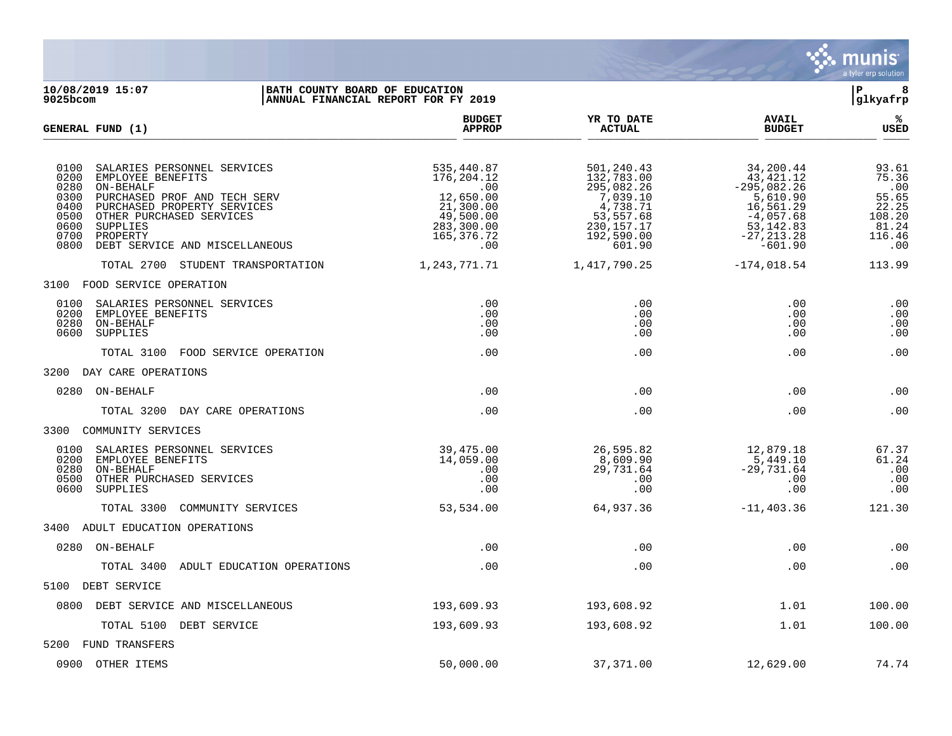

**10/08/2019 15:07 |BATH COUNTY BOARD OF EDUCATION |P 8 ANNUAL FINANCIAL REPORT FOR FY 2019 BUDGET YR TO DATE AVAIL % GENERAL FUND (1) APPROP ACTUAL BUDGET USED**  $\frac{A_{\text{H}^{\text{F}}\text{N}}}{A_{\text{H}}\text{N}}$   $\frac{A_{\text{H}}\text{N}}{A_{\text{H}}\text{N}}$   $\frac{A_{\text{H}}\text{N}}{A_{\text{H}}\text{N}}$   $\frac{A_{\text{H}}\text{N}}{A_{\text{H}}\text{N}}$   $\frac{B_{\text{H}}\text{N}}{B_{\text{H}}\text{N}}$ 0100 SALARIES PERSONNEL SERVICES 61 (1993) 535,440.87 501,240.43 51,240.43 54,200.44 93.61 501,240.43 34,200.44 535,440.87 5.36 0200 EMPLOYEE BENEFITS 176,204.12 132,783.00 43,421.12 75.36 0280 ON-BEHALF .00 295,082.26 -295,082.26 .00 0300 PURCHASED PROF AND TECH SERV 12,650.00  $12,650.00$ <br>0400 PURCHASED PROPERTY SERVICES 21,300.00  $4,738.71$  16,561.29 16,561.29 22.25 0400 PURCHASED PROPERTY SERVICES 21,300.00 4,738.71 16,561.29 22.25<br>0500 OTHER PURCHASED SERVICES 49,500.00 53,557.68 -4,057.68 108.20 0500 OTHER PURCHASED SERVICES (108.20 = 19,500.00 = 53,557.68 = 108.20 = 4,057.68 = 108.20 = 108.20 = 108.20 =<br>283,300.00 = 230,157.17 = 53,142.83 = 53,142.83 = 81.24 0600 SUPPLIES 283,300.00 230,157.17 53,142.83 81.24  $\frac{165}{376}$ .7200 PROPERTY 116.46 AND MISCELLANEOUS 165,376.72 192,590.00 -27,213.28 116.46<br>00 0.00 -601.90 -601.90 0800 DEBT SERVICE AND MISCELLANEOUS TOTAL 2700 STUDENT TRANSPORTATION 1,243,771.71 1,417,790.25 -174,018.54 113.99 3100 FOOD SERVICE OPERATION 0100 SALARIES PERSONNEL SERVICES .00 .00 .00 .00 0200 EMPLOYEE BENEFITS .00 .00 .00 .00 0280 ON-BEHALF .00 .00 .00 .00 0600 SUPPLIES .00 .00 .00 .00 TOTAL 3100 FOOD SERVICE OPERATION .00 .00 .00 .00 3200 DAY CARE OPERATIONS 0280 ON-BEHALF .00 .00 .00 .00 TOTAL 3200 DAY CARE OPERATIONS .00 .00 .00 .00 3300 COMMUNITY SERVICES 0100 SALARIES PERSONNEL SERVICES (39,475.00 26,595.82 12,879.18 67.37 16.0200 EMPLOYEE BENEFITS (39,475.00 200 0200 EMPLOYEE BENEFITS 14,059.00 8,609.90 5,449.10 61.24 0280 ON-BEHALF .00 29,731.64 -29,731.64 .00 0500 OTHER PURCHASED SERVICES .00 .00 .00 .00 0600 SUPPLIES .00 .00 .00 .00 TOTAL 3300 COMMUNITY SERVICES 53,534.00 64,937.36 -11,403.36 121.30 3400 ADULT EDUCATION OPERATIONS 0280 ON-BEHALF .00 .00 .00 .00 TOTAL 3400 ADULT EDUCATION OPERATIONS .00 .00 .00 .00 5100 DEBT SERVICE 0800 DEBT SERVICE AND MISCELLANEOUS 193,609.93 193,608.92 1.01 100.00 TOTAL 5100 DEBT SERVICE 100.00 193,609.93 193,608.92 193,608.92 1.01 100.00 5200 FUND TRANSFERS

0900 OTHER ITEMS 50,000.00 37,371.00 12,629.00 74.74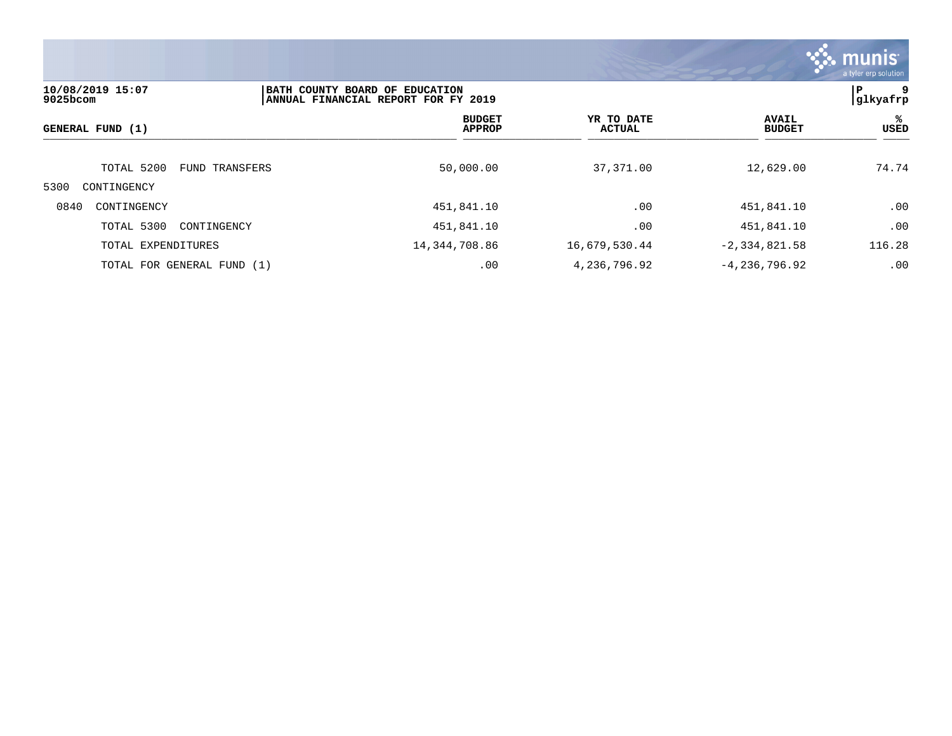

| 10/08/2019 15:07<br>$9025$ bcom |                | BATH COUNTY BOARD OF EDUCATION<br>ANNUAL FINANCIAL REPORT FOR FY 2019 |                             |                               |            |  |
|---------------------------------|----------------|-----------------------------------------------------------------------|-----------------------------|-------------------------------|------------|--|
| GENERAL FUND (1)                |                | <b>BUDGET</b><br><b>APPROP</b>                                        | YR TO DATE<br><b>ACTUAL</b> | <b>AVAIL</b><br><b>BUDGET</b> | %ะ<br>USED |  |
| TOTAL 5200                      | FUND TRANSFERS | 50,000.00                                                             | 37,371.00                   | 12,629.00                     | 74.74      |  |
| 5300<br>CONTINGENCY             |                |                                                                       |                             |                               |            |  |
| 0840<br>CONTINGENCY             |                | 451,841.10                                                            | .00                         | 451,841.10                    | .00        |  |
| TOTAL 5300<br>CONTINGENCY       |                | 451,841.10                                                            | .00                         | 451,841.10                    | .00        |  |
| TOTAL EXPENDITURES              |                | 14, 344, 708.86                                                       | 16,679,530.44               | $-2, 334, 821.58$             | 116.28     |  |
| TOTAL FOR GENERAL FUND (1)      |                | .00                                                                   | 4,236,796.92                | $-4,236,796.92$               | .00        |  |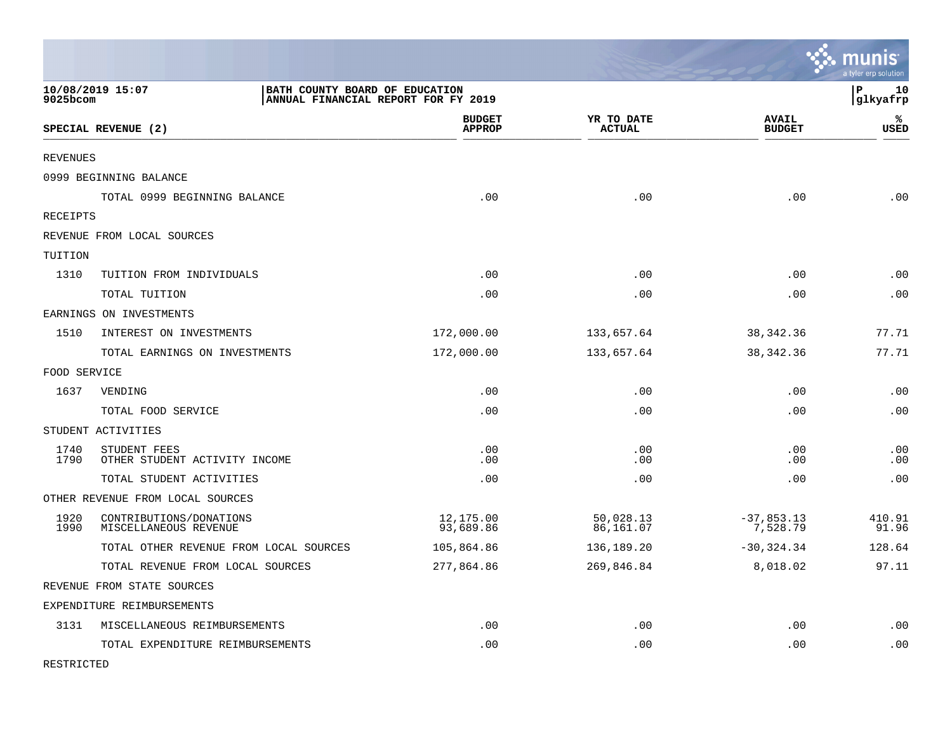|              |                                                                                           |                                |                             |                               | munis<br>a tyler erp solution |
|--------------|-------------------------------------------------------------------------------------------|--------------------------------|-----------------------------|-------------------------------|-------------------------------|
| 9025bcom     | 10/08/2019 15:07<br>BATH COUNTY BOARD OF EDUCATION<br>ANNUAL FINANCIAL REPORT FOR FY 2019 |                                |                             |                               | lР<br>10<br> glkyafrp         |
|              | SPECIAL REVENUE (2)                                                                       | <b>BUDGET</b><br><b>APPROP</b> | YR TO DATE<br><b>ACTUAL</b> | <b>AVAIL</b><br><b>BUDGET</b> | ℁<br>USED                     |
| REVENUES     |                                                                                           |                                |                             |                               |                               |
|              | 0999 BEGINNING BALANCE                                                                    |                                |                             |                               |                               |
|              | TOTAL 0999 BEGINNING BALANCE                                                              | .00                            | .00                         | .00                           | .00                           |
| RECEIPTS     |                                                                                           |                                |                             |                               |                               |
|              | REVENUE FROM LOCAL SOURCES                                                                |                                |                             |                               |                               |
| TUITION      |                                                                                           |                                |                             |                               |                               |
| 1310         | TUITION FROM INDIVIDUALS                                                                  | .00                            | .00                         | .00                           | .00                           |
|              | TOTAL TUITION                                                                             | .00                            | .00                         | .00                           | .00                           |
|              | EARNINGS ON INVESTMENTS                                                                   |                                |                             |                               |                               |
| 1510         | INTEREST ON INVESTMENTS                                                                   | 172,000.00                     | 133,657.64                  | 38, 342. 36                   | 77.71                         |
|              | TOTAL EARNINGS ON INVESTMENTS                                                             | 172,000.00                     | 133,657.64                  | 38, 342. 36                   | 77.71                         |
| FOOD SERVICE |                                                                                           |                                |                             |                               |                               |
| 1637         | VENDING                                                                                   | .00                            | .00                         | .00                           | .00                           |
|              | TOTAL FOOD SERVICE                                                                        | .00                            | .00                         | .00                           | .00                           |
|              | STUDENT ACTIVITIES                                                                        |                                |                             |                               |                               |
| 1740<br>1790 | STUDENT FEES<br>OTHER STUDENT ACTIVITY INCOME                                             | .00<br>.00                     | .00<br>.00                  | .00<br>.00                    | .00<br>.00                    |
|              | TOTAL STUDENT ACTIVITIES                                                                  | .00                            | .00                         | .00                           | .00                           |
|              | OTHER REVENUE FROM LOCAL SOURCES                                                          |                                |                             |                               |                               |
| 1920<br>1990 | CONTRIBUTIONS/DONATIONS<br>MISCELLANEOUS REVENUE                                          | 12,175.00<br>93,689.86         | 50,028.13<br>86,161.07      | $-37,853.13$<br>7,528.79      | 410.91<br>91.96               |
|              | TOTAL OTHER REVENUE FROM LOCAL SOURCES                                                    | 105,864.86                     | 136,189.20                  | $-30, 324.34$                 | 128.64                        |
|              | TOTAL REVENUE FROM LOCAL SOURCES                                                          | 277,864.86                     | 269,846.84                  | 8,018.02                      | 97.11                         |
|              | REVENUE FROM STATE SOURCES                                                                |                                |                             |                               |                               |
|              | EXPENDITURE REIMBURSEMENTS                                                                |                                |                             |                               |                               |
| 3131         | MISCELLANEOUS REIMBURSEMENTS                                                              | .00                            | .00                         | .00                           | .00                           |
|              | TOTAL EXPENDITURE REIMBURSEMENTS                                                          | .00                            | .00                         | .00                           | .00                           |

RESTRICTED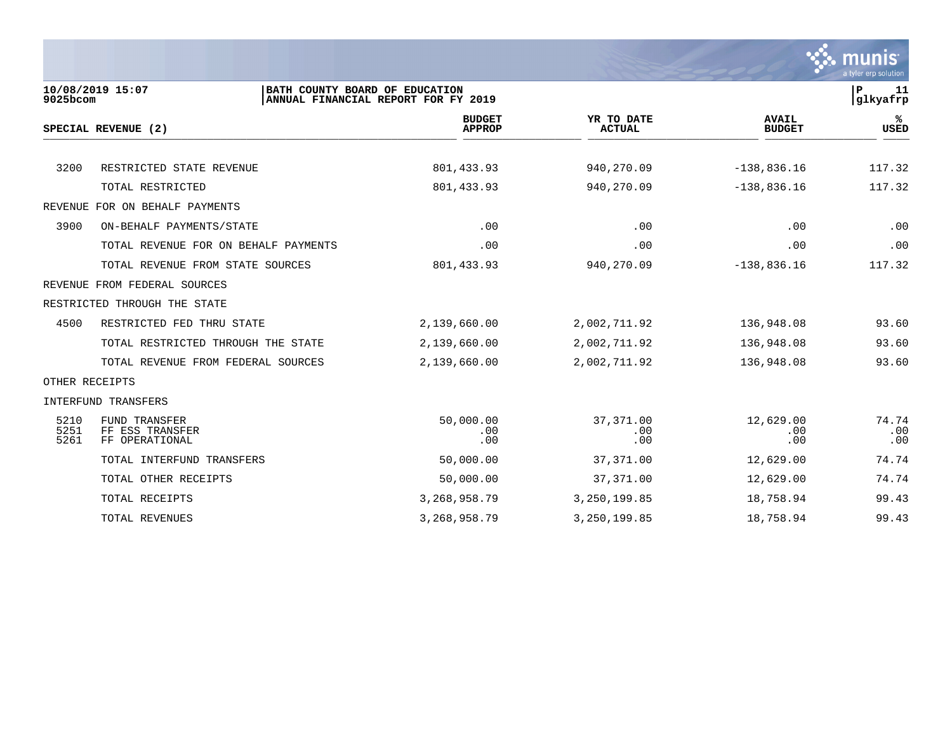

| 9025bcom             | 10/08/2019 15:07<br>BATH COUNTY BOARD OF EDUCATION        | ANNUAL FINANCIAL REPORT FOR FY 2019 |                             |                               | ∣P<br>11<br>glkyafrp |
|----------------------|-----------------------------------------------------------|-------------------------------------|-----------------------------|-------------------------------|----------------------|
|                      | SPECIAL REVENUE (2)                                       | <b>BUDGET</b><br><b>APPROP</b>      | YR TO DATE<br><b>ACTUAL</b> | <b>AVAIL</b><br><b>BUDGET</b> | %<br><b>USED</b>     |
|                      |                                                           |                                     |                             |                               |                      |
| 3200                 | RESTRICTED STATE REVENUE                                  | 801, 433.93                         | 940,270.09                  | $-138,836.16$                 | 117.32               |
|                      | TOTAL RESTRICTED                                          | 801, 433.93                         | 940,270.09                  | $-138,836.16$                 | 117.32               |
|                      | REVENUE FOR ON BEHALF PAYMENTS                            |                                     |                             |                               |                      |
| 3900                 | ON-BEHALF PAYMENTS/STATE                                  | .00                                 | .00                         | .00                           | .00                  |
|                      | TOTAL REVENUE FOR ON BEHALF PAYMENTS                      | .00                                 | .00                         | .00                           | .00                  |
|                      | TOTAL REVENUE FROM STATE SOURCES                          | 801, 433.93                         | 940,270.09                  | $-138,836.16$                 | 117.32               |
|                      | REVENUE FROM FEDERAL SOURCES                              |                                     |                             |                               |                      |
|                      | RESTRICTED THROUGH THE STATE                              |                                     |                             |                               |                      |
| 4500                 | RESTRICTED FED THRU STATE                                 | 2,139,660.00                        | 2,002,711.92                | 136,948.08                    | 93.60                |
|                      | TOTAL RESTRICTED THROUGH THE STATE                        | 2,139,660.00                        | 2,002,711.92                | 136,948.08                    | 93.60                |
|                      | TOTAL REVENUE FROM FEDERAL SOURCES                        | 2,139,660.00                        | 2,002,711.92                | 136,948.08                    | 93.60                |
| OTHER RECEIPTS       |                                                           |                                     |                             |                               |                      |
|                      | INTERFUND TRANSFERS                                       |                                     |                             |                               |                      |
| 5210<br>5251<br>5261 | <b>FUND TRANSFER</b><br>FF ESS TRANSFER<br>FF OPERATIONAL | 50,000.00<br>.00<br>.00             | 37,371.00<br>.00<br>.00     | 12,629.00<br>.00<br>.00       | 74.74<br>.00<br>.00  |
|                      | TOTAL INTERFUND TRANSFERS                                 | 50,000.00                           | 37, 371.00                  | 12,629.00                     | 74.74                |
|                      | TOTAL OTHER RECEIPTS                                      | 50,000.00                           | 37, 371.00                  | 12,629.00                     | 74.74                |
|                      | TOTAL RECEIPTS                                            | 3, 268, 958. 79                     | 3,250,199.85                | 18,758.94                     | 99.43                |
|                      | TOTAL REVENUES                                            | 3, 268, 958. 79                     | 3,250,199.85                | 18,758.94                     | 99.43                |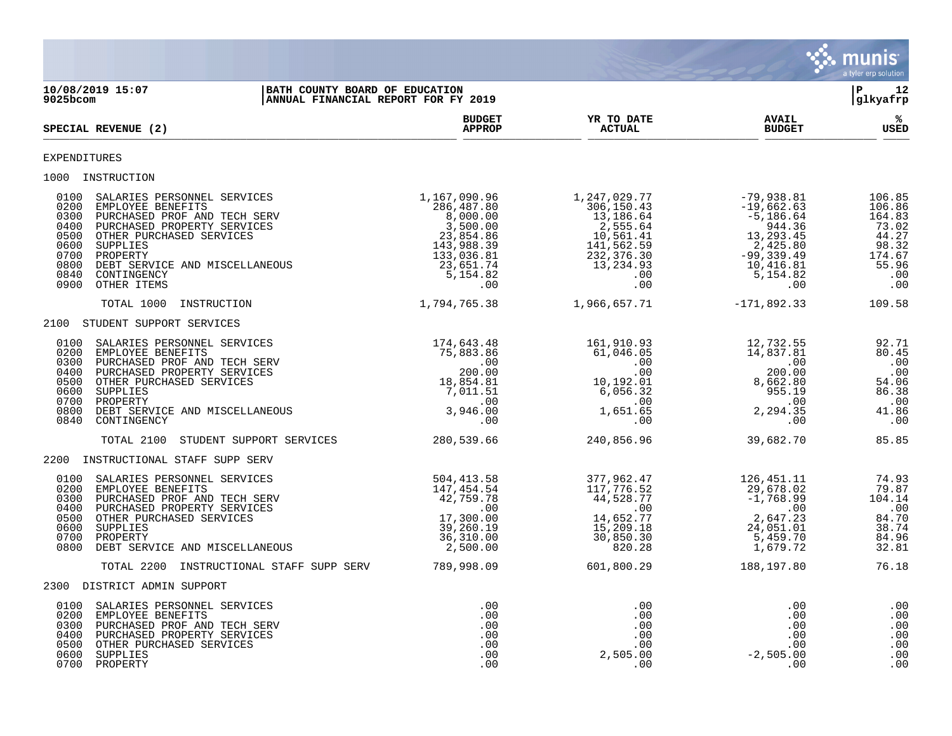

**10/08/2019 15:07 |BATH COUNTY BOARD OF EDUCATION |P 12 ANNUAL FINANCIAL REPORT FOR FY 2019 BUDGET YR TO DATE AVAIL %**  $SPECTAL REVIEW (2)$  $\frac{\text{AFR} + \text{R}}{\text{AFR}}$ EXPENDITURES 1000 INSTRUCTION<br>0100 SALARIES PERSONNEL SERVICES<br>0200 EMPLOYEE BENEFITS<br>0300 PURCHASED PROF AND TECH SERV<br>0400 PURCHASED PROPERTY SERVICES<br>0500 OTHER PURCHASED SERVICES 0100 SALARIES PERSONNEL SERVICES 1,167,090.96 1,247,029.77 -79,938.81 106.85 0200 EMPLOYEE BENEFITS 286,487.80 306,150.43 -19,662.63 106.86 0300 PURCHASED PROF AND TECH SERV 8,000.00 8,000.00 13,186.64 -5,186.64 -5,186.64 164.83 0400 PURCHASED PROPERTY SERVICES 3,500.00 2,555.64 944.36 73.02 0500 OTHER PURCHASED SERVICES 23,854.86 10,561.41 13,293.45 44.27 0600 SUPPLIES 143,988.39 141,562.59 2,425.80 98.32 0700 PROPERTY 133,036.81 232,376.30 -99,339.49 174.67 0800 DEBT SERVICE AND MISCELLANEOUS 123,651.74 13,234.93 10,416.81 55.96 0840 CONTINGENCY 5,154.82 .00 5,154.82 .00 0900 OTHER ITEMS .00 .00 .00 .00 TOTAL 1000 INSTRUCTION 1,794,765.38 1,966,657.71 -171,892.33 109.58 2100 STUDENT SUPPORT SERVICES 0100 SALARIES PERSONNEL SERVICES 174,643.48 161,910.93 12,732.55 92.71 0200 EMPLOYEE BENEFITS 75,883.86 61,046.05 14,837.81 80.45 0300 PURCHASED PROF AND TECH SERV .00 .00 .00 .00 0400 PURCHASED PROPERTY SERVICES 200.00 .00 200.00 .00 0500 OTHER PURCHASED SERVICES 64.06 (18,854.81 10,192.01 8,662.80 54.06 0600 SUPPLIES 7,011.51 6,056.32 955.19 86.38 0700 PROPERTY .00 .00 .00 .00 0800 DEBT SERVICE AND MISCELLANEOUS 3,946.00 1,651.65 2,294.35 41.86 0840 CONTINGENCY .00 .00 .00 .00 TOTAL 2100 STUDENT SUPPORT SERVICES 280,539.66 240,856.96 39,682.70 85.85 2200 INSTRUCTIONAL STAFF SUPP SERV 0100 SALARIES PERSONNEL SERVICES 604,413.58 504,413.58 377,962.47 126,451.11 74.93 0200 EMPLOYEE BENEFITS 147,454.54 117,776.52 29,678.02 79.87 0300 PURCHASED PROF AND TECH SERV 42,759.78 44,528.77 -1,768.99 104.14 0400 PURCHASED PROPERTY SERVICES .00 .00 .00 .00 0500 OTHER PURCHASED SERVICES 17,300.00 14,652.77 2,647.23 84.70 0600 SUPPLIES 39,260.19 15,209.18 24,051.01 38.74 0700 PROPERTY 36,310.00 30,850.30 5,459.70 84.96 0800 DEBT SERVICE AND MISCELLANEOUS 2,500.00 820.28 1,679.72 32.81 TOTAL 2200 INSTRUCTIONAL STAFF SUPP SERV 789,998.09 601,800.29 188,197.80 76.18 2300 DISTRICT ADMIN SUPPORT 0100 SALARIES PERSONNEL SERVICES .00 .00 .00 .00 0200 EMPLOYEE BENEFITS .00 .00 .00 .00 0300 PURCHASED PROF AND TECH SERV .00 .00 .00 .00 0400 PURCHASED PROPERTY SERVICES .00 .00 .00 .00 0500 OTHER PURCHASED SERVICES .00 .00 .00 .00 0600 SUPPLIES .00 2,505.00 -2,505.00 .00 0700 PROPERTY .00 .00 .00 .00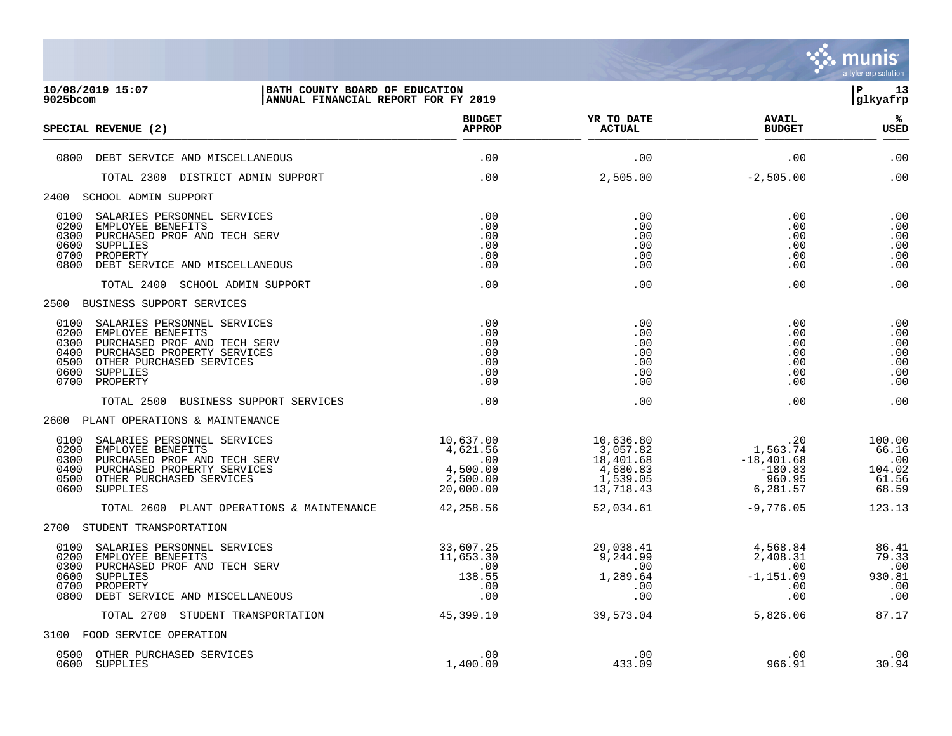

| 9025bcom                                     | 10/08/2019 15:07<br>BATH COUNTY BOARD OF EDUCATION<br>ANNUAL FINANCIAL REPORT FOR FY 2019                                                                                |                                                                   |                                                                         |                                                                             | l P-<br>13<br> glkyafrp                            |
|----------------------------------------------|--------------------------------------------------------------------------------------------------------------------------------------------------------------------------|-------------------------------------------------------------------|-------------------------------------------------------------------------|-----------------------------------------------------------------------------|----------------------------------------------------|
|                                              | SPECIAL REVENUE (2)                                                                                                                                                      | <b>BUDGET</b><br><b>APPROP</b>                                    | YR TO DATE<br><b>ACTUAL</b>                                             | <b>AVAIL</b><br><b>BUDGET</b>                                               | %ร<br><b>USED</b>                                  |
|                                              | 0800 DEBT SERVICE AND MISCELLANEOUS                                                                                                                                      | .00                                                               | .00                                                                     | .00                                                                         | .00                                                |
|                                              | TOTAL 2300 DISTRICT ADMIN SUPPORT                                                                                                                                        | .00                                                               | 2,505.00                                                                | $-2,505.00$                                                                 | .00                                                |
|                                              | 2400 SCHOOL ADMIN SUPPORT                                                                                                                                                |                                                                   |                                                                         |                                                                             |                                                    |
| 0100<br>0200<br>0300<br>0600<br>0700<br>0800 | SALARIES PERSONNEL SERVICES<br>EMPLOYEE BENEFITS<br>PURCHASED PROF AND TECH SERV<br>SUPPLIES<br>PROPERTY<br>DEBT SERVICE AND MISCELLANEOUS                               | .00<br>.00<br>.00<br>.00<br>.00<br>.00                            | .00<br>.00<br>.00<br>.00<br>.00<br>.00                                  | .00<br>.00<br>.00<br>.00<br>.00<br>.00                                      | .00<br>.00<br>.00<br>.00<br>.00<br>.00             |
|                                              | TOTAL 2400 SCHOOL ADMIN SUPPORT                                                                                                                                          | .00                                                               | .00                                                                     | .00                                                                         | .00                                                |
|                                              | 2500 BUSINESS SUPPORT SERVICES                                                                                                                                           |                                                                   |                                                                         |                                                                             |                                                    |
| 0200<br>0300<br>0400<br>0500<br>0600<br>0700 | 0100 SALARIES PERSONNEL SERVICES<br>EMPLOYEE BENEFITS<br>PURCHASED PROF AND TECH SERV<br>PURCHASED PROPERTY SERVICES<br>OTHER PURCHASED SERVICES<br>SUPPLIES<br>PROPERTY | .00<br>.00<br>.00<br>.00<br>.00<br>.00<br>.00                     | .00<br>.00<br>.00<br>.00<br>.00<br>.00<br>.00                           | .00<br>.00<br>.00<br>.00<br>.00<br>.00<br>.00                               | .00<br>.00<br>.00<br>.00<br>.00<br>.00<br>.00      |
|                                              | TOTAL 2500 BUSINESS SUPPORT SERVICES                                                                                                                                     | .00                                                               | .00                                                                     | .00                                                                         | .00                                                |
|                                              | 2600 PLANT OPERATIONS & MAINTENANCE                                                                                                                                      |                                                                   |                                                                         |                                                                             |                                                    |
| 0100<br>0200<br>0300<br>0400<br>0500<br>0600 | SALARIES PERSONNEL SERVICES<br>EMPLOYEE BENEFITS<br>PURCHASED PROF AND TECH SERV<br>PURCHASED PROPERTY SERVICES<br>OTHER PURCHASED SERVICES<br>SUPPLIES                  | 10,637.00<br>4,621.56<br>.00<br>4,500.00<br>2,500.00<br>20,000.00 | 10,636.80<br>3,057.82<br>18,401.68<br>4,680.83<br>1,539.05<br>13,718.43 | $1,563.74$<br>$-101.68$<br>$-18,401.68$<br>$-180.83$<br>960.95<br>6, 281.57 | 100.00<br>66.16<br>.00<br>104.02<br>61.56<br>68.59 |
|                                              | TOTAL 2600 PLANT OPERATIONS & MAINTENANCE                                                                                                                                | 42,258.56                                                         | 52,034.61                                                               | $-9,776.05$                                                                 | 123.13                                             |
|                                              | 2700 STUDENT TRANSPORTATION                                                                                                                                              |                                                                   |                                                                         |                                                                             |                                                    |
| 0200<br>0300<br>0600<br>0700<br>0800         | 0100 SALARIES PERSONNEL SERVICES<br>EMPLOYEE BENEFITS<br>PURCHASED PROF AND TECH SERV<br>SUPPLIES<br>PROPERTY<br>DEBT SERVICE AND MISCELLANEOUS                          | 33,607.25<br>11,653.30<br>.00<br>138.55<br>.00<br>.00             | 29,038. <del>4</del> 1<br>9,244.99<br>.00<br>1,289.64<br>.00<br>.00     | 4,568.84<br>2,408.31<br>.00<br>$-1,151.09$<br>.00<br>.00                    | 86.41<br>79.33<br>.00<br>930.81<br>.00<br>.00      |
|                                              | TOTAL 2700 STUDENT TRANSPORTATION                                                                                                                                        | 45,399.10                                                         | 39,573.04                                                               | 5,826.06                                                                    | 87.17                                              |
|                                              | 3100 FOOD SERVICE OPERATION                                                                                                                                              |                                                                   |                                                                         |                                                                             |                                                    |
|                                              | 0500 OTHER PURCHASED SERVICES<br>0600 SUPPLIES                                                                                                                           | .00<br>1,400.00                                                   | .00<br>433.09                                                           | .00<br>966.91                                                               | .00<br>30.94                                       |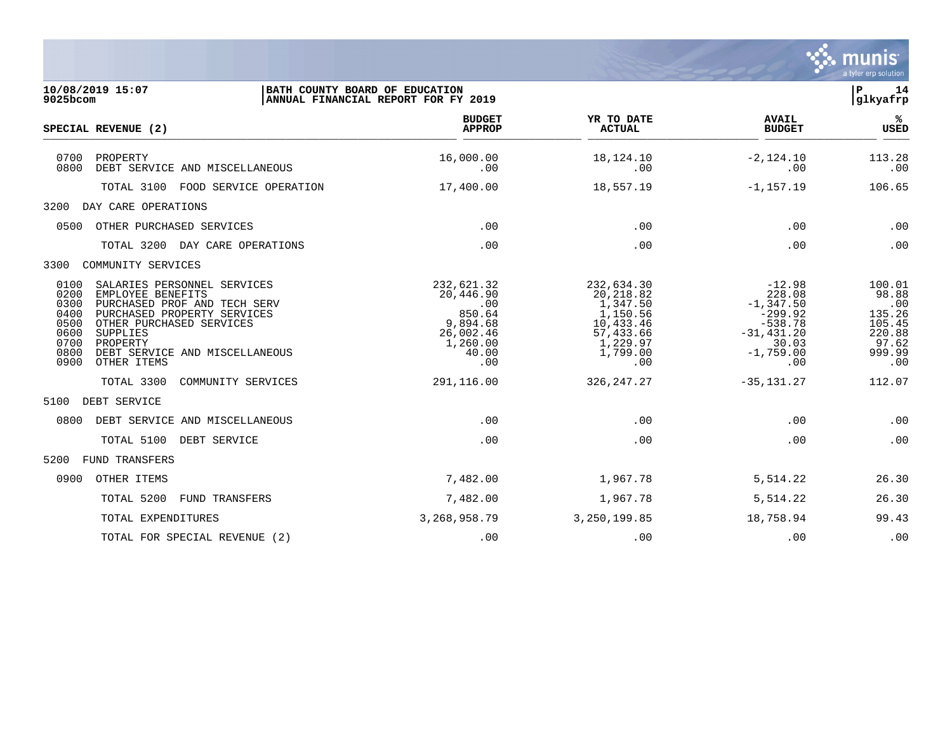

| 10/08/2019 15:07<br>BATH COUNTY BOARD OF EDUCATION<br>$9025$ bcom                                                                                                                                                                                                                            |                                   | ANNUAL FINANCIAL REPORT FOR FY 2019                                                           |                                                                                                          |                                                                                                              | P<br>14<br>glkyafrp                                                            |  |
|----------------------------------------------------------------------------------------------------------------------------------------------------------------------------------------------------------------------------------------------------------------------------------------------|-----------------------------------|-----------------------------------------------------------------------------------------------|----------------------------------------------------------------------------------------------------------|--------------------------------------------------------------------------------------------------------------|--------------------------------------------------------------------------------|--|
| SPECIAL REVENUE (2)                                                                                                                                                                                                                                                                          |                                   | <b>BUDGET</b><br><b>APPROP</b>                                                                | YR TO DATE<br><b>ACTUAL</b>                                                                              | <b>AVAIL</b><br><b>BUDGET</b>                                                                                | %ะ<br><b>USED</b>                                                              |  |
| 0700<br>PROPERTY<br>0800<br>DEBT SERVICE AND MISCELLANEOUS                                                                                                                                                                                                                                   |                                   | 16,000.00<br>.00                                                                              | 18,124.10<br>.00                                                                                         | $-2,124.10$<br>.00                                                                                           | 113.28<br>.00                                                                  |  |
|                                                                                                                                                                                                                                                                                              | TOTAL 3100 FOOD SERVICE OPERATION | 17,400.00                                                                                     | 18,557.19                                                                                                | $-1, 157.19$                                                                                                 | 106.65                                                                         |  |
| DAY CARE OPERATIONS<br>3200                                                                                                                                                                                                                                                                  |                                   |                                                                                               |                                                                                                          |                                                                                                              |                                                                                |  |
| 0500<br>OTHER PURCHASED SERVICES                                                                                                                                                                                                                                                             |                                   | .00                                                                                           | .00                                                                                                      | .00                                                                                                          | .00                                                                            |  |
| TOTAL 3200 DAY CARE OPERATIONS                                                                                                                                                                                                                                                               |                                   | .00                                                                                           | .00                                                                                                      | .00                                                                                                          | .00                                                                            |  |
| 3300<br>COMMUNITY SERVICES                                                                                                                                                                                                                                                                   |                                   |                                                                                               |                                                                                                          |                                                                                                              |                                                                                |  |
| 0100<br>SALARIES PERSONNEL SERVICES<br>0200<br>EMPLOYEE BENEFITS<br>0300<br>PURCHASED PROF AND TECH SERV<br>0400<br>PURCHASED PROPERTY SERVICES<br>0500<br>OTHER PURCHASED SERVICES<br>0600<br>SUPPLIES<br>0700<br>PROPERTY<br>0800<br>DEBT SERVICE AND MISCELLANEOUS<br>0900<br>OTHER ITEMS |                                   | 232,621.32<br>20,446.90<br>.00<br>850.64<br>9,894.68<br>26,002.46<br>1,260.00<br>40.00<br>.00 | 232,634.30<br>20,218.82<br>1,347.50<br>1,150.56<br>10,433.46<br>57,433.66<br>1,229.97<br>1,799.00<br>.00 | $-12.98$<br>228.08<br>$-1,347.50$<br>$-299.92$<br>$-538.78$<br>$-31, 431, 20$<br>30.03<br>$-1,759.00$<br>.00 | 100.01<br>98.88<br>.00<br>135.26<br>105.45<br>220.88<br>97.62<br>999.99<br>.00 |  |
| TOTAL 3300                                                                                                                                                                                                                                                                                   | COMMUNITY SERVICES                | 291,116.00                                                                                    | 326, 247. 27                                                                                             | $-35, 131.27$                                                                                                | 112.07                                                                         |  |
| 5100<br>DEBT SERVICE                                                                                                                                                                                                                                                                         |                                   |                                                                                               |                                                                                                          |                                                                                                              |                                                                                |  |
| 0800<br>DEBT SERVICE AND MISCELLANEOUS                                                                                                                                                                                                                                                       |                                   | .00                                                                                           | .00                                                                                                      | .00                                                                                                          | .00                                                                            |  |
| TOTAL 5100 DEBT SERVICE                                                                                                                                                                                                                                                                      |                                   | .00                                                                                           | .00                                                                                                      | .00                                                                                                          | .00                                                                            |  |
| 5200<br>FUND TRANSFERS                                                                                                                                                                                                                                                                       |                                   |                                                                                               |                                                                                                          |                                                                                                              |                                                                                |  |
| 0900<br>OTHER ITEMS                                                                                                                                                                                                                                                                          |                                   | 7,482.00                                                                                      | 1,967.78                                                                                                 | 5,514.22                                                                                                     | 26.30                                                                          |  |
| TOTAL 5200                                                                                                                                                                                                                                                                                   | FUND TRANSFERS                    | 7,482.00                                                                                      | 1,967.78                                                                                                 | 5,514.22                                                                                                     | 26.30                                                                          |  |
| TOTAL EXPENDITURES                                                                                                                                                                                                                                                                           |                                   | 3, 268, 958. 79                                                                               | 3, 250, 199.85                                                                                           | 18,758.94                                                                                                    | 99.43                                                                          |  |
| TOTAL FOR SPECIAL REVENUE (2)                                                                                                                                                                                                                                                                |                                   | .00                                                                                           | .00                                                                                                      | .00                                                                                                          | .00                                                                            |  |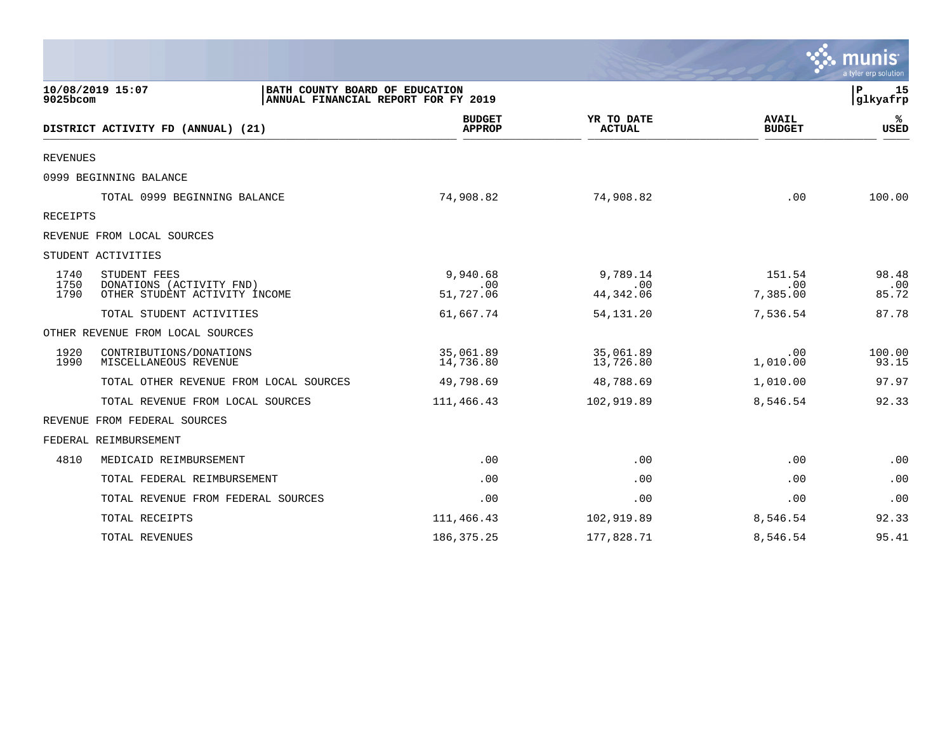|                      |                                                                                           |                                |                               |                               | a tyler erp solution  |
|----------------------|-------------------------------------------------------------------------------------------|--------------------------------|-------------------------------|-------------------------------|-----------------------|
| 9025bcom             | 10/08/2019 15:07<br>BATH COUNTY BOARD OF EDUCATION<br>ANNUAL FINANCIAL REPORT FOR FY 2019 |                                |                               |                               | 15<br>P<br> glkyafrp  |
|                      | DISTRICT ACTIVITY FD (ANNUAL) (21)                                                        | <b>BUDGET</b><br><b>APPROP</b> | YR TO DATE<br><b>ACTUAL</b>   | <b>AVAIL</b><br><b>BUDGET</b> | %ะ<br><b>USED</b>     |
| REVENUES             |                                                                                           |                                |                               |                               |                       |
|                      | 0999 BEGINNING BALANCE                                                                    |                                |                               |                               |                       |
|                      | TOTAL 0999 BEGINNING BALANCE                                                              | 74,908.82                      | 74,908.82                     | .00                           | 100.00                |
| RECEIPTS             |                                                                                           |                                |                               |                               |                       |
|                      | REVENUE FROM LOCAL SOURCES                                                                |                                |                               |                               |                       |
|                      | STUDENT ACTIVITIES                                                                        |                                |                               |                               |                       |
| 1740<br>1750<br>1790 | STUDENT FEES<br>DONATIONS (ACTIVITY FND)<br>OTHER STUDENT ACTIVITY INCOME                 | 9,940.68<br>.00<br>51,727.06   | 9,789.14<br>.00<br>44, 342.06 | 151.54<br>.00<br>7,385.00     | 98.48<br>.00<br>85.72 |
|                      | TOTAL STUDENT ACTIVITIES                                                                  | 61,667.74                      | 54, 131. 20                   | 7,536.54                      | 87.78                 |
|                      | OTHER REVENUE FROM LOCAL SOURCES                                                          |                                |                               |                               |                       |
| 1920<br>1990         | CONTRIBUTIONS/DONATIONS<br>MISCELLANEOUS REVENUE                                          | 35,061.89<br>14,736.80         | 35,061.89<br>13,726.80        | .00<br>1,010.00               | 100.00<br>93.15       |
|                      | TOTAL OTHER REVENUE FROM LOCAL SOURCES                                                    | 49,798.69                      | 48,788.69                     | 1,010.00                      | 97.97                 |
|                      | TOTAL REVENUE FROM LOCAL SOURCES                                                          | 111,466.43                     | 102,919.89                    | 8,546.54                      | 92.33                 |
|                      | REVENUE FROM FEDERAL SOURCES                                                              |                                |                               |                               |                       |
|                      | FEDERAL REIMBURSEMENT                                                                     |                                |                               |                               |                       |
| 4810                 | MEDICAID REIMBURSEMENT                                                                    | .00                            | .00                           | .00                           | .00                   |
|                      | TOTAL FEDERAL REIMBURSEMENT                                                               | .00                            | .00                           | .00                           | .00                   |
|                      | TOTAL REVENUE FROM FEDERAL SOURCES                                                        | .00                            | .00                           | .00                           | .00                   |
|                      | TOTAL RECEIPTS                                                                            | 111,466.43                     | 102,919.89                    | 8,546.54                      | 92.33                 |
|                      | TOTAL REVENUES                                                                            | 186, 375. 25                   | 177,828.71                    | 8,546.54                      | 95.41                 |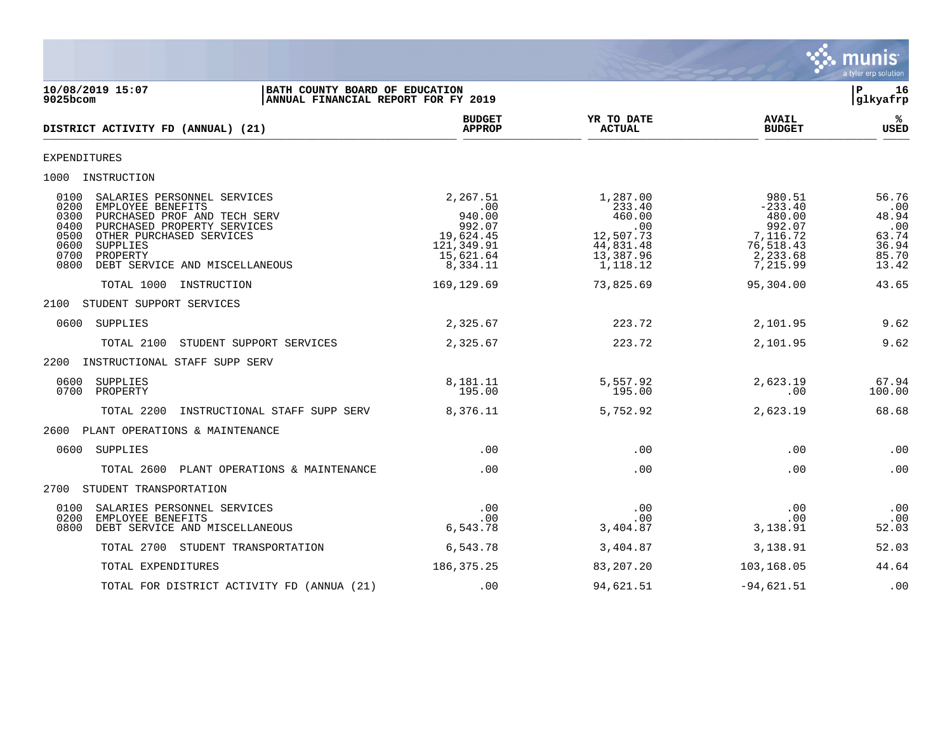![](_page_15_Picture_0.jpeg)

| 10/08/2019 15:07<br>BATH COUNTY BOARD OF EDUCATION<br>$9025$ bcom<br>ANNUAL FINANCIAL REPORT FOR FY 2019                                                                                                                                                              |                                                                                         |                                                                                        |                                                                                          | ∣P.<br>16<br>glkyafrp                                            |
|-----------------------------------------------------------------------------------------------------------------------------------------------------------------------------------------------------------------------------------------------------------------------|-----------------------------------------------------------------------------------------|----------------------------------------------------------------------------------------|------------------------------------------------------------------------------------------|------------------------------------------------------------------|
| DISTRICT ACTIVITY FD (ANNUAL) (21)                                                                                                                                                                                                                                    | <b>BUDGET</b><br><b>APPROP</b>                                                          | YR TO DATE<br><b>ACTUAL</b>                                                            | <b>AVAIL</b><br><b>BUDGET</b>                                                            | %ะ<br><b>USED</b>                                                |
| <b>EXPENDITURES</b>                                                                                                                                                                                                                                                   |                                                                                         |                                                                                        |                                                                                          |                                                                  |
| 1000 INSTRUCTION                                                                                                                                                                                                                                                      |                                                                                         |                                                                                        |                                                                                          |                                                                  |
| 0100<br>SALARIES PERSONNEL SERVICES<br>0200<br>EMPLOYEE BENEFITS<br>0300<br>PURCHASED PROF AND TECH SERV<br>0400<br>PURCHASED PROPERTY SERVICES<br>0500<br>OTHER PURCHASED SERVICES<br>0600<br>SUPPLIES<br>0700<br>PROPERTY<br>0800<br>DEBT SERVICE AND MISCELLANEOUS | 2,267.51<br>.00<br>940.00<br>992.07<br>19,624.45<br>121,349.91<br>15,621.64<br>8,334.11 | 1,287.00<br>233.40<br>460.00<br>.00<br>12,507.73<br>44,831.48<br>13,387.96<br>1,118.12 | 980.51<br>$-233.40$<br>480.00<br>992.07<br>7,116.72<br>76,518.43<br>2,233.68<br>7,215.99 | 56.76<br>.00<br>48.94<br>.00<br>63.74<br>36.94<br>85.70<br>13.42 |
| TOTAL 1000 INSTRUCTION                                                                                                                                                                                                                                                | 169, 129.69                                                                             | 73,825.69                                                                              | 95,304.00                                                                                | 43.65                                                            |
| 2100 STUDENT SUPPORT SERVICES                                                                                                                                                                                                                                         |                                                                                         |                                                                                        |                                                                                          |                                                                  |
| 0600 SUPPLIES                                                                                                                                                                                                                                                         | 2,325.67                                                                                | 223.72                                                                                 | 2,101.95                                                                                 | 9.62                                                             |
| TOTAL 2100<br>STUDENT SUPPORT SERVICES                                                                                                                                                                                                                                | 2,325.67                                                                                | 223.72                                                                                 | 2,101.95                                                                                 | 9.62                                                             |
| 2200 INSTRUCTIONAL STAFF SUPP SERV                                                                                                                                                                                                                                    |                                                                                         |                                                                                        |                                                                                          |                                                                  |
| SUPPLIES<br>0600<br>0700 PROPERTY                                                                                                                                                                                                                                     | 8,181.11<br>195.00                                                                      | 5,557.92<br>195.00                                                                     | 2,623.19<br>$.00 \,$                                                                     | 67.94<br>100.00                                                  |
| TOTAL 2200<br>INSTRUCTIONAL STAFF SUPP SERV                                                                                                                                                                                                                           | 8,376.11                                                                                | 5,752.92                                                                               | 2,623.19                                                                                 | 68.68                                                            |
| 2600 PLANT OPERATIONS & MAINTENANCE                                                                                                                                                                                                                                   |                                                                                         |                                                                                        |                                                                                          |                                                                  |
| 0600 SUPPLIES                                                                                                                                                                                                                                                         | .00                                                                                     | .00                                                                                    | .00                                                                                      | .00                                                              |
| TOTAL 2600<br>PLANT OPERATIONS & MAINTENANCE                                                                                                                                                                                                                          | .00                                                                                     | .00                                                                                    | .00                                                                                      | .00                                                              |
| STUDENT TRANSPORTATION<br>2700                                                                                                                                                                                                                                        |                                                                                         |                                                                                        |                                                                                          |                                                                  |
| 0100<br>SALARIES PERSONNEL SERVICES<br>0200<br>EMPLOYEE BENEFITS<br>DEBT SERVICE AND MISCELLANEOUS<br>0800                                                                                                                                                            | .00<br>.00<br>6,543.78                                                                  | .00<br>.00<br>3,404.87                                                                 | .00<br>$.00 \,$<br>3,138.91                                                              | .00<br>.00<br>52.03                                              |
| TOTAL 2700 STUDENT TRANSPORTATION                                                                                                                                                                                                                                     | 6,543.78                                                                                | 3,404.87                                                                               | 3,138.91                                                                                 | 52.03                                                            |
| TOTAL EXPENDITURES                                                                                                                                                                                                                                                    | 186, 375. 25                                                                            | 83,207.20                                                                              | 103,168.05                                                                               | 44.64                                                            |
| TOTAL FOR DISTRICT ACTIVITY FD (ANNUA (21)                                                                                                                                                                                                                            | .00                                                                                     | 94,621.51                                                                              | $-94,621.51$                                                                             | .00                                                              |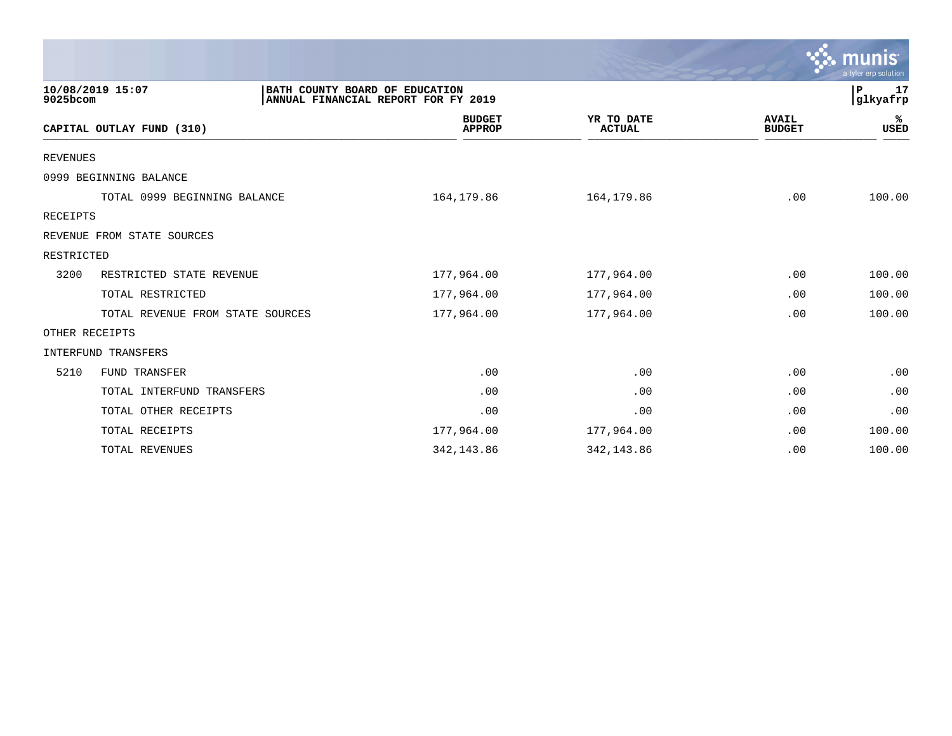|                 |                                  |                                                                       |                             |                               | $\sim$ munis<br>a tyler erp solution |
|-----------------|----------------------------------|-----------------------------------------------------------------------|-----------------------------|-------------------------------|--------------------------------------|
| 9025bcom        | 10/08/2019 15:07                 | BATH COUNTY BOARD OF EDUCATION<br>ANNUAL FINANCIAL REPORT FOR FY 2019 |                             |                               | P<br>17<br>glkyafrp                  |
|                 | CAPITAL OUTLAY FUND (310)        | <b>BUDGET</b><br><b>APPROP</b>                                        | YR TO DATE<br><b>ACTUAL</b> | <b>AVAIL</b><br><b>BUDGET</b> | ℁<br><b>USED</b>                     |
| <b>REVENUES</b> |                                  |                                                                       |                             |                               |                                      |
|                 | 0999 BEGINNING BALANCE           |                                                                       |                             |                               |                                      |
|                 | TOTAL 0999 BEGINNING BALANCE     | 164,179.86                                                            | 164,179.86                  | .00                           | 100.00                               |
| RECEIPTS        |                                  |                                                                       |                             |                               |                                      |
|                 | REVENUE FROM STATE SOURCES       |                                                                       |                             |                               |                                      |
| RESTRICTED      |                                  |                                                                       |                             |                               |                                      |
| 3200            | RESTRICTED STATE REVENUE         | 177,964.00                                                            | 177,964.00                  | .00                           | 100.00                               |
|                 | TOTAL RESTRICTED                 | 177,964.00                                                            | 177,964.00                  | .00                           | 100.00                               |
|                 | TOTAL REVENUE FROM STATE SOURCES | 177,964.00                                                            | 177,964.00                  | .00                           | 100.00                               |
|                 | OTHER RECEIPTS                   |                                                                       |                             |                               |                                      |
|                 | INTERFUND TRANSFERS              |                                                                       |                             |                               |                                      |
| 5210            | FUND TRANSFER                    | .00                                                                   | .00                         | .00                           | .00                                  |
|                 | TOTAL INTERFUND TRANSFERS        | .00                                                                   | .00                         | .00                           | .00                                  |
|                 | TOTAL OTHER RECEIPTS             | .00                                                                   | .00                         | .00                           | .00                                  |
|                 | TOTAL RECEIPTS                   | 177,964.00                                                            | 177,964.00                  | .00                           | 100.00                               |
|                 | TOTAL REVENUES                   | 342, 143.86                                                           | 342, 143.86                 | .00                           | 100.00                               |

 $\sim$   $\sim$   $\sim$   $\sim$   $\sim$   $\sim$   $\sim$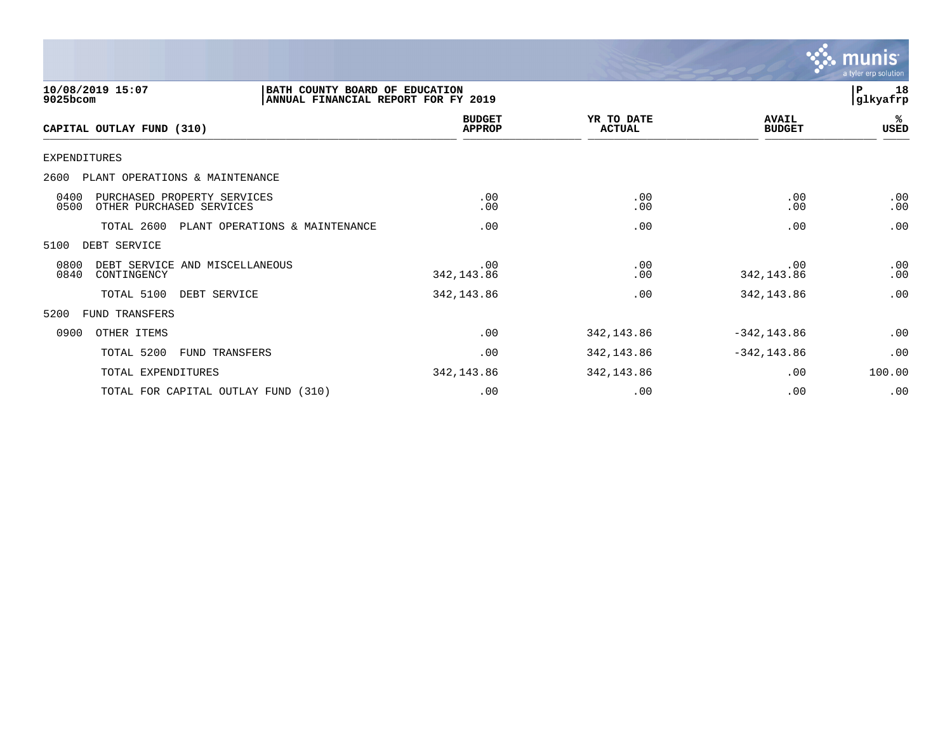![](_page_17_Picture_0.jpeg)

| 10/08/2019 15:07<br>9025bcom                                            | BATH COUNTY BOARD OF EDUCATION<br>ANNUAL FINANCIAL REPORT FOR FY 2019 |                                |                             |                               | 18<br>P<br> glkyafrp |
|-------------------------------------------------------------------------|-----------------------------------------------------------------------|--------------------------------|-----------------------------|-------------------------------|----------------------|
| CAPITAL OUTLAY FUND (310)                                               |                                                                       | <b>BUDGET</b><br><b>APPROP</b> | YR TO DATE<br><b>ACTUAL</b> | <b>AVAIL</b><br><b>BUDGET</b> | %ะ<br>USED           |
| EXPENDITURES                                                            |                                                                       |                                |                             |                               |                      |
| 2600<br>PLANT OPERATIONS & MAINTENANCE                                  |                                                                       |                                |                             |                               |                      |
| 0400<br>PURCHASED PROPERTY SERVICES<br>0500<br>OTHER PURCHASED SERVICES |                                                                       | .00<br>.00                     | .00<br>.00                  | .00<br>.00                    | .00<br>.00           |
| TOTAL 2600                                                              | PLANT OPERATIONS & MAINTENANCE                                        | .00                            | .00                         | .00                           | .00                  |
| 5100<br>DEBT SERVICE                                                    |                                                                       |                                |                             |                               |                      |
| 0800<br>DEBT SERVICE AND MISCELLANEOUS<br>0840<br>CONTINGENCY           |                                                                       | .00<br>342, 143.86             | .00<br>.00                  | .00<br>342, 143.86            | .00<br>.00           |
| TOTAL 5100                                                              | DEBT SERVICE                                                          | 342, 143.86                    | .00                         | 342,143.86                    | .00                  |
| 5200<br><b>FUND TRANSFERS</b>                                           |                                                                       |                                |                             |                               |                      |
| OTHER ITEMS<br>0900                                                     |                                                                       | .00                            | 342, 143.86                 | $-342, 143.86$                | .00                  |
| TOTAL 5200                                                              | FUND TRANSFERS                                                        | .00                            | 342, 143.86                 | $-342, 143.86$                | .00                  |
| TOTAL EXPENDITURES                                                      |                                                                       | 342, 143.86                    | 342, 143.86                 | .00                           | 100.00               |
|                                                                         | TOTAL FOR CAPITAL OUTLAY FUND (310)                                   | .00                            | .00                         | .00                           | .00                  |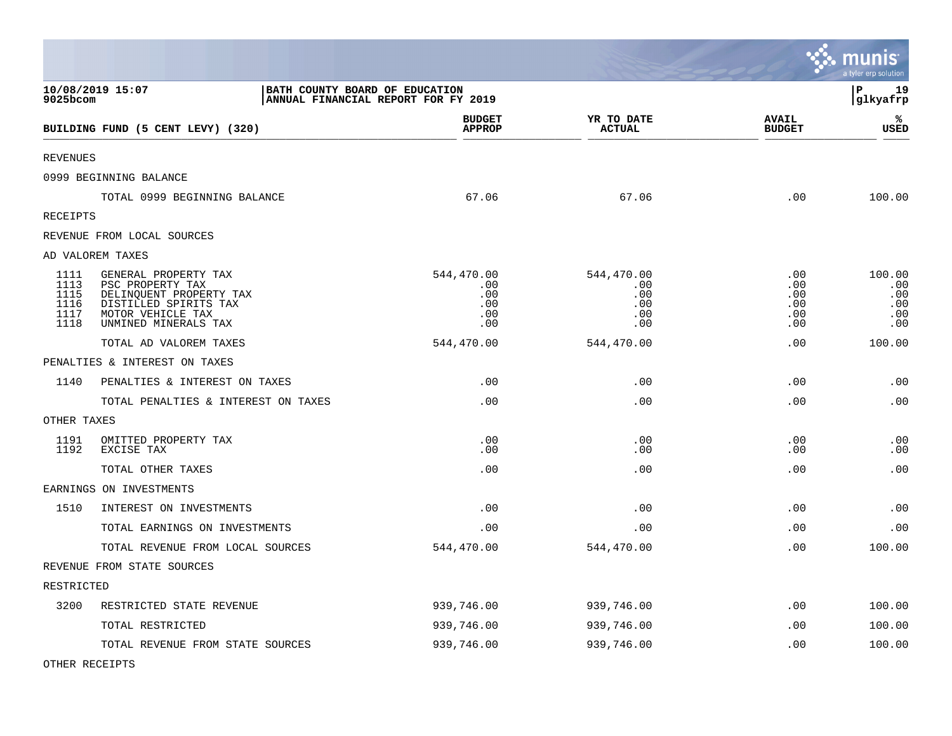|                                              |                                                                                                                                           |                                                                       |                                               |                                        | munis<br>a tyler erp solution             |
|----------------------------------------------|-------------------------------------------------------------------------------------------------------------------------------------------|-----------------------------------------------------------------------|-----------------------------------------------|----------------------------------------|-------------------------------------------|
| 9025bcom                                     | 10/08/2019 15:07                                                                                                                          | BATH COUNTY BOARD OF EDUCATION<br>ANNUAL FINANCIAL REPORT FOR FY 2019 |                                               |                                        | l P<br>19<br>glkyafrp                     |
|                                              | BUILDING FUND (5 CENT LEVY) (320)                                                                                                         | <b>BUDGET</b><br><b>APPROP</b>                                        | YR TO DATE<br><b>ACTUAL</b>                   | <b>AVAIL</b><br><b>BUDGET</b>          | ℁<br><b>USED</b>                          |
| <b>REVENUES</b>                              |                                                                                                                                           |                                                                       |                                               |                                        |                                           |
|                                              | 0999 BEGINNING BALANCE                                                                                                                    |                                                                       |                                               |                                        |                                           |
|                                              | TOTAL 0999 BEGINNING BALANCE                                                                                                              | 67.06                                                                 | 67.06                                         | .00                                    | 100.00                                    |
| RECEIPTS                                     |                                                                                                                                           |                                                                       |                                               |                                        |                                           |
|                                              | REVENUE FROM LOCAL SOURCES                                                                                                                |                                                                       |                                               |                                        |                                           |
|                                              | AD VALOREM TAXES                                                                                                                          |                                                                       |                                               |                                        |                                           |
| 1111<br>1113<br>1115<br>1116<br>1117<br>1118 | GENERAL PROPERTY TAX<br>PSC PROPERTY TAX<br>DELINQUENT PROPERTY TAX<br>DISTILLED SPIRITS TAX<br>MOTOR VEHICLE TAX<br>UNMINED MINERALS TAX | 544,470.00<br>.00<br>.00<br>.00<br>.00<br>.00                         | 544,470.00<br>.00<br>.00<br>.00<br>.00<br>.00 | .00<br>.00<br>.00<br>.00<br>.00<br>.00 | 100.00<br>.00<br>.00<br>.00<br>.00<br>.00 |
|                                              | TOTAL AD VALOREM TAXES                                                                                                                    | 544,470.00                                                            | 544,470.00                                    | .00                                    | 100.00                                    |
|                                              | PENALTIES & INTEREST ON TAXES                                                                                                             |                                                                       |                                               |                                        |                                           |
| 1140                                         | PENALTIES & INTEREST ON TAXES                                                                                                             | .00                                                                   | .00                                           | .00                                    | .00                                       |
|                                              | TOTAL PENALTIES & INTEREST ON TAXES                                                                                                       | .00                                                                   | .00                                           | .00                                    | .00                                       |
| OTHER TAXES                                  |                                                                                                                                           |                                                                       |                                               |                                        |                                           |
| 1191<br>1192                                 | OMITTED PROPERTY TAX<br>EXCISE TAX                                                                                                        | .00<br>.00                                                            | .00<br>.00                                    | .00<br>.00                             | .00<br>.00                                |
|                                              | TOTAL OTHER TAXES                                                                                                                         | .00                                                                   | .00                                           | .00                                    | .00                                       |
|                                              | EARNINGS ON INVESTMENTS                                                                                                                   |                                                                       |                                               |                                        |                                           |
| 1510                                         | INTEREST ON INVESTMENTS                                                                                                                   | .00                                                                   | .00                                           | .00                                    | .00                                       |
|                                              | TOTAL EARNINGS ON INVESTMENTS                                                                                                             | .00                                                                   | .00                                           | .00                                    | .00                                       |
|                                              | TOTAL REVENUE FROM LOCAL SOURCES                                                                                                          | 544,470.00                                                            | 544,470.00                                    | .00                                    | 100.00                                    |
|                                              | REVENUE FROM STATE SOURCES                                                                                                                |                                                                       |                                               |                                        |                                           |
| RESTRICTED                                   |                                                                                                                                           |                                                                       |                                               |                                        |                                           |
| 3200                                         | RESTRICTED STATE REVENUE                                                                                                                  | 939,746.00                                                            | 939,746.00                                    | .00                                    | 100.00                                    |
|                                              | TOTAL RESTRICTED                                                                                                                          | 939,746.00                                                            | 939,746.00                                    | .00                                    | 100.00                                    |
|                                              | TOTAL REVENUE FROM STATE SOURCES                                                                                                          | 939,746.00                                                            | 939,746.00                                    | .00                                    | 100.00                                    |

**Contract Contract Contract Contract** 

OTHER RECEIPTS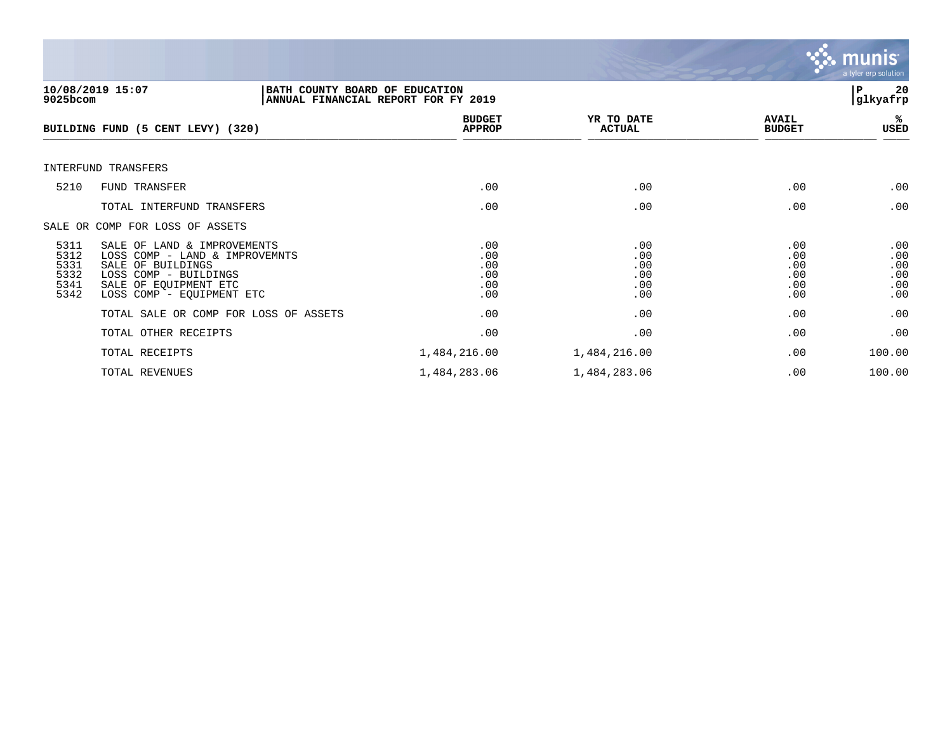![](_page_19_Picture_0.jpeg)

| $9025$ bcom                                  | 10/08/2019 15:07<br>BATH COUNTY BOARD OF EDUCATION<br>ANNUAL FINANCIAL REPORT FOR FY 2019                                                                         |                                        |                                        |                                        | 20<br>P<br>glkyafrp                    |
|----------------------------------------------|-------------------------------------------------------------------------------------------------------------------------------------------------------------------|----------------------------------------|----------------------------------------|----------------------------------------|----------------------------------------|
|                                              | BUILDING FUND (5 CENT LEVY) (320)                                                                                                                                 | <b>BUDGET</b><br><b>APPROP</b>         | YR TO DATE<br><b>ACTUAL</b>            | <b>AVAIL</b><br><b>BUDGET</b>          | %ะ<br>USED                             |
|                                              | INTERFUND TRANSFERS                                                                                                                                               |                                        |                                        |                                        |                                        |
| 5210                                         | FUND TRANSFER                                                                                                                                                     | .00                                    | .00                                    | .00                                    | .00                                    |
|                                              | TOTAL INTERFUND TRANSFERS                                                                                                                                         | .00                                    | .00                                    | .00                                    | .00                                    |
|                                              | SALE OR COMP FOR LOSS OF ASSETS                                                                                                                                   |                                        |                                        |                                        |                                        |
| 5311<br>5312<br>5331<br>5332<br>5341<br>5342 | SALE OF LAND & IMPROVEMENTS<br>LOSS COMP - LAND & IMPROVEMNTS<br>SALE OF BUILDINGS<br>LOSS COMP - BUILDINGS<br>SALE OF EOUIPMENT ETC<br>LOSS COMP - EQUIPMENT ETC | .00<br>.00<br>.00<br>.00<br>.00<br>.00 | .00<br>.00<br>.00<br>.00<br>.00<br>.00 | .00<br>.00<br>.00<br>.00<br>.00<br>.00 | .00<br>.00<br>.00<br>.00<br>.00<br>.00 |
|                                              | TOTAL SALE OR COMP FOR LOSS OF ASSETS                                                                                                                             | .00                                    | .00                                    | .00                                    | .00                                    |
|                                              | TOTAL OTHER RECEIPTS                                                                                                                                              | .00                                    | .00                                    | .00                                    | .00                                    |
|                                              | TOTAL RECEIPTS                                                                                                                                                    | 1,484,216.00                           | 1,484,216.00                           | .00                                    | 100.00                                 |
|                                              | TOTAL REVENUES                                                                                                                                                    | 1,484,283.06                           | 1,484,283.06                           | .00                                    | 100.00                                 |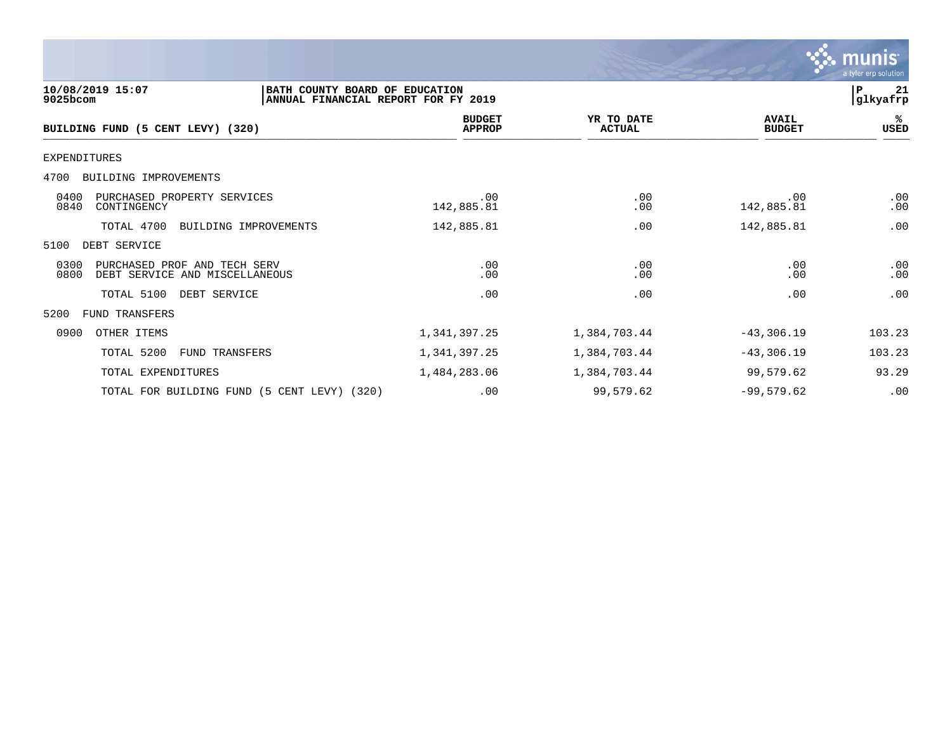|                                                                                                       |                                |                             |                               | $\sim$ munis<br>a tyler erp solution |
|-------------------------------------------------------------------------------------------------------|--------------------------------|-----------------------------|-------------------------------|--------------------------------------|
| 10/08/2019 15:07<br>BATH COUNTY BOARD OF EDUCATION<br>ANNUAL FINANCIAL REPORT FOR FY 2019<br>9025bcom |                                |                             |                               | 21<br>P<br>glkyafrp                  |
| BUILDING FUND (5 CENT LEVY) (320)                                                                     | <b>BUDGET</b><br><b>APPROP</b> | YR TO DATE<br><b>ACTUAL</b> | <b>AVAIL</b><br><b>BUDGET</b> | %ะ<br>USED                           |
| <b>EXPENDITURES</b>                                                                                   |                                |                             |                               |                                      |
| BUILDING IMPROVEMENTS<br>4700                                                                         |                                |                             |                               |                                      |
| 0400<br>PURCHASED PROPERTY SERVICES<br>0840<br>CONTINGENCY                                            | .00<br>142,885.81              | .00<br>.00                  | .00<br>142,885.81             | .00<br>.00                           |
| TOTAL 4700<br>BUILDING IMPROVEMENTS                                                                   | 142,885.81                     | .00                         | 142,885.81                    | .00                                  |
| DEBT SERVICE<br>5100                                                                                  |                                |                             |                               |                                      |
| 0300<br>PURCHASED PROF AND TECH SERV<br>0800<br>DEBT SERVICE AND MISCELLANEOUS                        | .00<br>.00                     | .00<br>.00                  | .00<br>.00                    | .00<br>.00                           |
| TOTAL 5100<br>DEBT SERVICE                                                                            | .00                            | .00                         | .00                           | .00                                  |
| 5200<br><b>FUND TRANSFERS</b>                                                                         |                                |                             |                               |                                      |
| 0900<br>OTHER ITEMS                                                                                   | 1,341,397.25                   | 1,384,703.44                | $-43,306.19$                  | 103.23                               |
| TOTAL 5200<br>FUND TRANSFERS                                                                          | 1,341,397.25                   | 1,384,703.44                | $-43,306.19$                  | 103.23                               |
| TOTAL EXPENDITURES                                                                                    | 1,484,283.06                   | 1,384,703.44                | 99,579.62                     | 93.29                                |
| TOTAL FOR BUILDING FUND (5 CENT LEVY) (320)                                                           | .00                            | 99,579.62                   | $-99,579.62$                  | .00                                  |

 $\mathcal{L}$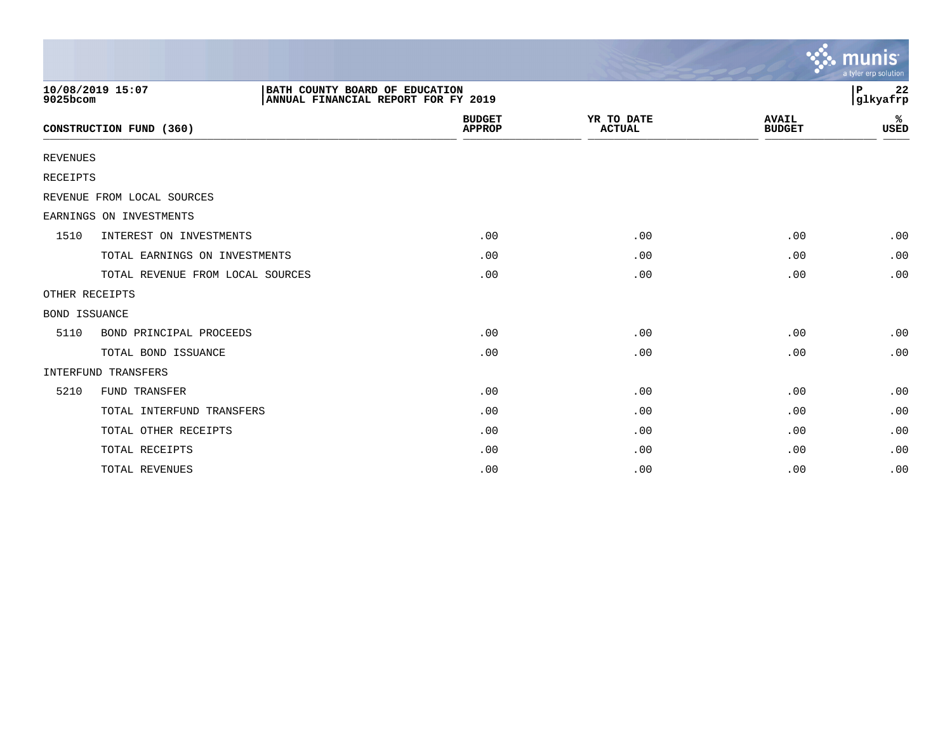|                      |                                  |                                                                       |                                |                             |                               | munis<br>a tyler erp solution |
|----------------------|----------------------------------|-----------------------------------------------------------------------|--------------------------------|-----------------------------|-------------------------------|-------------------------------|
| 9025bcom             | 10/08/2019 15:07                 | BATH COUNTY BOARD OF EDUCATION<br>ANNUAL FINANCIAL REPORT FOR FY 2019 |                                |                             |                               | 22<br>ΙP<br>glkyafrp          |
|                      | CONSTRUCTION FUND (360)          |                                                                       | <b>BUDGET</b><br><b>APPROP</b> | YR TO DATE<br><b>ACTUAL</b> | <b>AVAIL</b><br><b>BUDGET</b> | ℁<br><b>USED</b>              |
| <b>REVENUES</b>      |                                  |                                                                       |                                |                             |                               |                               |
| <b>RECEIPTS</b>      |                                  |                                                                       |                                |                             |                               |                               |
|                      | REVENUE FROM LOCAL SOURCES       |                                                                       |                                |                             |                               |                               |
|                      | EARNINGS ON INVESTMENTS          |                                                                       |                                |                             |                               |                               |
| 1510                 | INTEREST ON INVESTMENTS          |                                                                       | .00                            | .00                         | .00                           | .00                           |
|                      | TOTAL EARNINGS ON INVESTMENTS    |                                                                       | .00                            | .00                         | .00                           | .00                           |
|                      | TOTAL REVENUE FROM LOCAL SOURCES |                                                                       | .00                            | .00                         | .00                           | .00                           |
| OTHER RECEIPTS       |                                  |                                                                       |                                |                             |                               |                               |
| <b>BOND ISSUANCE</b> |                                  |                                                                       |                                |                             |                               |                               |
| 5110                 | BOND PRINCIPAL PROCEEDS          |                                                                       | .00                            | .00                         | .00                           | .00                           |
|                      | TOTAL BOND ISSUANCE              |                                                                       | .00                            | .00                         | .00                           | .00                           |
|                      | <b>INTERFUND TRANSFERS</b>       |                                                                       |                                |                             |                               |                               |
| 5210                 | FUND TRANSFER                    |                                                                       | .00                            | .00                         | .00                           | .00                           |
|                      | TOTAL INTERFUND TRANSFERS        |                                                                       | .00                            | .00                         | .00                           | .00                           |
|                      | TOTAL OTHER RECEIPTS             |                                                                       | .00                            | .00                         | .00                           | .00                           |
|                      | TOTAL RECEIPTS                   |                                                                       | .00                            | .00                         | .00                           | .00                           |
|                      | TOTAL REVENUES                   |                                                                       | .00                            | .00                         | .00                           | .00                           |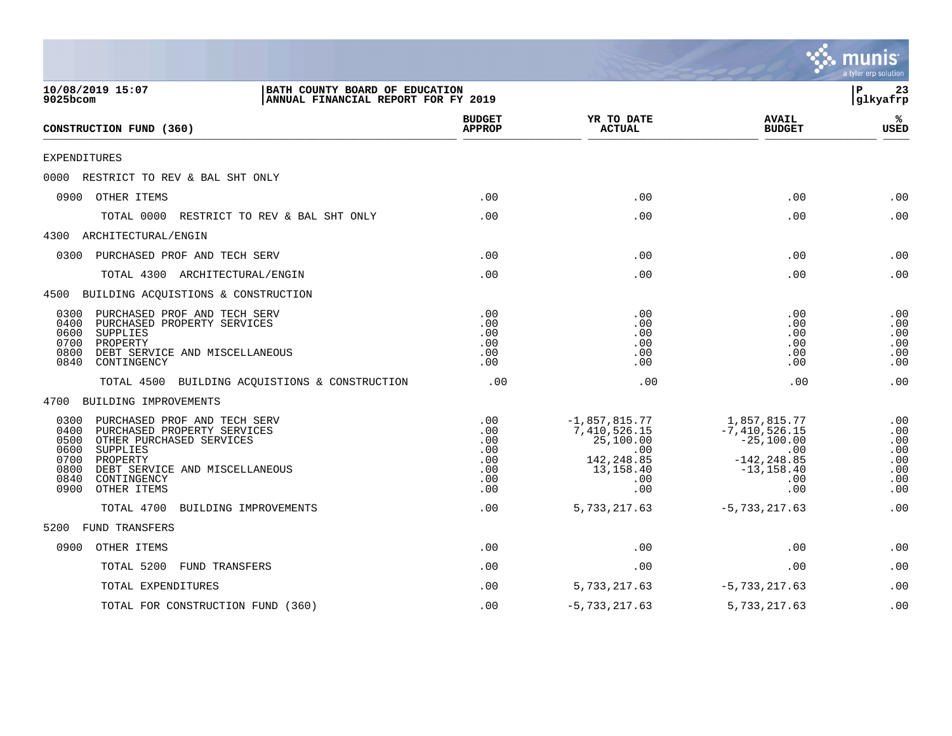|                                                                                                                                                                                                                                                 |                                                      |                                                                                               |                                                                                                         | a tyler erp solution                                 |
|-------------------------------------------------------------------------------------------------------------------------------------------------------------------------------------------------------------------------------------------------|------------------------------------------------------|-----------------------------------------------------------------------------------------------|---------------------------------------------------------------------------------------------------------|------------------------------------------------------|
| BATH COUNTY BOARD OF EDUCATION<br>10/08/2019 15:07<br>$9025$ bcom<br>ANNUAL FINANCIAL REPORT FOR FY 2019                                                                                                                                        |                                                      |                                                                                               |                                                                                                         | Þ<br>23<br>glkyafrp                                  |
| CONSTRUCTION FUND (360)                                                                                                                                                                                                                         | <b>BUDGET</b><br><b>APPROP</b>                       | YR TO DATE<br><b>ACTUAL</b>                                                                   | <b>AVAIL</b><br><b>BUDGET</b>                                                                           | ℁<br><b>USED</b>                                     |
| EXPENDITURES                                                                                                                                                                                                                                    |                                                      |                                                                                               |                                                                                                         |                                                      |
| 0000 RESTRICT TO REV & BAL SHT ONLY                                                                                                                                                                                                             |                                                      |                                                                                               |                                                                                                         |                                                      |
| 0900 OTHER ITEMS                                                                                                                                                                                                                                | .00                                                  | .00                                                                                           | .00                                                                                                     | .00                                                  |
| RESTRICT TO REV & BAL SHT ONLY<br>TOTAL 0000                                                                                                                                                                                                    | .00                                                  | .00                                                                                           | .00                                                                                                     | .00                                                  |
| 4300 ARCHITECTURAL/ENGIN                                                                                                                                                                                                                        |                                                      |                                                                                               |                                                                                                         |                                                      |
| 0300 PURCHASED PROF AND TECH SERV                                                                                                                                                                                                               | .00                                                  | .00                                                                                           | .00                                                                                                     | .00                                                  |
| TOTAL 4300 ARCHITECTURAL/ENGIN                                                                                                                                                                                                                  | .00                                                  | .00                                                                                           | .00                                                                                                     | .00                                                  |
| 4500 BUILDING ACQUISTIONS & CONSTRUCTION                                                                                                                                                                                                        |                                                      |                                                                                               |                                                                                                         |                                                      |
| PURCHASED PROF AND TECH SERV<br>0300<br>0400<br>PURCHASED PROPERTY SERVICES<br>0600<br>SUPPLIES<br>0700<br>PROPERTY<br>0800<br>DEBT SERVICE AND MISCELLANEOUS<br>0840<br>CONTINGENCY                                                            | .00<br>.00<br>.00<br>.00<br>.00<br>.00               | .00<br>.00<br>.00<br>.00<br>.00<br>.00                                                        | .00<br>.00<br>.00<br>.00<br>.00<br>.00                                                                  | .00<br>.00<br>.00<br>.00<br>.00<br>.00               |
| TOTAL 4500 BUILDING ACQUISTIONS & CONSTRUCTION                                                                                                                                                                                                  | .00                                                  | .00                                                                                           | .00                                                                                                     | .00                                                  |
| 4700 BUILDING IMPROVEMENTS                                                                                                                                                                                                                      |                                                      |                                                                                               |                                                                                                         |                                                      |
| PURCHASED PROF AND TECH SERV<br>0300<br>0400<br>PURCHASED PROPERTY SERVICES<br>0500<br>OTHER PURCHASED SERVICES<br>0600<br>SUPPLIES<br>0700<br>PROPERTY<br>0800<br>DEBT SERVICE AND MISCELLANEOUS<br>0840<br>CONTINGENCY<br>OTHER ITEMS<br>0900 | .00<br>.00<br>.00<br>.00<br>.00<br>.00<br>.00<br>.00 | $-1,857,815.77$<br>7,410,526.15<br>25,100.00<br>.00<br>142, 248.85<br>13,158.40<br>.00<br>.00 | 1,857,815.77<br>$-7,410,526.15$<br>$-25,100.00$<br>.00<br>$-142, 248.85$<br>$-13, 158.40$<br>.00<br>.00 | .00<br>.00<br>.00<br>.00<br>.00<br>.00<br>.00<br>.00 |
| TOTAL 4700<br>BUILDING IMPROVEMENTS                                                                                                                                                                                                             | .00                                                  | 5,733,217.63                                                                                  | $-5,733,217.63$                                                                                         | .00                                                  |
| FUND TRANSFERS<br>5200                                                                                                                                                                                                                          |                                                      |                                                                                               |                                                                                                         |                                                      |
| 0900<br>OTHER ITEMS                                                                                                                                                                                                                             | .00                                                  | .00                                                                                           | .00                                                                                                     | .00                                                  |
| TOTAL 5200<br><b>FUND TRANSFERS</b>                                                                                                                                                                                                             | .00                                                  | .00                                                                                           | .00                                                                                                     | .00                                                  |
| TOTAL EXPENDITURES                                                                                                                                                                                                                              | .00                                                  | 5,733,217.63                                                                                  | $-5,733,217.63$                                                                                         | .00                                                  |
| TOTAL FOR CONSTRUCTION FUND (360)                                                                                                                                                                                                               | .00                                                  | $-5,733,217.63$                                                                               | 5,733,217.63                                                                                            | .00                                                  |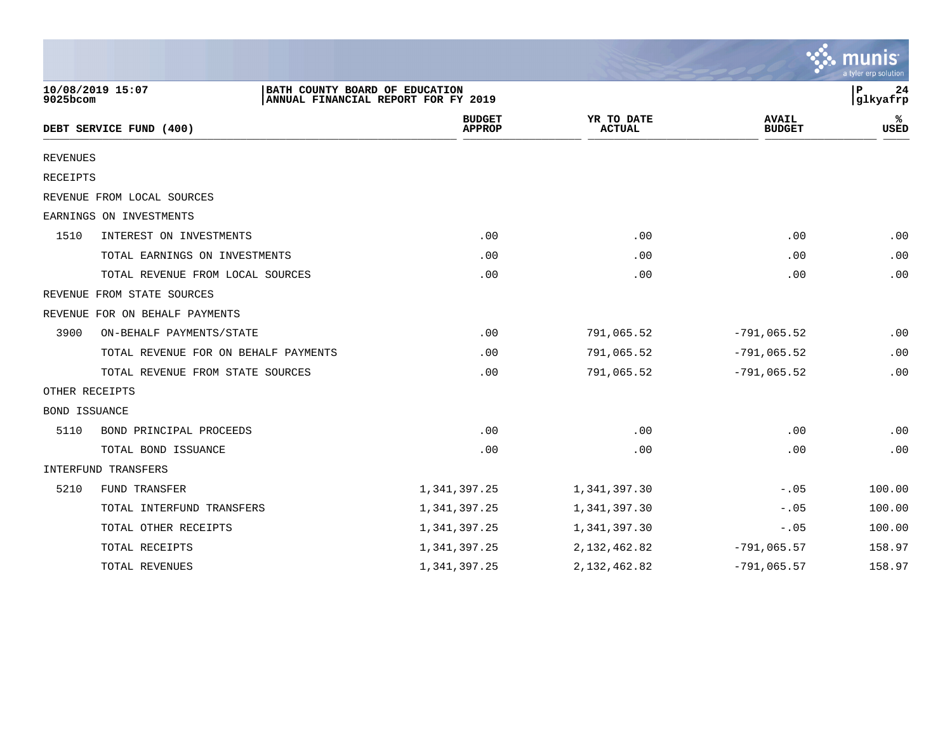|                 |                                                    |                                     |                             |                               | a tyler erp solution |
|-----------------|----------------------------------------------------|-------------------------------------|-----------------------------|-------------------------------|----------------------|
| 9025bcom        | 10/08/2019 15:07<br>BATH COUNTY BOARD OF EDUCATION | ANNUAL FINANCIAL REPORT FOR FY 2019 |                             |                               | P<br>24<br>glkyafrp  |
|                 | DEBT SERVICE FUND (400)                            | <b>BUDGET</b><br><b>APPROP</b>      | YR TO DATE<br><b>ACTUAL</b> | <b>AVAIL</b><br><b>BUDGET</b> | USED                 |
| <b>REVENUES</b> |                                                    |                                     |                             |                               |                      |
| <b>RECEIPTS</b> |                                                    |                                     |                             |                               |                      |
|                 | REVENUE FROM LOCAL SOURCES                         |                                     |                             |                               |                      |
|                 | EARNINGS ON INVESTMENTS                            |                                     |                             |                               |                      |
| 1510            | INTEREST ON INVESTMENTS                            | .00                                 | .00                         | .00                           | .00                  |
|                 | TOTAL EARNINGS ON INVESTMENTS                      | .00                                 | .00                         | .00                           | .00                  |
|                 | TOTAL REVENUE FROM LOCAL SOURCES                   | .00                                 | .00                         | .00                           | .00                  |
|                 | REVENUE FROM STATE SOURCES                         |                                     |                             |                               |                      |
|                 | REVENUE FOR ON BEHALF PAYMENTS                     |                                     |                             |                               |                      |
| 3900            | ON-BEHALF PAYMENTS/STATE                           | .00                                 | 791,065.52                  | $-791,065.52$                 | .00                  |
|                 | TOTAL REVENUE FOR ON BEHALF PAYMENTS               | .00                                 | 791,065.52                  | $-791,065.52$                 | .00                  |
|                 | TOTAL REVENUE FROM STATE SOURCES                   | .00                                 | 791,065.52                  | $-791,065.52$                 | .00                  |
|                 | OTHER RECEIPTS                                     |                                     |                             |                               |                      |
| BOND ISSUANCE   |                                                    |                                     |                             |                               |                      |
| 5110            | BOND PRINCIPAL PROCEEDS                            | .00                                 | .00                         | .00                           | .00                  |
|                 | TOTAL BOND ISSUANCE                                | .00                                 | .00                         | .00                           | .00                  |
|                 | INTERFUND TRANSFERS                                |                                     |                             |                               |                      |
| 5210            | FUND TRANSFER                                      | 1,341,397.25                        | 1,341,397.30                | $-.05$                        | 100.00               |
|                 | TOTAL INTERFUND TRANSFERS                          | 1,341,397.25                        | 1,341,397.30                | $-.05$                        | 100.00               |
|                 | TOTAL OTHER RECEIPTS                               | 1,341,397.25                        | 1,341,397.30                | $-.05$                        | 100.00               |
|                 | TOTAL RECEIPTS                                     | 1, 341, 397.25                      | 2, 132, 462.82              | $-791,065.57$                 | 158.97               |
|                 | TOTAL REVENUES                                     | 1,341,397.25                        | 2, 132, 462.82              | $-791,065.57$                 | 158.97               |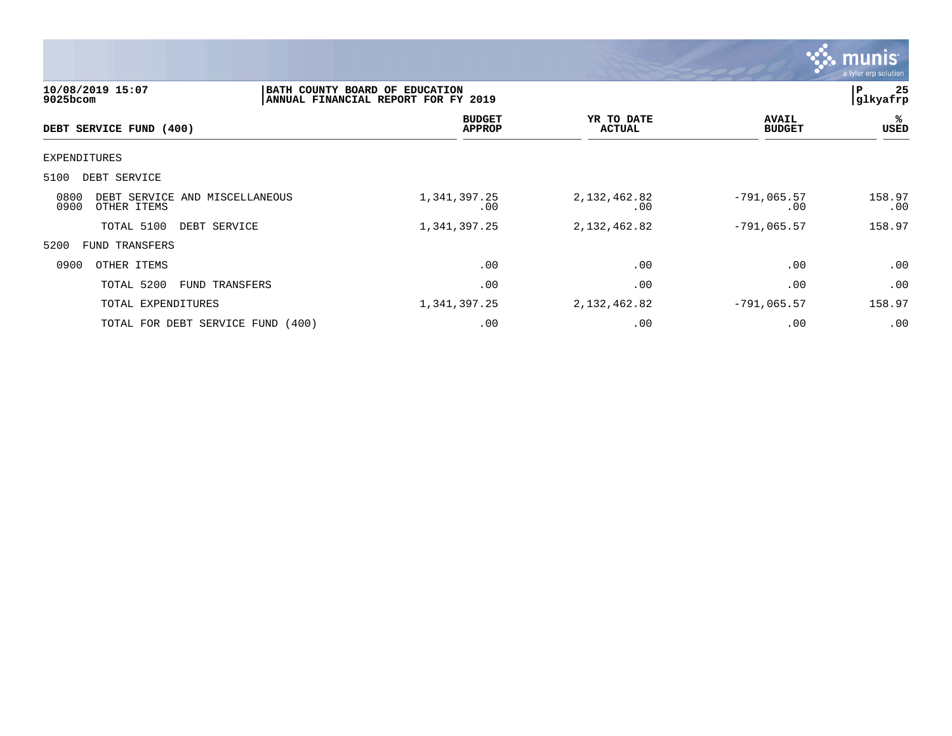![](_page_24_Picture_0.jpeg)

| 10/08/2019 15:07<br>9025bcom                                  |                | BATH COUNTY BOARD OF EDUCATION<br>ANNUAL FINANCIAL REPORT FOR FY 2019 |                                |                             |                               | 25<br>ΙP<br> glkyafrp |
|---------------------------------------------------------------|----------------|-----------------------------------------------------------------------|--------------------------------|-----------------------------|-------------------------------|-----------------------|
| DEBT SERVICE FUND (400)                                       |                |                                                                       | <b>BUDGET</b><br><b>APPROP</b> | YR TO DATE<br><b>ACTUAL</b> | <b>AVAIL</b><br><b>BUDGET</b> | %<br><b>USED</b>      |
| EXPENDITURES                                                  |                |                                                                       |                                |                             |                               |                       |
| 5100<br>DEBT SERVICE                                          |                |                                                                       |                                |                             |                               |                       |
| 0800<br>DEBT SERVICE AND MISCELLANEOUS<br>0900<br>OTHER ITEMS |                | 1,341,397.25                                                          | .00                            | 2, 132, 462.82<br>.00       | $-791,065.57$<br>.00          | 158.97<br>.00         |
| TOTAL 5100<br>DEBT SERVICE                                    |                | 1,341,397.25                                                          |                                | 2, 132, 462.82              | $-791,065.57$                 | 158.97                |
| 5200<br>FUND TRANSFERS                                        |                |                                                                       |                                |                             |                               |                       |
| 0900<br>OTHER ITEMS                                           |                |                                                                       | .00                            | .00                         | .00                           | .00                   |
| TOTAL 5200                                                    | FUND TRANSFERS |                                                                       | .00                            | .00                         | .00                           | .00                   |
| TOTAL EXPENDITURES                                            |                | 1,341,397.25                                                          |                                | 2,132,462.82                | $-791,065.57$                 | 158.97                |
| TOTAL FOR DEBT SERVICE FUND (400)                             |                |                                                                       | .00                            | .00                         | .00                           | .00                   |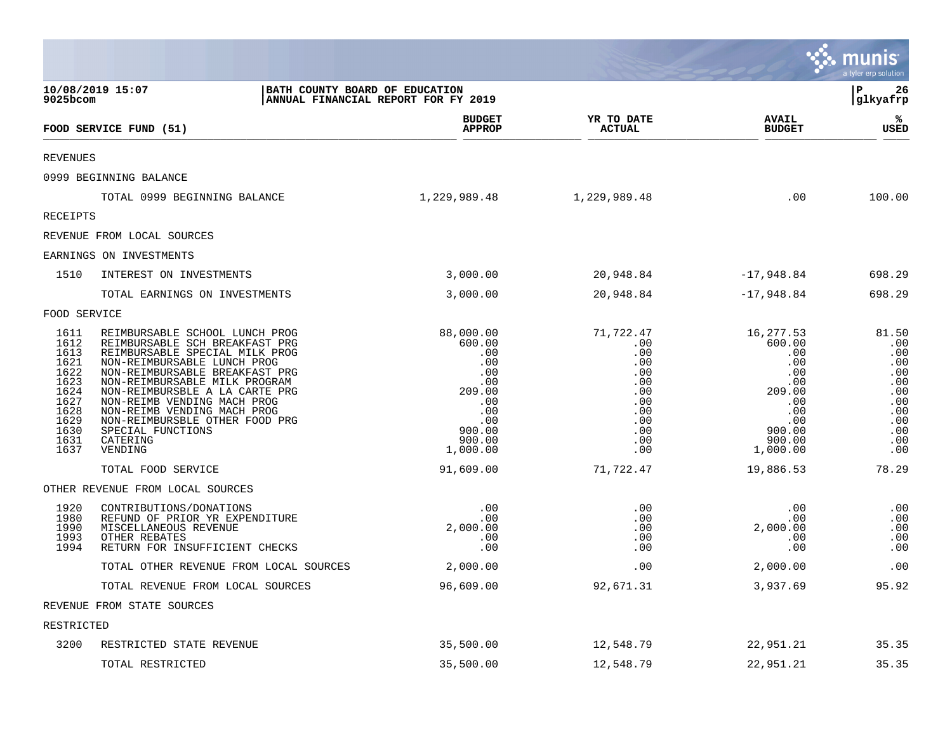|                                                                                                      |                                                                                                                                                                                                                                                                                                                                                                                    |                                                                                                                |                                                                                               |                                                                                                                | <b>२३ munis</b><br>a tyler erp solution                                                   |
|------------------------------------------------------------------------------------------------------|------------------------------------------------------------------------------------------------------------------------------------------------------------------------------------------------------------------------------------------------------------------------------------------------------------------------------------------------------------------------------------|----------------------------------------------------------------------------------------------------------------|-----------------------------------------------------------------------------------------------|----------------------------------------------------------------------------------------------------------------|-------------------------------------------------------------------------------------------|
| $9025$ bcom                                                                                          | 10/08/2019 15:07<br>BATH COUNTY BOARD OF EDUCATION                                                                                                                                                                                                                                                                                                                                 | ANNUAL FINANCIAL REPORT FOR FY 2019                                                                            |                                                                                               |                                                                                                                | l P<br>26<br> glkyafrp                                                                    |
|                                                                                                      | FOOD SERVICE FUND (51)                                                                                                                                                                                                                                                                                                                                                             | <b>BUDGET</b><br><b>APPROP</b>                                                                                 | YR TO DATE<br><b>ACTUAL</b>                                                                   | <b>AVAIL</b><br><b>BUDGET</b>                                                                                  | ℁<br><b>USED</b>                                                                          |
| <b>REVENUES</b>                                                                                      |                                                                                                                                                                                                                                                                                                                                                                                    |                                                                                                                |                                                                                               |                                                                                                                |                                                                                           |
|                                                                                                      | 0999 BEGINNING BALANCE                                                                                                                                                                                                                                                                                                                                                             |                                                                                                                |                                                                                               |                                                                                                                |                                                                                           |
|                                                                                                      | TOTAL 0999 BEGINNING BALANCE                                                                                                                                                                                                                                                                                                                                                       | 1,229,989.48                                                                                                   | 1,229,989.48                                                                                  | .00                                                                                                            | 100.00                                                                                    |
| RECEIPTS                                                                                             |                                                                                                                                                                                                                                                                                                                                                                                    |                                                                                                                |                                                                                               |                                                                                                                |                                                                                           |
|                                                                                                      | REVENUE FROM LOCAL SOURCES                                                                                                                                                                                                                                                                                                                                                         |                                                                                                                |                                                                                               |                                                                                                                |                                                                                           |
|                                                                                                      | EARNINGS ON INVESTMENTS                                                                                                                                                                                                                                                                                                                                                            |                                                                                                                |                                                                                               |                                                                                                                |                                                                                           |
| 1510                                                                                                 | INTEREST ON INVESTMENTS                                                                                                                                                                                                                                                                                                                                                            | 3,000.00                                                                                                       | 20,948.84                                                                                     | $-17,948.84$                                                                                                   | 698.29                                                                                    |
|                                                                                                      | TOTAL EARNINGS ON INVESTMENTS                                                                                                                                                                                                                                                                                                                                                      | 3,000.00                                                                                                       | 20,948.84                                                                                     | $-17,948.84$                                                                                                   | 698.29                                                                                    |
| FOOD SERVICE                                                                                         |                                                                                                                                                                                                                                                                                                                                                                                    |                                                                                                                |                                                                                               |                                                                                                                |                                                                                           |
| 1611<br>1612<br>1613<br>1621<br>1622<br>1623<br>1624<br>1627<br>1628<br>1629<br>1630<br>1631<br>1637 | REIMBURSABLE SCHOOL LUNCH PROG<br>REIMBURSABLE SCH BREAKFAST PRG<br>REIMBURSABLE SPECIAL MILK PROG<br>NON-REIMBURSABLE LUNCH PROG<br>NON-REIMBURSABLE BREAKFAST PRG<br>NON-REIMBURSABLE MILK PROGRAM<br>NON-REIMBURSBLE A LA CARTE PRG<br>NON-REIMB VENDING MACH PROG<br>NON-REIMB VENDING MACH PROG<br>NON-REIMBURSBLE OTHER FOOD PRG<br>SPECIAL FUNCTIONS<br>CATERING<br>VENDING | 88,000.00<br>600.00<br>.00<br>.00<br>.00<br>.00<br>209.00<br>.00<br>.00<br>.00<br>900.00<br>900.00<br>1,000.00 | 71,722.47<br>.00<br>.00<br>.00<br>.00<br>.00<br>.00<br>.00<br>.00<br>.00<br>.00<br>.00<br>.00 | 16,277.53<br>600.00<br>.00<br>.00<br>.00<br>.00<br>209.00<br>.00<br>.00<br>.00<br>900.00<br>900.00<br>1,000.00 | 81.50<br>.00<br>.00<br>.00<br>.00<br>.00<br>.00<br>.00<br>.00<br>.00<br>.00<br>.00<br>.00 |
|                                                                                                      | TOTAL FOOD SERVICE                                                                                                                                                                                                                                                                                                                                                                 | 91,609.00                                                                                                      | 71,722.47                                                                                     | 19,886.53                                                                                                      | 78.29                                                                                     |
|                                                                                                      | OTHER REVENUE FROM LOCAL SOURCES                                                                                                                                                                                                                                                                                                                                                   |                                                                                                                |                                                                                               |                                                                                                                |                                                                                           |
| 1920<br>1980<br>1990<br>1993<br>1994                                                                 | CONTRIBUTIONS/DONATIONS<br>REFUND OF PRIOR YR EXPENDITURE<br>MISCELLANEOUS REVENUE<br>OTHER REBATES<br>RETURN FOR INSUFFICIENT CHECKS                                                                                                                                                                                                                                              | .00<br>.00<br>2,000.00<br>.00<br>.00                                                                           | .00<br>.00<br>.00<br>.00<br>.00                                                               | .00<br>.00<br>2,000.00<br>.00<br>.00                                                                           | .00<br>.00<br>.00<br>.00<br>.00                                                           |
|                                                                                                      | TOTAL OTHER REVENUE FROM LOCAL SOURCES                                                                                                                                                                                                                                                                                                                                             | 2,000.00                                                                                                       | .00                                                                                           | 2,000.00                                                                                                       | .00                                                                                       |
|                                                                                                      | TOTAL REVENUE FROM LOCAL SOURCES                                                                                                                                                                                                                                                                                                                                                   | 96,609.00                                                                                                      | 92,671.31                                                                                     | 3,937.69                                                                                                       | 95.92                                                                                     |
|                                                                                                      | REVENUE FROM STATE SOURCES                                                                                                                                                                                                                                                                                                                                                         |                                                                                                                |                                                                                               |                                                                                                                |                                                                                           |
| RESTRICTED                                                                                           |                                                                                                                                                                                                                                                                                                                                                                                    |                                                                                                                |                                                                                               |                                                                                                                |                                                                                           |
| 3200                                                                                                 | RESTRICTED STATE REVENUE                                                                                                                                                                                                                                                                                                                                                           | 35,500.00                                                                                                      | 12,548.79                                                                                     | 22,951.21                                                                                                      | 35.35                                                                                     |
|                                                                                                      | TOTAL RESTRICTED                                                                                                                                                                                                                                                                                                                                                                   | 35,500.00                                                                                                      | 12,548.79                                                                                     | 22,951.21                                                                                                      | 35.35                                                                                     |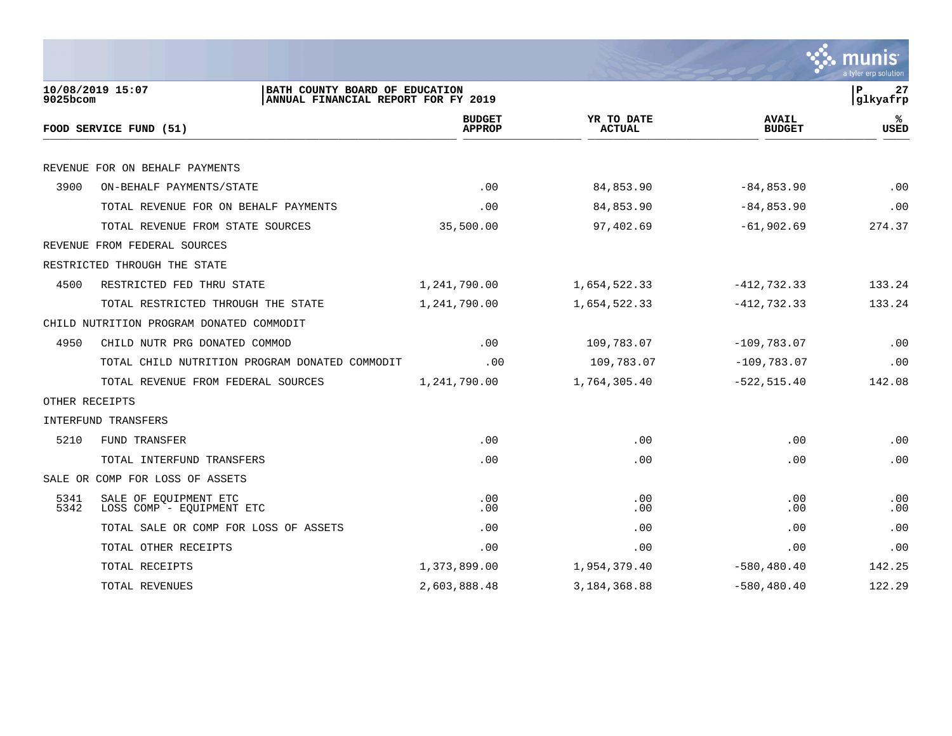![](_page_26_Picture_0.jpeg)

| 9025bcom       | 10/08/2019 15:07<br>BATH COUNTY BOARD OF EDUCATION | ANNUAL FINANCIAL REPORT FOR FY 2019 |                             |                               | P<br>27<br>glkyafrp |
|----------------|----------------------------------------------------|-------------------------------------|-----------------------------|-------------------------------|---------------------|
|                | FOOD SERVICE FUND (51)                             | <b>BUDGET</b><br><b>APPROP</b>      | YR TO DATE<br><b>ACTUAL</b> | <b>AVAIL</b><br><b>BUDGET</b> | %ะ<br><b>USED</b>   |
|                |                                                    |                                     |                             |                               |                     |
|                | REVENUE FOR ON BEHALF PAYMENTS                     |                                     |                             |                               |                     |
| 3900           | ON-BEHALF PAYMENTS/STATE                           | .00                                 | 84,853.90                   | $-84, 853.90$                 | .00                 |
|                | TOTAL REVENUE FOR ON BEHALF PAYMENTS               | .00                                 | 84,853.90                   | $-84, 853.90$                 | .00                 |
|                | TOTAL REVENUE FROM STATE SOURCES                   | 35,500.00                           | 97,402.69                   | $-61,902.69$                  | 274.37              |
|                | REVENUE FROM FEDERAL SOURCES                       |                                     |                             |                               |                     |
|                | RESTRICTED THROUGH THE STATE                       |                                     |                             |                               |                     |
| 4500           | RESTRICTED FED THRU STATE                          | 1,241,790.00                        | 1,654,522.33                | $-412, 732.33$                | 133.24              |
|                | TOTAL RESTRICTED THROUGH THE STATE                 | 1,241,790.00                        | 1,654,522.33                | $-412, 732.33$                | 133.24              |
|                | CHILD NUTRITION PROGRAM DONATED COMMODIT           |                                     |                             |                               |                     |
| 4950           | CHILD NUTR PRG DONATED COMMOD                      | .00                                 | 109,783.07                  | $-109,783.07$                 | .00                 |
|                | TOTAL CHILD NUTRITION PROGRAM DONATED COMMODIT     | .00                                 | 109,783.07                  | $-109,783.07$                 | .00                 |
|                | TOTAL REVENUE FROM FEDERAL SOURCES                 | 1,241,790.00                        | 1,764,305.40                | $-522, 515.40$                | 142.08              |
| OTHER RECEIPTS |                                                    |                                     |                             |                               |                     |
|                | INTERFUND TRANSFERS                                |                                     |                             |                               |                     |
| 5210           | FUND TRANSFER                                      | .00                                 | .00                         | .00                           | .00                 |
|                | TOTAL INTERFUND TRANSFERS                          | .00                                 | .00                         | .00                           | .00                 |
|                | SALE OR COMP FOR LOSS OF ASSETS                    |                                     |                             |                               |                     |
| 5341<br>5342   | SALE OF EQUIPMENT ETC<br>LOSS COMP - EOUIPMENT ETC | .00<br>.00                          | .00<br>.00                  | .00<br>.00                    | .00<br>.00          |
|                | TOTAL SALE OR COMP FOR LOSS OF ASSETS              | .00                                 | .00                         | .00                           | .00                 |
|                | TOTAL OTHER RECEIPTS                               | .00                                 | .00                         | .00                           | .00                 |
|                | TOTAL RECEIPTS                                     | 1,373,899.00                        | 1,954,379.40                | $-580, 480.40$                | 142.25              |
|                | TOTAL REVENUES                                     | 2,603,888.48                        | 3,184,368.88                | $-580, 480.40$                | 122.29              |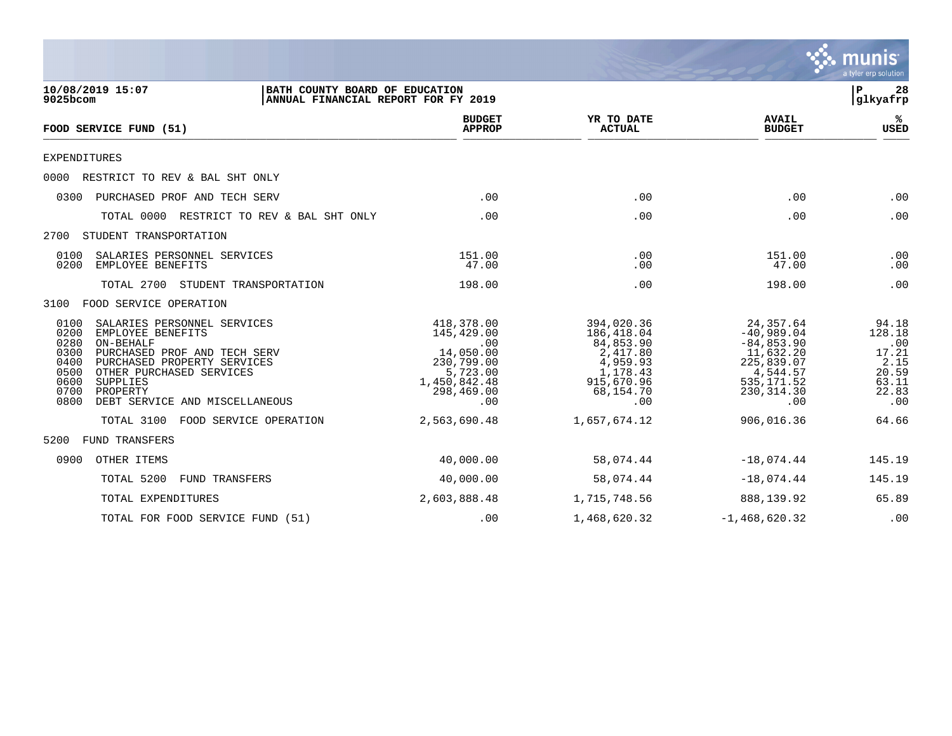![](_page_27_Picture_0.jpeg)

| 10/08/2019 15:07<br>9025bcom                                                                                                                                                                                                                                                                      | BATH COUNTY BOARD OF EDUCATION<br>ANNUAL FINANCIAL REPORT FOR FY 2019                                       |                                                                                                             |                                                                                                                       | l P<br>28<br>glkyafrp                                                     |
|---------------------------------------------------------------------------------------------------------------------------------------------------------------------------------------------------------------------------------------------------------------------------------------------------|-------------------------------------------------------------------------------------------------------------|-------------------------------------------------------------------------------------------------------------|-----------------------------------------------------------------------------------------------------------------------|---------------------------------------------------------------------------|
| FOOD SERVICE FUND (51)                                                                                                                                                                                                                                                                            | <b>BUDGET</b><br><b>APPROP</b>                                                                              | YR TO DATE<br><b>ACTUAL</b>                                                                                 | <b>AVAIL</b><br><b>BUDGET</b>                                                                                         | ℁<br><b>USED</b>                                                          |
| <b>EXPENDITURES</b>                                                                                                                                                                                                                                                                               |                                                                                                             |                                                                                                             |                                                                                                                       |                                                                           |
| 0000<br>RESTRICT TO REV & BAL SHT ONLY                                                                                                                                                                                                                                                            |                                                                                                             |                                                                                                             |                                                                                                                       |                                                                           |
| 0300<br>PURCHASED PROF AND TECH SERV                                                                                                                                                                                                                                                              | .00                                                                                                         | .00                                                                                                         | .00                                                                                                                   | .00                                                                       |
| TOTAL 0000 RESTRICT TO REV & BAL SHT ONLY                                                                                                                                                                                                                                                         | .00                                                                                                         | .00                                                                                                         | .00                                                                                                                   | .00                                                                       |
| STUDENT TRANSPORTATION<br>2700                                                                                                                                                                                                                                                                    |                                                                                                             |                                                                                                             |                                                                                                                       |                                                                           |
| 0100<br>SALARIES PERSONNEL SERVICES<br>0200<br>EMPLOYEE BENEFITS                                                                                                                                                                                                                                  | 151.00<br>47.00                                                                                             | .00<br>.00                                                                                                  | 151.00<br>47.00                                                                                                       | .00<br>.00                                                                |
| TOTAL 2700<br>STUDENT TRANSPORTATION                                                                                                                                                                                                                                                              | 198.00                                                                                                      | .00                                                                                                         | 198.00                                                                                                                | .00                                                                       |
| 3100 FOOD SERVICE OPERATION                                                                                                                                                                                                                                                                       |                                                                                                             |                                                                                                             |                                                                                                                       |                                                                           |
| 0100<br>SALARIES PERSONNEL SERVICES<br>0200<br>EMPLOYEE BENEFITS<br>0280<br>ON-BEHALF<br>0300<br>PURCHASED PROF AND TECH SERV<br>0400<br>PURCHASED PROPERTY SERVICES<br>0500<br>OTHER PURCHASED SERVICES<br><b>SUPPLIES</b><br>0600<br>0700<br>PROPERTY<br>0800<br>DEBT SERVICE AND MISCELLANEOUS | 418,378.00<br>145,429.00<br>.00<br>14,050.00<br>230,799.00<br>5,723.00<br>1,450,842.48<br>298,469.00<br>.00 | 394,020.36<br>186,418.04<br>84,853.90<br>2,417.80<br>4,959.93<br>1,178.43<br>915,670.96<br>68,154.70<br>.00 | 24,357.64<br>$-40,989.04$<br>$-84, 853.90$<br>11,632.20<br>225,839.07<br>4,544.57<br>535,171.52<br>230, 314.30<br>.00 | 94.18<br>128.18<br>.00<br>17.21<br>2.15<br>20.59<br>63.11<br>22.83<br>.00 |
| TOTAL 3100<br>FOOD SERVICE OPERATION                                                                                                                                                                                                                                                              | 2,563,690.48                                                                                                | 1,657,674.12                                                                                                | 906,016.36                                                                                                            | 64.66                                                                     |
| FUND TRANSFERS<br>5200                                                                                                                                                                                                                                                                            |                                                                                                             |                                                                                                             |                                                                                                                       |                                                                           |
| OTHER ITEMS<br>0900                                                                                                                                                                                                                                                                               | 40,000.00                                                                                                   | 58,074.44                                                                                                   | $-18,074.44$                                                                                                          | 145.19                                                                    |
| TOTAL 5200<br>FUND TRANSFERS                                                                                                                                                                                                                                                                      | 40,000.00                                                                                                   | 58,074.44                                                                                                   | $-18,074.44$                                                                                                          | 145.19                                                                    |
| TOTAL EXPENDITURES                                                                                                                                                                                                                                                                                | 2,603,888.48                                                                                                | 1,715,748.56                                                                                                | 888,139.92                                                                                                            | 65.89                                                                     |
| TOTAL FOR FOOD SERVICE FUND (51)                                                                                                                                                                                                                                                                  | .00                                                                                                         | 1,468,620.32                                                                                                | $-1,468,620.32$                                                                                                       | .00                                                                       |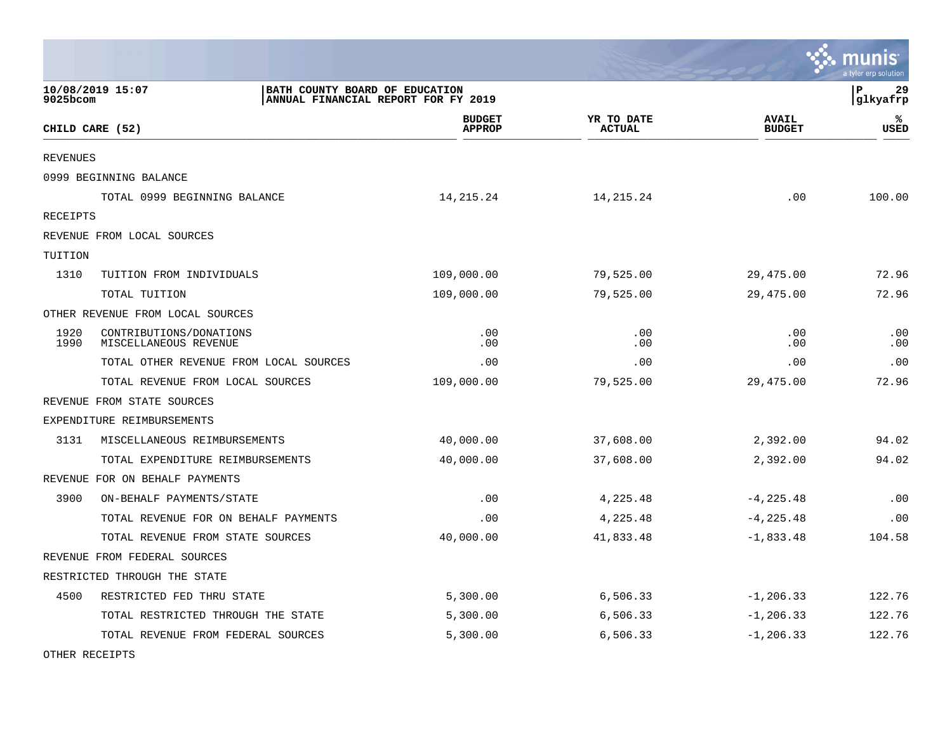|                 |                                                  |                                                                       |                             |                               | munis<br>a tyler erp solution |
|-----------------|--------------------------------------------------|-----------------------------------------------------------------------|-----------------------------|-------------------------------|-------------------------------|
| 9025bcom        | 10/08/2019 15:07                                 | BATH COUNTY BOARD OF EDUCATION<br>ANNUAL FINANCIAL REPORT FOR FY 2019 |                             |                               | l P<br>29<br> glkyafrp        |
|                 | CHILD CARE (52)                                  | <b>BUDGET</b><br><b>APPROP</b>                                        | YR TO DATE<br><b>ACTUAL</b> | <b>AVAIL</b><br><b>BUDGET</b> | ℁<br>USED                     |
| <b>REVENUES</b> |                                                  |                                                                       |                             |                               |                               |
|                 | 0999 BEGINNING BALANCE                           |                                                                       |                             |                               |                               |
|                 | TOTAL 0999 BEGINNING BALANCE                     | 14,215.24                                                             | 14, 215. 24                 | .00                           | 100.00                        |
| RECEIPTS        |                                                  |                                                                       |                             |                               |                               |
|                 | REVENUE FROM LOCAL SOURCES                       |                                                                       |                             |                               |                               |
| TUITION         |                                                  |                                                                       |                             |                               |                               |
| 1310            | TUITION FROM INDIVIDUALS                         | 109,000.00                                                            | 79,525.00                   | 29,475.00                     | 72.96                         |
|                 | TOTAL TUITION                                    | 109,000.00                                                            | 79,525.00                   | 29,475.00                     | 72.96                         |
|                 | OTHER REVENUE FROM LOCAL SOURCES                 |                                                                       |                             |                               |                               |
| 1920<br>1990    | CONTRIBUTIONS/DONATIONS<br>MISCELLANEOUS REVENUE | .00<br>.00                                                            | .00<br>.00                  | .00<br>.00                    | .00<br>.00                    |
|                 | TOTAL OTHER REVENUE FROM LOCAL SOURCES           | .00                                                                   | .00                         | .00                           | .00                           |
|                 | TOTAL REVENUE FROM LOCAL SOURCES                 | 109,000.00                                                            | 79,525.00                   | 29,475.00                     | 72.96                         |
|                 | REVENUE FROM STATE SOURCES                       |                                                                       |                             |                               |                               |
|                 | EXPENDITURE REIMBURSEMENTS                       |                                                                       |                             |                               |                               |
| 3131            | MISCELLANEOUS REIMBURSEMENTS                     | 40,000.00                                                             | 37,608.00                   | 2,392.00                      | 94.02                         |
|                 | TOTAL EXPENDITURE REIMBURSEMENTS                 | 40,000.00                                                             | 37,608.00                   | 2,392.00                      | 94.02                         |
|                 | REVENUE FOR ON BEHALF PAYMENTS                   |                                                                       |                             |                               |                               |
| 3900            | ON-BEHALF PAYMENTS/STATE                         | .00                                                                   | 4,225.48                    | $-4, 225.48$                  | .00                           |
|                 | TOTAL REVENUE FOR ON BEHALF PAYMENTS             | .00                                                                   | 4,225.48                    | $-4, 225.48$                  | .00                           |
|                 | TOTAL REVENUE FROM STATE SOURCES                 | 40,000.00                                                             | 41,833.48                   | $-1,833.48$                   | 104.58                        |
|                 | REVENUE FROM FEDERAL SOURCES                     |                                                                       |                             |                               |                               |
|                 | RESTRICTED THROUGH THE STATE                     |                                                                       |                             |                               |                               |
| 4500            | RESTRICTED FED THRU STATE                        | 5,300.00                                                              | 6,506.33                    | $-1, 206.33$                  | 122.76                        |
|                 | TOTAL RESTRICTED THROUGH THE STATE               | 5,300.00                                                              | 6,506.33                    | $-1, 206.33$                  | 122.76                        |
|                 | TOTAL REVENUE FROM FEDERAL SOURCES               | 5,300.00                                                              | 6,506.33                    | $-1, 206.33$                  | 122.76                        |
|                 |                                                  |                                                                       |                             |                               |                               |

 $\mathcal{L}$ 

OTHER RECEIPTS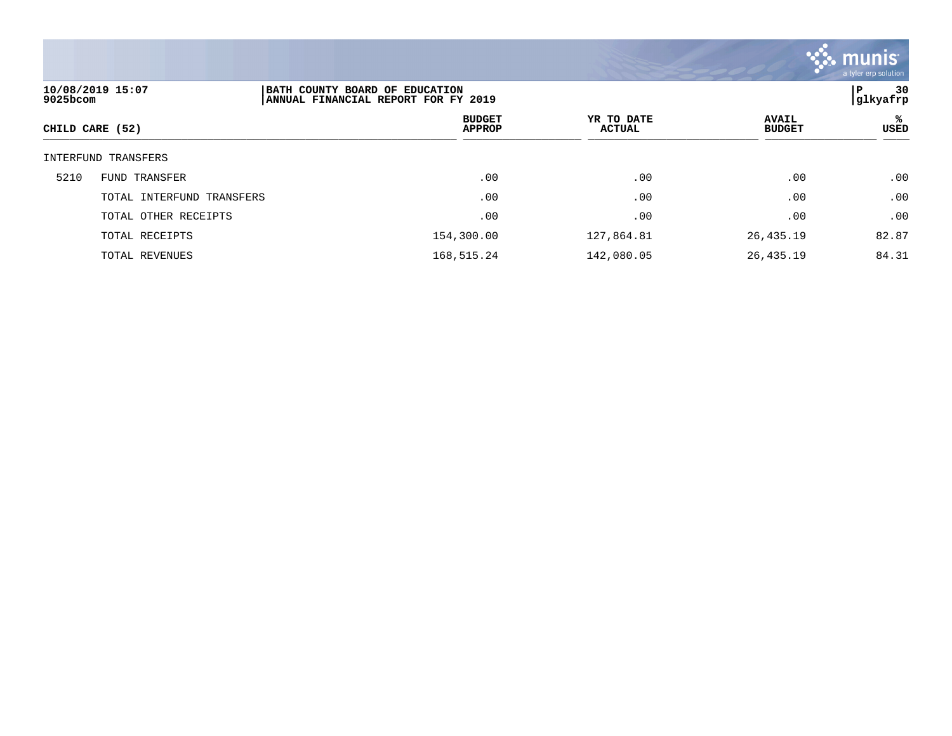![](_page_29_Picture_0.jpeg)

| 10/08/2019 15:07<br>9025bcom |                           | BATH COUNTY BOARD OF EDUCATION<br>ANNUAL FINANCIAL REPORT FOR FY 2019 |                             |                               | 30<br>Р<br> glkyafrp |  |
|------------------------------|---------------------------|-----------------------------------------------------------------------|-----------------------------|-------------------------------|----------------------|--|
|                              | CHILD CARE (52)           | <b>BUDGET</b><br><b>APPROP</b>                                        | YR TO DATE<br><b>ACTUAL</b> | <b>AVAIL</b><br><b>BUDGET</b> | ℁<br><b>USED</b>     |  |
|                              | INTERFUND TRANSFERS       |                                                                       |                             |                               |                      |  |
| 5210                         | <b>FUND TRANSFER</b>      | .00                                                                   | .00                         | .00                           | .00                  |  |
|                              | TOTAL INTERFUND TRANSFERS | .00                                                                   | .00                         | .00                           | .00                  |  |
|                              | TOTAL OTHER RECEIPTS      | .00                                                                   | .00                         | .00                           | .00                  |  |
|                              | TOTAL RECEIPTS            | 154,300.00                                                            | 127,864.81                  | 26,435.19                     | 82.87                |  |
|                              | TOTAL REVENUES            | 168,515.24                                                            | 142,080.05                  | 26,435.19                     | 84.31                |  |
|                              |                           |                                                                       |                             |                               |                      |  |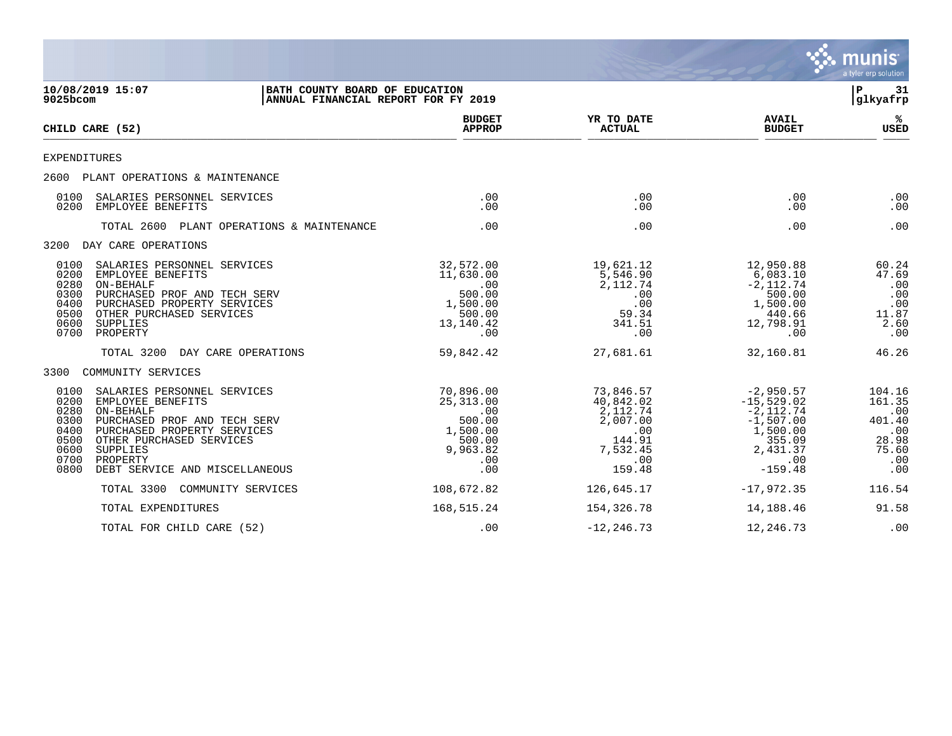|                                                                                                                                                                                                                                                                                            |                                                                                               |                                                                                              |                                                                                                                  | <b>munis</b><br>a tyler erp solution                                     |
|--------------------------------------------------------------------------------------------------------------------------------------------------------------------------------------------------------------------------------------------------------------------------------------------|-----------------------------------------------------------------------------------------------|----------------------------------------------------------------------------------------------|------------------------------------------------------------------------------------------------------------------|--------------------------------------------------------------------------|
| 10/08/2019 15:07<br>BATH COUNTY BOARD OF EDUCATION<br>$9025$ bcom<br>ANNUAL FINANCIAL REPORT FOR FY 2019                                                                                                                                                                                   |                                                                                               |                                                                                              |                                                                                                                  | ΙP<br>-31<br> glkyafrp                                                   |
| CHILD CARE (52)                                                                                                                                                                                                                                                                            | <b>BUDGET</b><br><b>APPROP</b>                                                                | YR TO DATE<br><b>ACTUAL</b>                                                                  | <b>AVAIL</b><br><b>BUDGET</b>                                                                                    | ℁<br><b>USED</b>                                                         |
| EXPENDITURES                                                                                                                                                                                                                                                                               |                                                                                               |                                                                                              |                                                                                                                  |                                                                          |
| 2600 PLANT OPERATIONS & MAINTENANCE                                                                                                                                                                                                                                                        |                                                                                               |                                                                                              |                                                                                                                  |                                                                          |
| SALARIES PERSONNEL SERVICES<br>0100<br>0200<br>EMPLOYEE BENEFITS                                                                                                                                                                                                                           | $.00 \,$<br>$.00 \,$                                                                          | .00<br>.00                                                                                   | .00<br>.00                                                                                                       | .00<br>.00                                                               |
| TOTAL 2600 PLANT OPERATIONS & MAINTENANCE                                                                                                                                                                                                                                                  | .00                                                                                           | .00                                                                                          | .00                                                                                                              | .00                                                                      |
| 3200 DAY CARE OPERATIONS                                                                                                                                                                                                                                                                   |                                                                                               |                                                                                              |                                                                                                                  |                                                                          |
| 0100<br>SALARIES PERSONNEL SERVICES<br>0200<br>EMPLOYEE BENEFITS<br>0280<br>ON-BEHALF<br>0300<br>PURCHASED PROF AND TECH SERV<br>0400<br>PURCHASED PROPERTY SERVICES<br>0500<br>OTHER PURCHASED SERVICES<br>0600<br><b>SUPPLIES</b><br>0700<br>PROPERTY                                    | 32,572.00<br>11,630.00<br>$.00 \,$<br>500.00<br>1,500.00<br>500.00<br>13,140.42<br>.00        | 19,621.12<br>5,546.90<br>2, 112.74<br>.00<br>.00<br>59.34<br>341.51<br>$.00 \,$              | 12,950.88<br>6,083.10<br>$-2,112.74$<br>500.00<br>1,500.00<br>440.66<br>12,798.91<br>$.00 \,$                    | 60.24<br>47.69<br>.00<br>.00<br>.00<br>11.87<br>2.60<br>.00              |
| TOTAL 3200<br>DAY CARE OPERATIONS                                                                                                                                                                                                                                                          | 59,842.42                                                                                     | 27,681.61                                                                                    | 32,160.81                                                                                                        | 46.26                                                                    |
| 3300<br>COMMUNITY SERVICES                                                                                                                                                                                                                                                                 |                                                                                               |                                                                                              |                                                                                                                  |                                                                          |
| 0100<br>SALARIES PERSONNEL SERVICES<br>0200<br>EMPLOYEE BENEFITS<br>0280<br>ON-BEHALF<br>0300<br>PURCHASED PROF AND TECH SERV<br>0400<br>PURCHASED PROPERTY SERVICES<br>0500<br>OTHER PURCHASED SERVICES<br>0600<br>SUPPLIES<br>0700<br>PROPERTY<br>0800<br>DEBT SERVICE AND MISCELLANEOUS | 70,896.00<br>25, 313.00<br>$.00 \,$<br>500.00<br>1,500.00<br>500.00<br>9,963.82<br>.00<br>.00 | 73,846.57<br>40,842.02<br>2,112.74<br>2,007.00<br>.00<br>144.91<br>7,532.45<br>.00<br>159.48 | $-2,950.57$<br>$-15, 529.02$<br>$-2,112.74$<br>$-1,507.00$<br>1,500.00<br>355.09<br>2,431.37<br>.00<br>$-159.48$ | 104.16<br>161.35<br>.00<br>401.40<br>.00<br>28.98<br>75.60<br>.00<br>.00 |
| TOTAL 3300<br>COMMUNITY SERVICES                                                                                                                                                                                                                                                           | 108,672.82                                                                                    | 126,645.17                                                                                   | $-17,972.35$                                                                                                     | 116.54                                                                   |
| TOTAL EXPENDITURES                                                                                                                                                                                                                                                                         | 168,515.24                                                                                    | 154,326.78                                                                                   | 14,188.46                                                                                                        | 91.58                                                                    |
| TOTAL FOR CHILD CARE (52)                                                                                                                                                                                                                                                                  | .00                                                                                           | $-12, 246.73$                                                                                | 12,246.73                                                                                                        | .00                                                                      |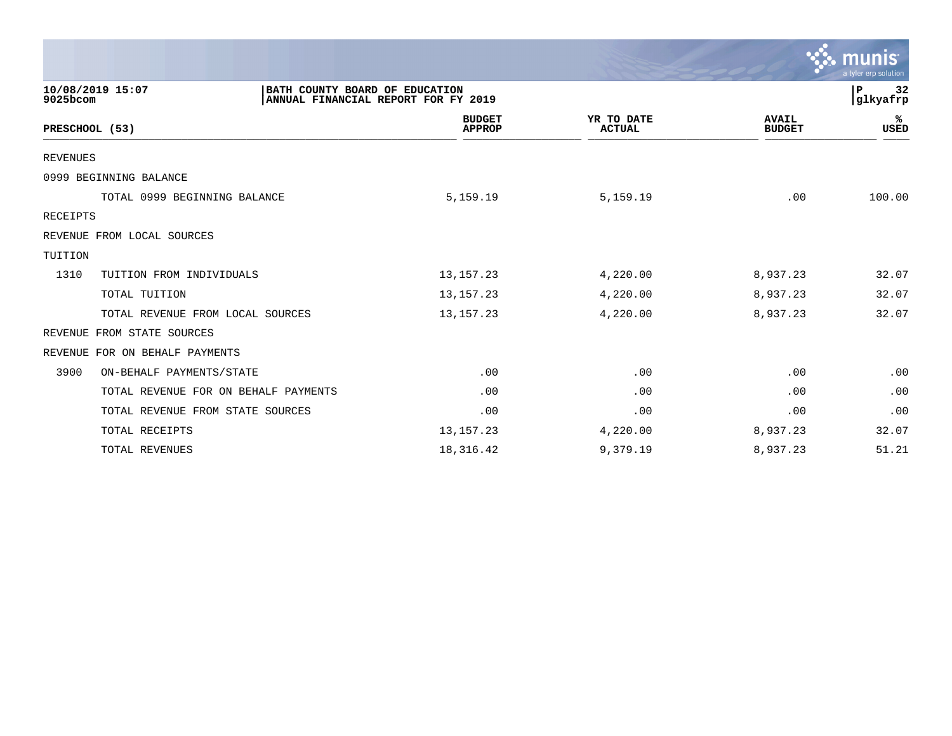|                                                                                                       |                                |                             |                               | $\mathbb{C}$ . munist<br>a tyler erp solution |
|-------------------------------------------------------------------------------------------------------|--------------------------------|-----------------------------|-------------------------------|-----------------------------------------------|
| 10/08/2019 15:07<br>BATH COUNTY BOARD OF EDUCATION<br>ANNUAL FINANCIAL REPORT FOR FY 2019<br>9025bcom |                                | 32<br>P<br>glkyafrp         |                               |                                               |
| PRESCHOOL (53)                                                                                        | <b>BUDGET</b><br><b>APPROP</b> | YR TO DATE<br><b>ACTUAL</b> | <b>AVAIL</b><br><b>BUDGET</b> | %ะ<br><b>USED</b>                             |
| <b>REVENUES</b>                                                                                       |                                |                             |                               |                                               |
| 0999 BEGINNING BALANCE                                                                                |                                |                             |                               |                                               |
| TOTAL 0999 BEGINNING BALANCE                                                                          | 5,159.19                       | 5,159.19                    | .00                           | 100.00                                        |
| RECEIPTS                                                                                              |                                |                             |                               |                                               |
| REVENUE FROM LOCAL SOURCES                                                                            |                                |                             |                               |                                               |
| TUITION                                                                                               |                                |                             |                               |                                               |
| 1310<br>TUITION FROM INDIVIDUALS                                                                      | 13, 157. 23                    | 4,220.00                    | 8,937.23                      | 32.07                                         |
| TOTAL TUITION                                                                                         | 13, 157. 23                    | 4,220.00                    | 8,937.23                      | 32.07                                         |
| TOTAL REVENUE FROM LOCAL SOURCES                                                                      | 13, 157. 23                    | 4,220.00                    | 8,937.23                      | 32.07                                         |
| FROM STATE SOURCES<br>REVENUE                                                                         |                                |                             |                               |                                               |
| FOR ON BEHALF PAYMENTS<br>REVENUE                                                                     |                                |                             |                               |                                               |
| 3900<br>ON-BEHALF PAYMENTS/STATE                                                                      | .00                            | .00                         | .00                           | .00                                           |
| TOTAL REVENUE FOR ON BEHALF PAYMENTS                                                                  | .00                            | .00                         | .00                           | .00                                           |
| TOTAL REVENUE FROM STATE SOURCES                                                                      | .00                            | .00                         | .00                           | .00                                           |
| TOTAL RECEIPTS                                                                                        | 13, 157. 23                    | 4,220.00                    | 8,937.23                      | 32.07                                         |
| TOTAL REVENUES                                                                                        | 18,316.42                      | 9,379.19                    | 8,937.23                      | 51.21                                         |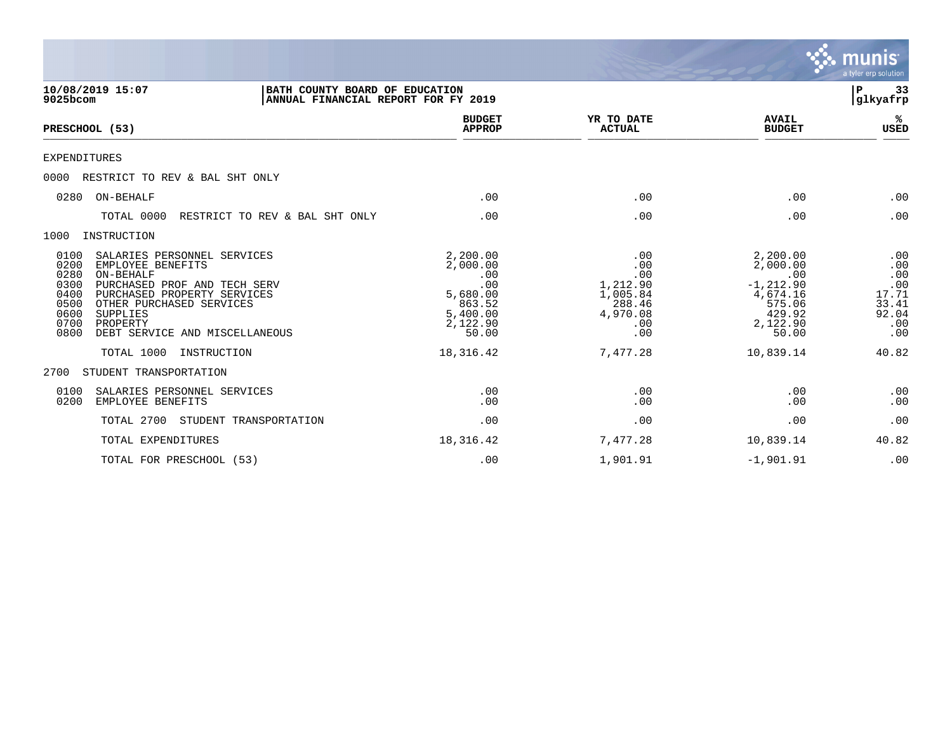|                                                                                                                                                                                                                                                                                            |                                                                                           |                                                                               |                                                                                                  | <b>munis</b><br>a tyler erp solution                              |
|--------------------------------------------------------------------------------------------------------------------------------------------------------------------------------------------------------------------------------------------------------------------------------------------|-------------------------------------------------------------------------------------------|-------------------------------------------------------------------------------|--------------------------------------------------------------------------------------------------|-------------------------------------------------------------------|
| 10/08/2019 15:07<br>$9025$ bcom                                                                                                                                                                                                                                                            | BATH COUNTY BOARD OF EDUCATION<br>ANNUAL FINANCIAL REPORT FOR FY 2019                     |                                                                               |                                                                                                  | 33<br>P<br>glkyafrp                                               |
| PRESCHOOL (53)                                                                                                                                                                                                                                                                             | <b>BUDGET</b><br><b>APPROP</b>                                                            | YR TO DATE<br><b>ACTUAL</b>                                                   | <b>AVAIL</b><br><b>BUDGET</b>                                                                    | ℁<br><b>USED</b>                                                  |
| EXPENDITURES                                                                                                                                                                                                                                                                               |                                                                                           |                                                                               |                                                                                                  |                                                                   |
| 0000<br>RESTRICT TO REV & BAL SHT ONLY                                                                                                                                                                                                                                                     |                                                                                           |                                                                               |                                                                                                  |                                                                   |
| ON-BEHALF<br>0280                                                                                                                                                                                                                                                                          | .00                                                                                       | .00                                                                           | .00                                                                                              | .00                                                               |
| TOTAL 0000<br>RESTRICT TO REV & BAL SHT ONLY                                                                                                                                                                                                                                               | .00                                                                                       | .00                                                                           | .00                                                                                              | .00                                                               |
| 1000<br>INSTRUCTION                                                                                                                                                                                                                                                                        |                                                                                           |                                                                               |                                                                                                  |                                                                   |
| 0100<br>SALARIES PERSONNEL SERVICES<br>0200<br>EMPLOYEE BENEFITS<br>0280<br>ON-BEHALF<br>0300<br>PURCHASED PROF AND TECH SERV<br>0400<br>PURCHASED PROPERTY SERVICES<br>0500<br>OTHER PURCHASED SERVICES<br>0600<br>SUPPLIES<br>0700<br>PROPERTY<br>0800<br>DEBT SERVICE AND MISCELLANEOUS | 2,200.00<br>2,000.00<br>.00<br>.00<br>5,680.00<br>863.52<br>5,400.00<br>2,122.90<br>50.00 | .00<br>.00<br>.00<br>1,212.90<br>1,005.84<br>288.46<br>4,970.08<br>.00<br>.00 | 2,200.00<br>2,000.00<br>.00<br>$-1, 212.90$<br>4,674.16<br>575.06<br>429.92<br>2,122.90<br>50.00 | .00<br>.00<br>.00<br>.00<br>17.71<br>33.41<br>92.04<br>.00<br>.00 |
| TOTAL 1000<br>INSTRUCTION                                                                                                                                                                                                                                                                  | 18,316.42                                                                                 | 7,477.28                                                                      | 10,839.14                                                                                        | 40.82                                                             |
| STUDENT TRANSPORTATION<br>2700                                                                                                                                                                                                                                                             |                                                                                           |                                                                               |                                                                                                  |                                                                   |
| 0100<br>SALARIES PERSONNEL SERVICES<br>0200<br>EMPLOYEE BENEFITS                                                                                                                                                                                                                           | .00<br>.00                                                                                | .00<br>.00                                                                    | .00<br>.00                                                                                       | .00<br>.00                                                        |
| TOTAL 2700<br>STUDENT TRANSPORTATION                                                                                                                                                                                                                                                       | .00                                                                                       | .00                                                                           | .00                                                                                              | .00                                                               |
| TOTAL EXPENDITURES                                                                                                                                                                                                                                                                         | 18,316.42                                                                                 | 7,477.28                                                                      | 10,839.14                                                                                        | 40.82                                                             |
| TOTAL FOR PRESCHOOL (53)                                                                                                                                                                                                                                                                   | .00                                                                                       | 1,901.91                                                                      | $-1,901.91$                                                                                      | .00                                                               |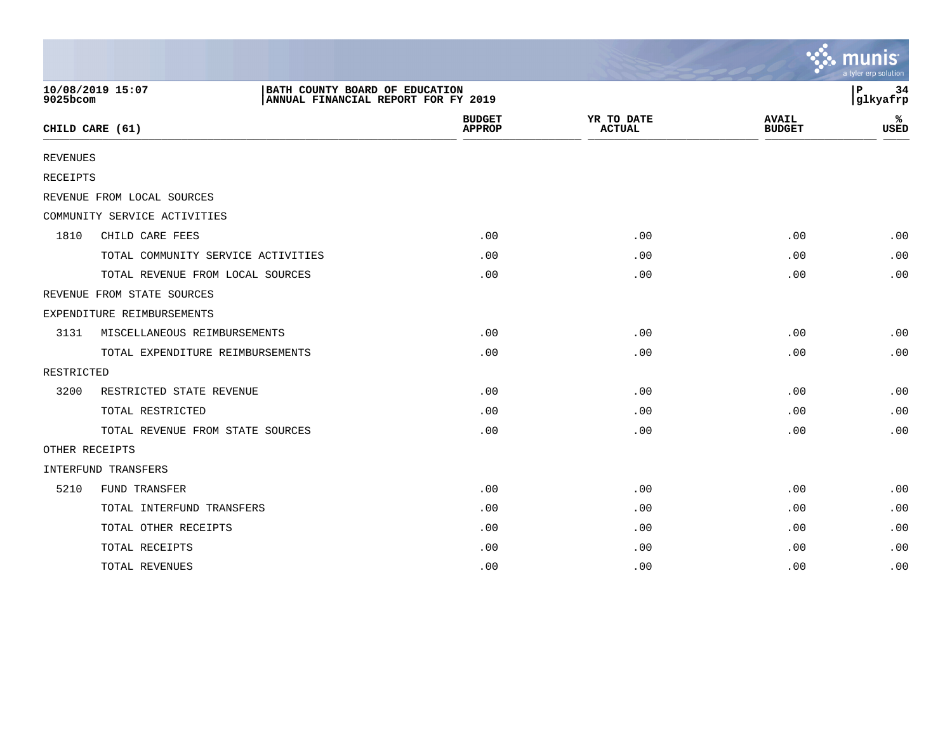|                 |                                                                                           |                                |                             |                               | $\sim$ munis<br>a tyler erp solution |
|-----------------|-------------------------------------------------------------------------------------------|--------------------------------|-----------------------------|-------------------------------|--------------------------------------|
| 9025bcom        | 10/08/2019 15:07<br>BATH COUNTY BOARD OF EDUCATION<br>ANNUAL FINANCIAL REPORT FOR FY 2019 |                                |                             |                               | 34<br>P<br>glkyafrp                  |
|                 | CHILD CARE (61)                                                                           | <b>BUDGET</b><br><b>APPROP</b> | YR TO DATE<br><b>ACTUAL</b> | <b>AVAIL</b><br><b>BUDGET</b> | ℁<br><b>USED</b>                     |
| <b>REVENUES</b> |                                                                                           |                                |                             |                               |                                      |
| <b>RECEIPTS</b> |                                                                                           |                                |                             |                               |                                      |
|                 | REVENUE FROM LOCAL SOURCES                                                                |                                |                             |                               |                                      |
|                 | COMMUNITY SERVICE ACTIVITIES                                                              |                                |                             |                               |                                      |
| 1810            | CHILD CARE FEES                                                                           | .00                            | .00                         | .00                           | .00                                  |
|                 | TOTAL COMMUNITY SERVICE ACTIVITIES                                                        | .00                            | .00                         | .00                           | .00                                  |
|                 | TOTAL REVENUE FROM LOCAL SOURCES                                                          | .00                            | .00                         | .00                           | .00                                  |
|                 | REVENUE FROM STATE SOURCES                                                                |                                |                             |                               |                                      |
|                 | EXPENDITURE REIMBURSEMENTS                                                                |                                |                             |                               |                                      |
| 3131            | MISCELLANEOUS REIMBURSEMENTS                                                              | .00                            | .00                         | .00                           | .00                                  |
|                 | TOTAL EXPENDITURE REIMBURSEMENTS                                                          | .00                            | .00                         | .00                           | .00                                  |
| RESTRICTED      |                                                                                           |                                |                             |                               |                                      |
| 3200            | RESTRICTED STATE REVENUE                                                                  | .00                            | .00                         | .00                           | .00                                  |
|                 | TOTAL RESTRICTED                                                                          | .00                            | .00                         | .00                           | .00                                  |
|                 | TOTAL REVENUE FROM STATE SOURCES                                                          | .00                            | .00                         | .00                           | .00                                  |
|                 | OTHER RECEIPTS                                                                            |                                |                             |                               |                                      |
|                 | INTERFUND TRANSFERS                                                                       |                                |                             |                               |                                      |
| 5210            | FUND TRANSFER                                                                             | .00                            | .00                         | .00                           | .00                                  |
|                 | TOTAL INTERFUND TRANSFERS                                                                 | .00                            | .00                         | .00                           | .00                                  |
|                 | TOTAL OTHER RECEIPTS                                                                      | .00                            | .00                         | .00                           | .00                                  |
|                 | TOTAL RECEIPTS                                                                            | .00                            | .00                         | .00                           | .00                                  |
|                 | TOTAL REVENUES                                                                            | .00                            | .00                         | .00                           | .00                                  |

the contract of the contract of the contract of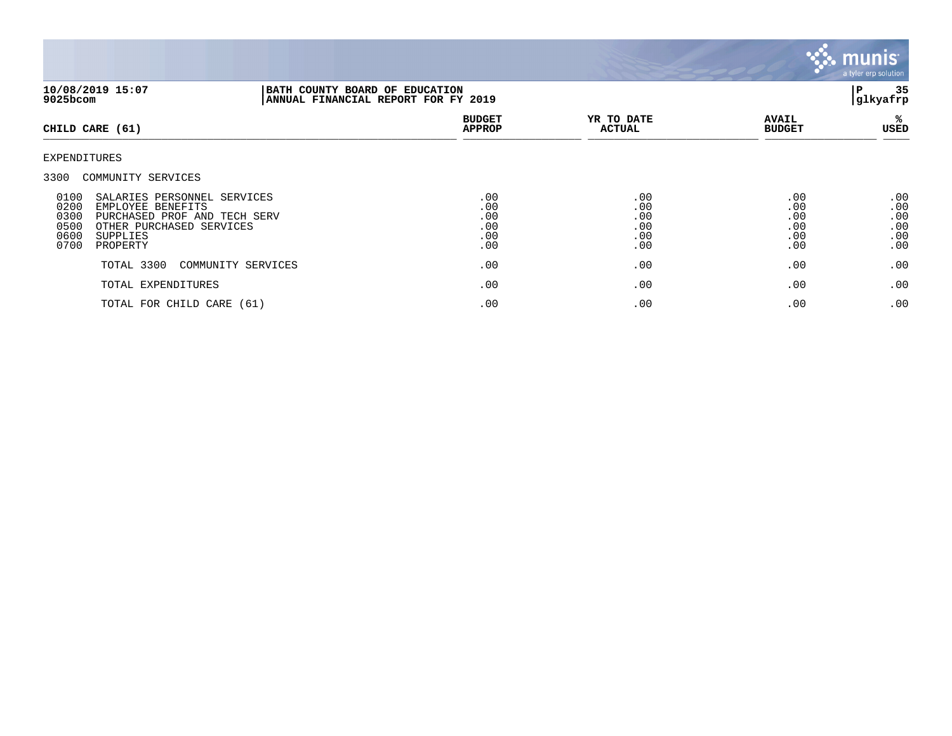![](_page_34_Picture_0.jpeg)

| 10/08/2019 15:07<br>9025bcom                                                                                                                                                                                    | BATH COUNTY BOARD OF EDUCATION<br>ANNUAL FINANCIAL REPORT FOR FY 2019 |                                        |                                        |                                        | 35<br>P<br> glkyafrp                   |  |
|-----------------------------------------------------------------------------------------------------------------------------------------------------------------------------------------------------------------|-----------------------------------------------------------------------|----------------------------------------|----------------------------------------|----------------------------------------|----------------------------------------|--|
| CHILD CARE (61)                                                                                                                                                                                                 |                                                                       | <b>BUDGET</b><br><b>APPROP</b>         | YR TO DATE<br><b>ACTUAL</b>            | <b>AVAIL</b><br><b>BUDGET</b>          | %ะ<br>USED                             |  |
| EXPENDITURES                                                                                                                                                                                                    |                                                                       |                                        |                                        |                                        |                                        |  |
| 3300 COMMUNITY SERVICES<br>0100<br>SALARIES PERSONNEL SERVICES<br>0200<br>EMPLOYEE BENEFITS<br>0300<br>PURCHASED PROF AND TECH SERV<br>0500<br>OTHER PURCHASED SERVICES<br>0600<br>SUPPLIES<br>0700<br>PROPERTY |                                                                       | .00<br>.00<br>.00<br>.00<br>.00<br>.00 | .00<br>.00<br>.00<br>.00<br>.00<br>.00 | .00<br>.00<br>.00<br>.00<br>.00<br>.00 | .00<br>.00<br>.00<br>.00<br>.00<br>.00 |  |
| TOTAL 3300                                                                                                                                                                                                      | COMMUNITY SERVICES                                                    | .00                                    | .00                                    | .00                                    | .00                                    |  |
| TOTAL EXPENDITURES                                                                                                                                                                                              |                                                                       | .00                                    | .00                                    | .00                                    | .00                                    |  |
| TOTAL FOR CHILD CARE (61)                                                                                                                                                                                       |                                                                       | .00                                    | .00                                    | .00                                    | .00                                    |  |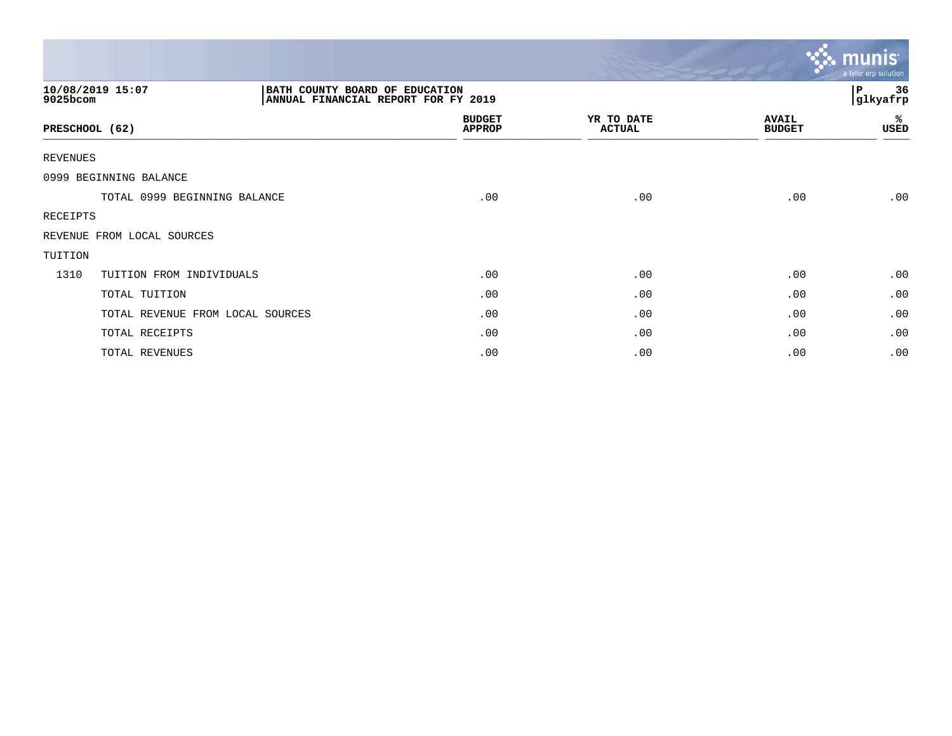|                                  |                                                                       |                                |                             |                               | $\sim$ munis<br>a tyler erp solution |
|----------------------------------|-----------------------------------------------------------------------|--------------------------------|-----------------------------|-------------------------------|--------------------------------------|
| 10/08/2019 15:07<br>9025bcom     | BATH COUNTY BOARD OF EDUCATION<br>ANNUAL FINANCIAL REPORT FOR FY 2019 |                                |                             |                               | 36<br>P<br>glkyafrp                  |
| PRESCHOOL (62)                   |                                                                       | <b>BUDGET</b><br><b>APPROP</b> | YR TO DATE<br><b>ACTUAL</b> | <b>AVAIL</b><br><b>BUDGET</b> | %ะ<br>USED                           |
| <b>REVENUES</b>                  |                                                                       |                                |                             |                               |                                      |
| 0999 BEGINNING BALANCE           |                                                                       |                                |                             |                               |                                      |
| TOTAL 0999 BEGINNING BALANCE     |                                                                       | .00                            | .00                         | .00                           | .00                                  |
| RECEIPTS                         |                                                                       |                                |                             |                               |                                      |
| REVENUE FROM LOCAL SOURCES       |                                                                       |                                |                             |                               |                                      |
| TUITION                          |                                                                       |                                |                             |                               |                                      |
| 1310<br>TUITION FROM INDIVIDUALS |                                                                       | .00                            | .00                         | .00                           | .00                                  |
| TOTAL TUITION                    |                                                                       | .00                            | .00                         | .00                           | .00                                  |
| TOTAL REVENUE FROM LOCAL SOURCES |                                                                       | .00                            | .00                         | .00                           | .00                                  |
| TOTAL RECEIPTS                   |                                                                       | .00                            | .00                         | .00                           | .00                                  |
| TOTAL REVENUES                   |                                                                       | .00                            | .00                         | .00                           | .00                                  |

 $\sim$   $\sim$   $\sim$   $\sim$   $\sim$   $\sim$   $\sim$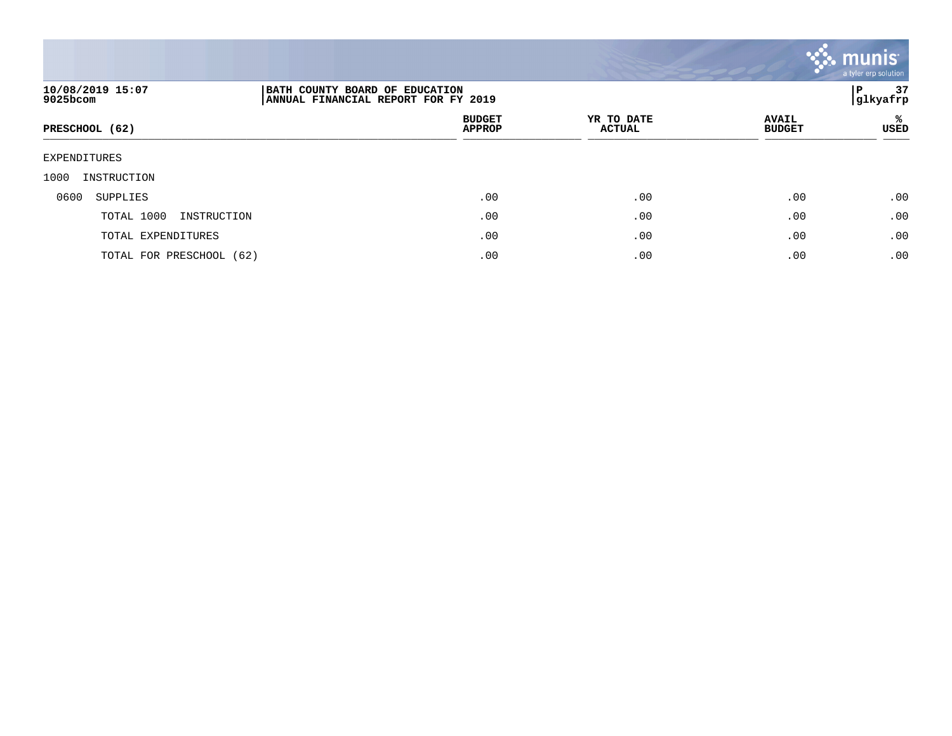![](_page_36_Picture_0.jpeg)

| 10/08/2019 15:07<br>9025bcom | BATH COUNTY BOARD OF EDUCATION<br> ANNUAL FINANCIAL REPORT FOR FY 2019 |                             |                               |            |  |  |
|------------------------------|------------------------------------------------------------------------|-----------------------------|-------------------------------|------------|--|--|
| PRESCHOOL (62)               | <b>BUDGET</b><br><b>APPROP</b>                                         | YR TO DATE<br><b>ACTUAL</b> | <b>AVAIL</b><br><b>BUDGET</b> | %ะ<br>USED |  |  |
| EXPENDITURES                 |                                                                        |                             |                               |            |  |  |
| 1000<br>INSTRUCTION          |                                                                        |                             |                               |            |  |  |
| 0600<br>SUPPLIES             | .00                                                                    | .00                         | .00                           | .00        |  |  |
| TOTAL 1000<br>INSTRUCTION    | .00                                                                    | .00                         | .00                           | .00        |  |  |
| TOTAL EXPENDITURES           | .00                                                                    | .00                         | .00                           | .00        |  |  |
| TOTAL FOR PRESCHOOL (62)     | .00                                                                    | .00                         | .00                           | .00        |  |  |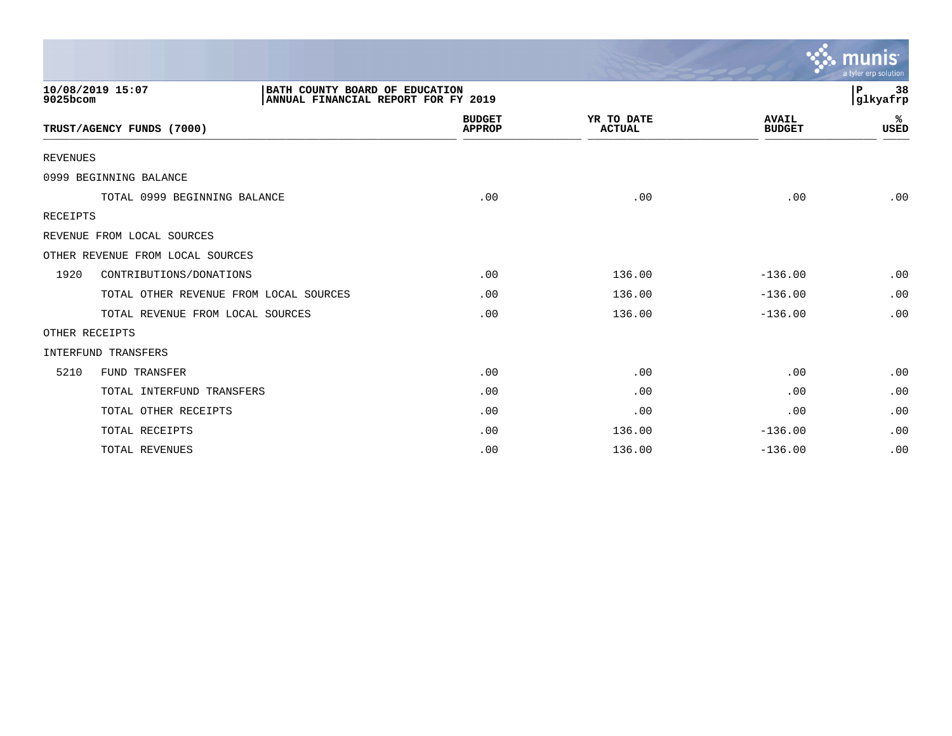|                 |                                                                                           |                                |                             |                               | mun<br>a tyler erp solution |
|-----------------|-------------------------------------------------------------------------------------------|--------------------------------|-----------------------------|-------------------------------|-----------------------------|
| 9025bcom        | 10/08/2019 15:07<br>BATH COUNTY BOARD OF EDUCATION<br>ANNUAL FINANCIAL REPORT FOR FY 2019 |                                |                             |                               | P<br>38<br>glkyafrp         |
|                 | TRUST/AGENCY FUNDS (7000)                                                                 | <b>BUDGET</b><br><b>APPROP</b> | YR TO DATE<br><b>ACTUAL</b> | <b>AVAIL</b><br><b>BUDGET</b> | ℁<br>USED                   |
| <b>REVENUES</b> |                                                                                           |                                |                             |                               |                             |
|                 | 0999 BEGINNING BALANCE                                                                    |                                |                             |                               |                             |
|                 | TOTAL 0999 BEGINNING BALANCE                                                              | .00                            | .00                         | .00                           | .00                         |
| <b>RECEIPTS</b> |                                                                                           |                                |                             |                               |                             |
|                 | REVENUE FROM LOCAL SOURCES                                                                |                                |                             |                               |                             |
|                 | OTHER REVENUE FROM LOCAL SOURCES                                                          |                                |                             |                               |                             |
| 1920            | CONTRIBUTIONS/DONATIONS                                                                   | .00                            | 136.00                      | $-136.00$                     | .00                         |
|                 | TOTAL OTHER REVENUE FROM LOCAL SOURCES                                                    | .00                            | 136.00                      | $-136.00$                     | .00                         |
|                 | TOTAL REVENUE FROM LOCAL SOURCES                                                          | .00                            | 136.00                      | $-136.00$                     | .00                         |
|                 | OTHER RECEIPTS                                                                            |                                |                             |                               |                             |
|                 | <b>INTERFUND TRANSFERS</b>                                                                |                                |                             |                               |                             |
| 5210            | <b>FUND TRANSFER</b>                                                                      | .00                            | .00                         | .00                           | .00                         |
|                 | TOTAL INTERFUND TRANSFERS                                                                 | .00                            | .00                         | .00                           | .00                         |
|                 | TOTAL OTHER RECEIPTS                                                                      | .00                            | .00                         | .00                           | .00                         |
|                 | TOTAL RECEIPTS                                                                            | .00                            | 136.00                      | $-136.00$                     | .00                         |
|                 | TOTAL REVENUES                                                                            | .00                            | 136.00                      | $-136.00$                     | .00                         |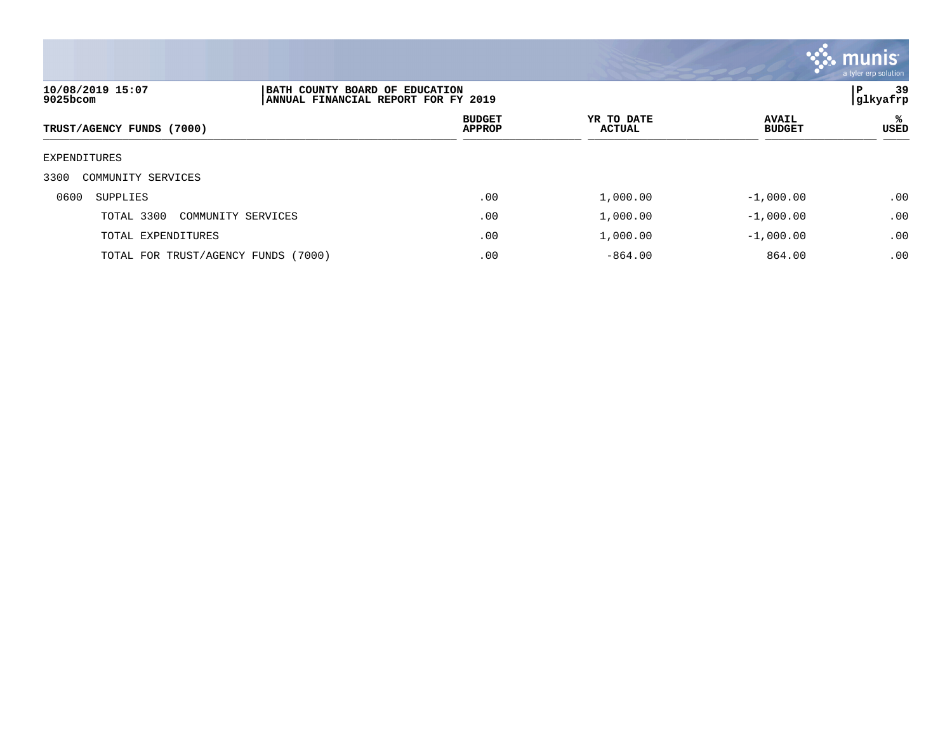![](_page_38_Picture_0.jpeg)

| 10/08/2019 15:07<br>9025bcom        | BATH COUNTY BOARD OF EDUCATION<br>ANNUAL FINANCIAL REPORT FOR FY 2019 |                                |                      |                               | 39<br>P<br>gllkyafrp |
|-------------------------------------|-----------------------------------------------------------------------|--------------------------------|----------------------|-------------------------------|----------------------|
| TRUST/AGENCY FUNDS (7000)           |                                                                       | <b>BUDGET</b><br><b>APPROP</b> | YR TO DATE<br>ACTUAL | <b>AVAIL</b><br><b>BUDGET</b> | ℁<br>USED            |
| EXPENDITURES                        |                                                                       |                                |                      |                               |                      |
| 3300<br>COMMUNITY SERVICES          |                                                                       |                                |                      |                               |                      |
| 0600<br>SUPPLIES                    |                                                                       | .00                            | 1,000.00             | $-1,000.00$                   | .00                  |
| TOTAL 3300<br>COMMUNITY SERVICES    |                                                                       | .00                            | 1,000.00             | $-1,000.00$                   | .00                  |
| TOTAL EXPENDITURES                  |                                                                       | .00                            | 1,000.00             | $-1,000.00$                   | .00                  |
| TOTAL FOR TRUST/AGENCY FUNDS (7000) |                                                                       | .00                            | $-864.00$            | 864.00                        | .00                  |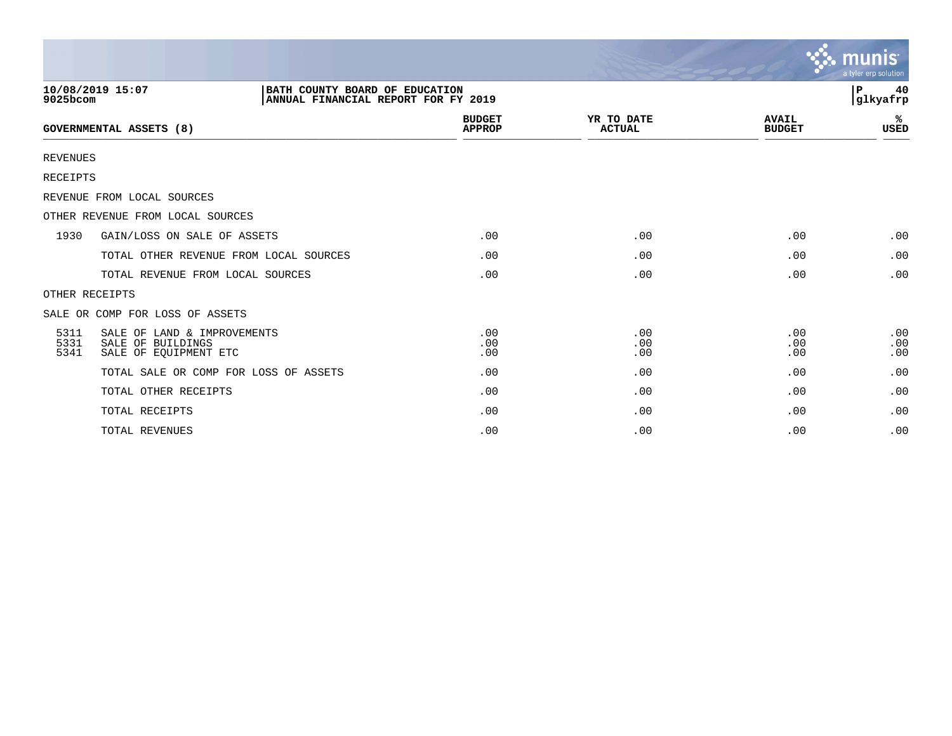|                      |                                                                                           |                                |                             |                               | munis<br>a tyler erp solution |
|----------------------|-------------------------------------------------------------------------------------------|--------------------------------|-----------------------------|-------------------------------|-------------------------------|
| 9025bcom             | 10/08/2019 15:07<br>BATH COUNTY BOARD OF EDUCATION<br>ANNUAL FINANCIAL REPORT FOR FY 2019 |                                |                             |                               | 40<br>P.<br> glkyafrp         |
|                      | <b>GOVERNMENTAL ASSETS (8)</b>                                                            | <b>BUDGET</b><br><b>APPROP</b> | YR TO DATE<br><b>ACTUAL</b> | <b>AVAIL</b><br><b>BUDGET</b> | %<br><b>USED</b>              |
| <b>REVENUES</b>      |                                                                                           |                                |                             |                               |                               |
| <b>RECEIPTS</b>      |                                                                                           |                                |                             |                               |                               |
|                      | REVENUE FROM LOCAL SOURCES                                                                |                                |                             |                               |                               |
|                      | OTHER REVENUE FROM LOCAL SOURCES                                                          |                                |                             |                               |                               |
| 1930                 | GAIN/LOSS ON SALE OF ASSETS                                                               | .00                            | .00                         | .00                           | .00                           |
|                      | TOTAL OTHER REVENUE FROM LOCAL SOURCES                                                    | .00                            | .00                         | .00                           | .00                           |
|                      | TOTAL REVENUE FROM LOCAL SOURCES                                                          | .00                            | .00                         | .00                           | .00                           |
|                      | OTHER RECEIPTS                                                                            |                                |                             |                               |                               |
|                      | SALE OR COMP FOR LOSS OF ASSETS                                                           |                                |                             |                               |                               |
| 5311<br>5331<br>5341 | SALE OF LAND & IMPROVEMENTS<br>SALE OF BUILDINGS<br>SALE OF EQUIPMENT ETC                 | .00<br>.00<br>.00              | .00<br>.00<br>.00           | .00<br>.00<br>.00             | .00<br>.00<br>.00             |
|                      | TOTAL SALE OR COMP FOR LOSS OF ASSETS                                                     | .00                            | .00                         | .00                           | .00                           |
|                      | TOTAL OTHER RECEIPTS                                                                      | .00                            | .00                         | .00                           | .00                           |
|                      | TOTAL RECEIPTS                                                                            | .00                            | .00                         | .00                           | .00                           |
|                      | TOTAL REVENUES                                                                            | .00                            | .00                         | .00                           | .00                           |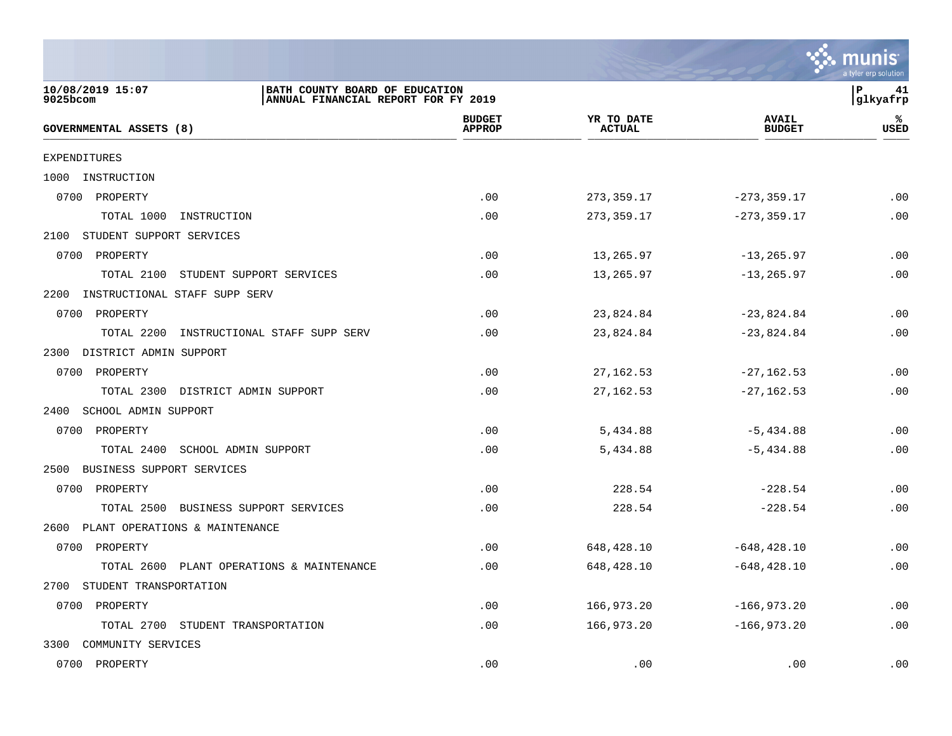![](_page_40_Picture_0.jpeg)

| 10/08/2019 15:07<br>$9025$ bcom       | BATH COUNTY BOARD OF EDUCATION<br>ANNUAL FINANCIAL REPORT FOR FY 2019 |                                |                             |                               | $\mathbf P$<br>41<br>glkyafrp |
|---------------------------------------|-----------------------------------------------------------------------|--------------------------------|-----------------------------|-------------------------------|-------------------------------|
| GOVERNMENTAL ASSETS (8)               |                                                                       | <b>BUDGET</b><br><b>APPROP</b> | YR TO DATE<br><b>ACTUAL</b> | <b>AVAIL</b><br><b>BUDGET</b> | ℁<br><b>USED</b>              |
| <b>EXPENDITURES</b>                   |                                                                       |                                |                             |                               |                               |
| 1000 INSTRUCTION                      |                                                                       |                                |                             |                               |                               |
| 0700 PROPERTY                         |                                                                       | .00                            | 273, 359.17                 | $-273, 359.17$                | .00                           |
| TOTAL 1000<br>INSTRUCTION             |                                                                       | .00                            | 273,359.17                  | $-273, 359.17$                | .00                           |
| 2100 STUDENT SUPPORT SERVICES         |                                                                       |                                |                             |                               |                               |
| 0700 PROPERTY                         |                                                                       | .00                            | 13,265.97                   | $-13, 265.97$                 | .00                           |
| TOTAL 2100                            | STUDENT SUPPORT SERVICES                                              | .00                            | 13,265.97                   | $-13, 265.97$                 | .00                           |
| INSTRUCTIONAL STAFF SUPP SERV<br>2200 |                                                                       |                                |                             |                               |                               |
| 0700 PROPERTY                         |                                                                       | .00                            | 23,824.84                   | $-23,824.84$                  | .00                           |
| TOTAL 2200                            | INSTRUCTIONAL STAFF SUPP SERV                                         | .00                            | 23,824.84                   | $-23,824.84$                  | .00                           |
| 2300 DISTRICT ADMIN SUPPORT           |                                                                       |                                |                             |                               |                               |
| 0700 PROPERTY                         |                                                                       | .00                            | 27, 162.53                  | $-27,162.53$                  | .00                           |
| TOTAL 2300 DISTRICT ADMIN SUPPORT     |                                                                       | .00                            | 27, 162.53                  | $-27, 162.53$                 | .00                           |
| 2400 SCHOOL ADMIN SUPPORT             |                                                                       |                                |                             |                               |                               |
| 0700 PROPERTY                         |                                                                       | .00                            | 5,434.88                    | $-5,434.88$                   | .00                           |
| TOTAL 2400 SCHOOL ADMIN SUPPORT       |                                                                       | .00                            | 5,434.88                    | $-5,434.88$                   | .00                           |
| 2500 BUSINESS SUPPORT SERVICES        |                                                                       |                                |                             |                               |                               |
| 0700 PROPERTY                         |                                                                       | .00                            | 228.54                      | $-228.54$                     | .00                           |
|                                       | TOTAL 2500 BUSINESS SUPPORT SERVICES                                  | .00                            | 228.54                      | $-228.54$                     | .00                           |
| 2600 PLANT OPERATIONS & MAINTENANCE   |                                                                       |                                |                             |                               |                               |
| 0700 PROPERTY                         |                                                                       | .00                            | 648,428.10                  | $-648, 428.10$                | .00                           |
|                                       | TOTAL 2600 PLANT OPERATIONS & MAINTENANCE                             | .00                            | 648,428.10                  | $-648, 428.10$                | .00                           |
| 2700 STUDENT TRANSPORTATION           |                                                                       |                                |                             |                               |                               |
| 0700 PROPERTY                         |                                                                       | .00                            | 166,973.20                  | $-166, 973.20$                | .00                           |
| TOTAL 2700 STUDENT TRANSPORTATION     |                                                                       | .00                            | 166,973.20                  | $-166,973.20$                 | .00                           |
| 3300 COMMUNITY SERVICES               |                                                                       |                                |                             |                               |                               |
| 0700 PROPERTY                         |                                                                       | .00                            | .00                         | .00                           | .00                           |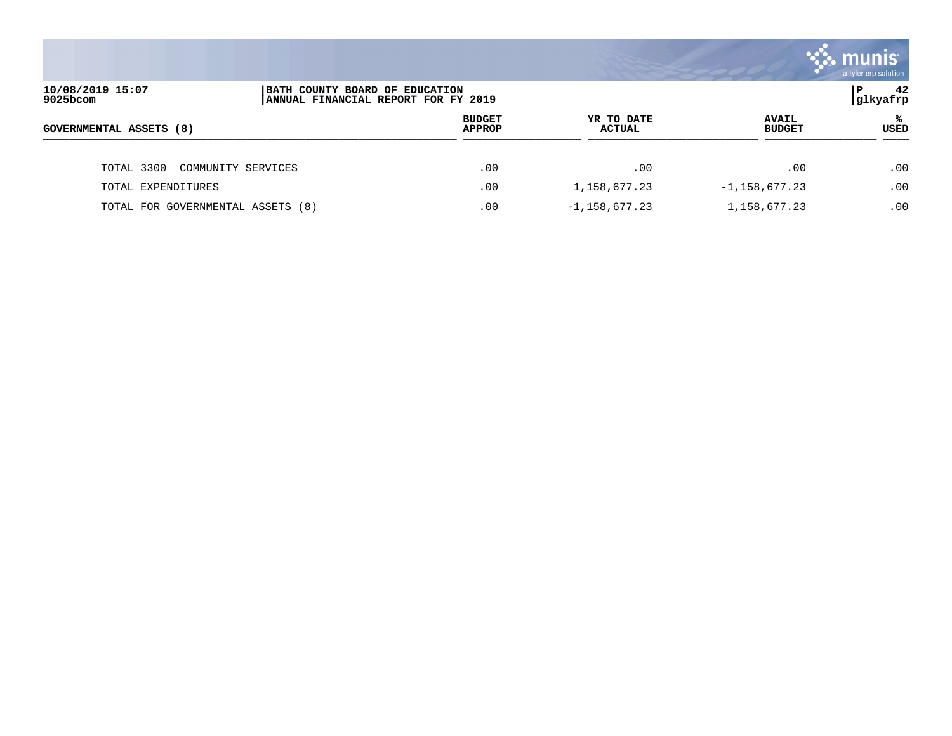|                                   |                                                                       |                                |                             |                               | . munis<br>a tyler erp solution |
|-----------------------------------|-----------------------------------------------------------------------|--------------------------------|-----------------------------|-------------------------------|---------------------------------|
| 10/08/2019 15:07<br>9025bcom      | BATH COUNTY BOARD OF EDUCATION<br>ANNUAL FINANCIAL REPORT FOR FY 2019 |                                |                             |                               | 42<br>P<br> glkyafrp            |
| GOVERNMENTAL ASSETS (8)           |                                                                       | <b>BUDGET</b><br><b>APPROP</b> | YR TO DATE<br><b>ACTUAL</b> | <b>AVAIL</b><br><b>BUDGET</b> | ℁<br>USED                       |
| TOTAL 3300                        | COMMUNITY SERVICES                                                    | .00                            | .00                         | .00                           | .00                             |
| TOTAL EXPENDITURES                |                                                                       | .00                            | 1,158,677.23                | $-1,158,677.23$               | .00                             |
| TOTAL FOR GOVERNMENTAL ASSETS (8) |                                                                       | .00                            | $-1,158,677.23$             | 1, 158, 677. 23               | .00                             |

and the contract of the contract of the contract of the contract of the contract of the contract of the contract of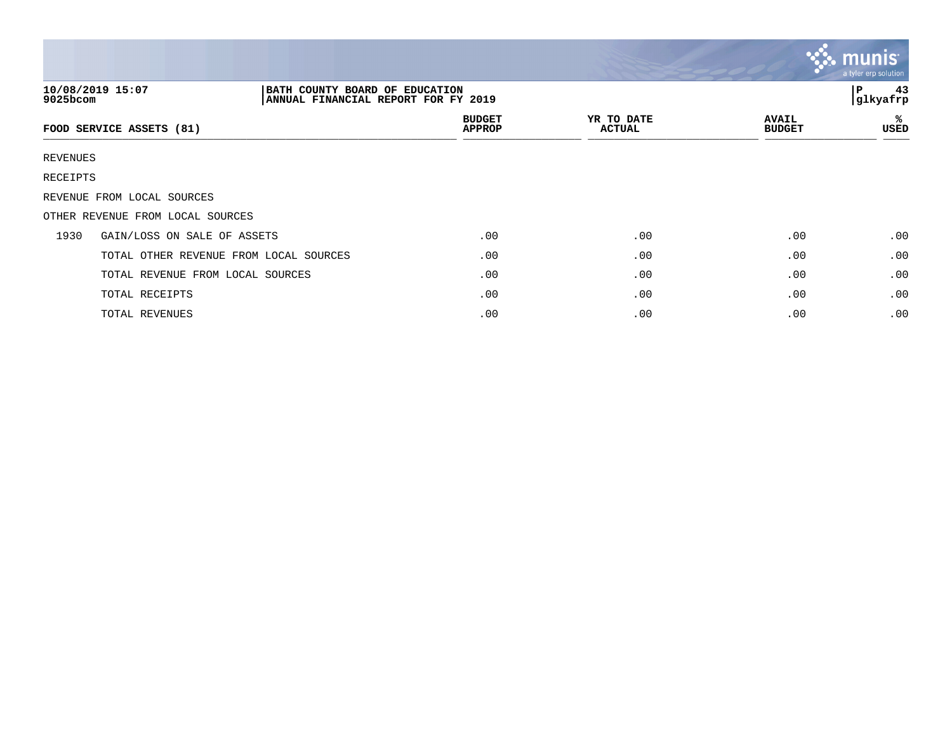|          |                                                                                           |                                |                             |                               | $\mathbb{C}\mathbb{C}$ munis $\mathbb{C}$<br>a tyler erp solution |
|----------|-------------------------------------------------------------------------------------------|--------------------------------|-----------------------------|-------------------------------|-------------------------------------------------------------------|
| 9025bcom | 10/08/2019 15:07<br>BATH COUNTY BOARD OF EDUCATION<br>ANNUAL FINANCIAL REPORT FOR FY 2019 |                                |                             |                               | 43<br>P<br>glkyafrp                                               |
|          | FOOD SERVICE ASSETS (81)                                                                  | <b>BUDGET</b><br><b>APPROP</b> | YR TO DATE<br><b>ACTUAL</b> | <b>AVAIL</b><br><b>BUDGET</b> | ℁<br>USED                                                         |
| REVENUES |                                                                                           |                                |                             |                               |                                                                   |
| RECEIPTS |                                                                                           |                                |                             |                               |                                                                   |
|          | REVENUE FROM LOCAL SOURCES                                                                |                                |                             |                               |                                                                   |
|          | OTHER REVENUE FROM LOCAL SOURCES                                                          |                                |                             |                               |                                                                   |
| 1930     | GAIN/LOSS ON SALE OF ASSETS                                                               | .00                            | .00                         | .00                           | .00                                                               |
|          | TOTAL OTHER REVENUE FROM LOCAL SOURCES                                                    | $.00 \,$                       | .00                         | .00                           | .00                                                               |
|          | TOTAL REVENUE FROM LOCAL SOURCES                                                          | .00                            | .00                         | .00                           | .00                                                               |
|          | TOTAL RECEIPTS                                                                            | .00                            | .00                         | .00                           | .00                                                               |
|          | TOTAL REVENUES                                                                            | .00                            | .00                         | .00                           | .00                                                               |

and the contract of the contract of the contract of the contract of the contract of the contract of the contract of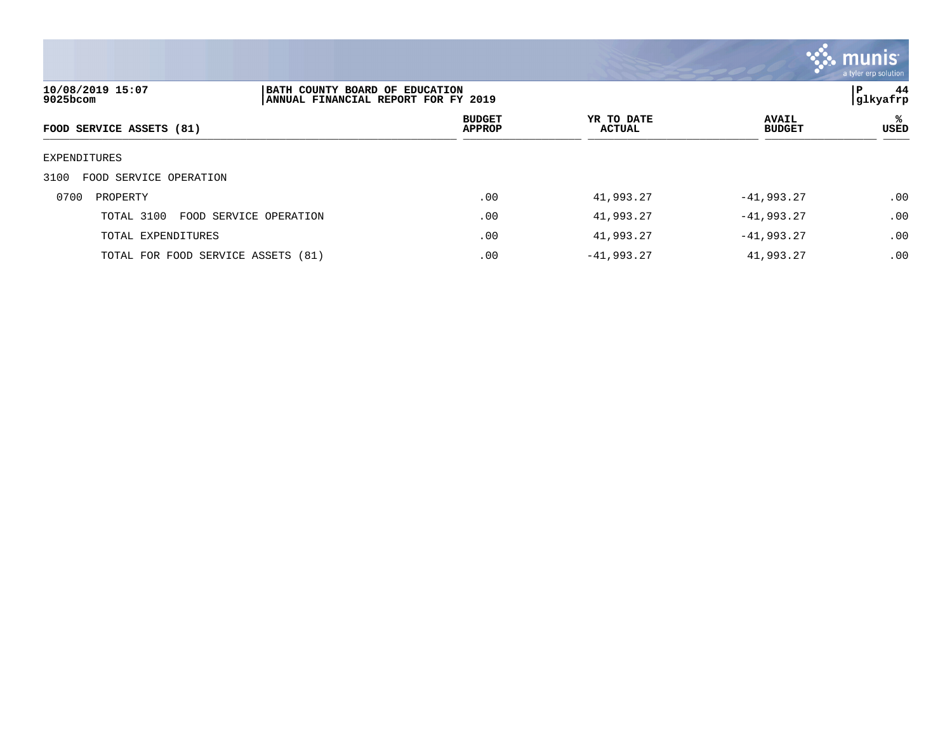![](_page_43_Picture_0.jpeg)

| 10/08/2019 15:07<br>9025bcom         | BATH COUNTY BOARD OF EDUCATION<br>ANNUAL FINANCIAL REPORT FOR FY 2019 |                                |                             |                               | 44<br>P<br> glkyafrp |
|--------------------------------------|-----------------------------------------------------------------------|--------------------------------|-----------------------------|-------------------------------|----------------------|
| FOOD SERVICE ASSETS (81)             |                                                                       | <b>BUDGET</b><br><b>APPROP</b> | YR TO DATE<br><b>ACTUAL</b> | <b>AVAIL</b><br><b>BUDGET</b> | ℁<br><b>USED</b>     |
| EXPENDITURES                         |                                                                       |                                |                             |                               |                      |
| 3100<br>FOOD SERVICE OPERATION       |                                                                       |                                |                             |                               |                      |
| 0700<br>PROPERTY                     |                                                                       | .00                            | 41,993.27                   | $-41,993.27$                  | .00                  |
| TOTAL 3100<br>FOOD SERVICE OPERATION |                                                                       | .00                            | 41,993.27                   | $-41,993.27$                  | .00                  |
| TOTAL EXPENDITURES                   |                                                                       | .00                            | 41,993.27                   | $-41,993.27$                  | .00                  |
| TOTAL FOR FOOD SERVICE ASSETS (81)   |                                                                       | .00                            | $-41,993.27$                | 41,993.27                     | .00                  |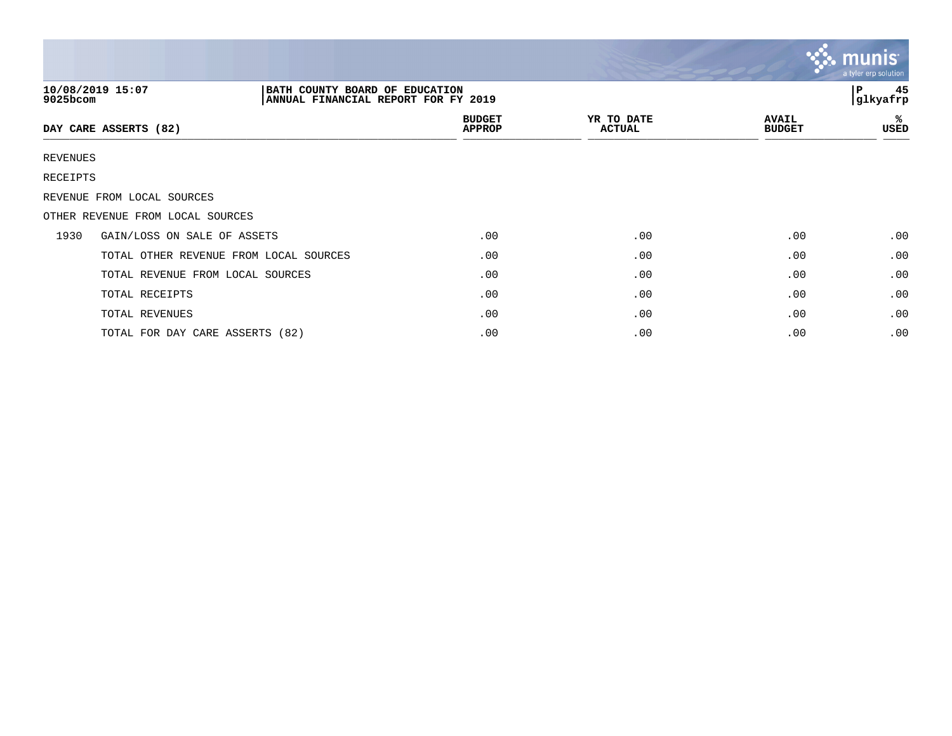|          |                                                                                           |                                |                             |                               | $\mathbb{C}$ . munist<br>a tyler erp solution |
|----------|-------------------------------------------------------------------------------------------|--------------------------------|-----------------------------|-------------------------------|-----------------------------------------------|
| 9025bcom | 10/08/2019 15:07<br>BATH COUNTY BOARD OF EDUCATION<br>ANNUAL FINANCIAL REPORT FOR FY 2019 |                                |                             |                               | 45<br>l P<br> glkyafrp                        |
|          | DAY CARE ASSERTS (82)                                                                     | <b>BUDGET</b><br><b>APPROP</b> | YR TO DATE<br><b>ACTUAL</b> | <b>AVAIL</b><br><b>BUDGET</b> | %<br>USED                                     |
| REVENUES |                                                                                           |                                |                             |                               |                                               |
| RECEIPTS |                                                                                           |                                |                             |                               |                                               |
|          | REVENUE FROM LOCAL SOURCES                                                                |                                |                             |                               |                                               |
|          | OTHER REVENUE FROM LOCAL SOURCES                                                          |                                |                             |                               |                                               |
| 1930     | GAIN/LOSS ON SALE OF ASSETS                                                               | .00                            | .00                         | .00                           | .00                                           |
|          | TOTAL OTHER REVENUE FROM LOCAL SOURCES                                                    | .00                            | .00                         | .00                           | .00                                           |
|          | TOTAL REVENUE FROM LOCAL SOURCES                                                          | .00                            | .00                         | .00                           | .00                                           |
|          | TOTAL RECEIPTS                                                                            | .00                            | .00                         | .00                           | .00                                           |
|          | TOTAL REVENUES                                                                            | .00                            | .00                         | .00                           | .00                                           |
|          | TOTAL FOR DAY CARE ASSERTS (82)                                                           | .00                            | .00                         | .00                           | .00                                           |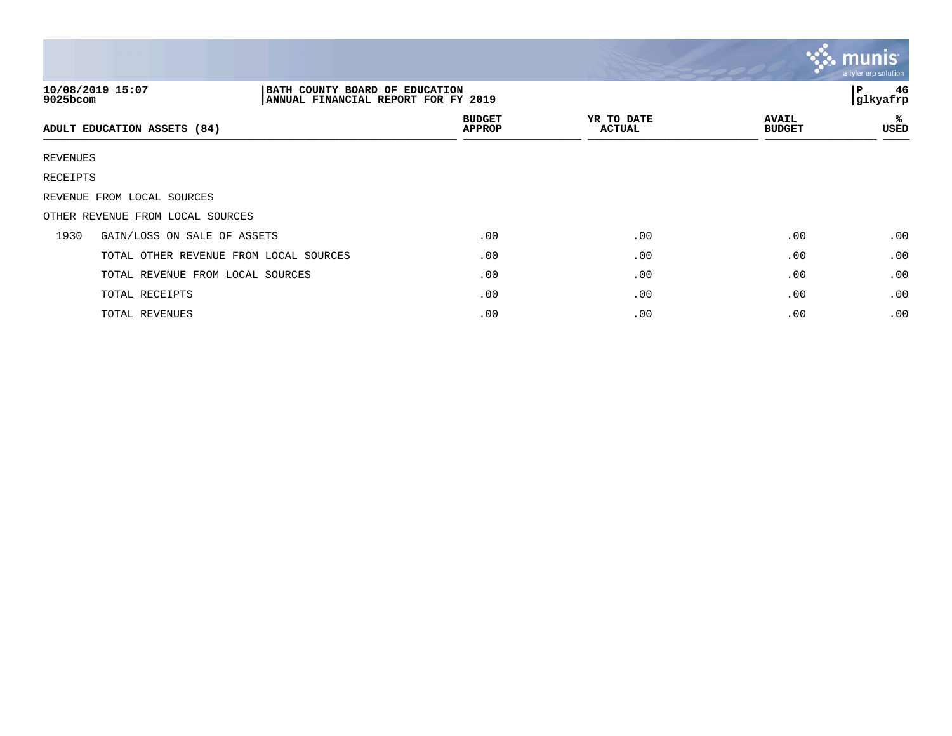|             |                                                                                           |                                |                             |                               | <b>W. Munis</b><br>a tyler erp solution |
|-------------|-------------------------------------------------------------------------------------------|--------------------------------|-----------------------------|-------------------------------|-----------------------------------------|
| $9025$ bcom | 10/08/2019 15:07<br>BATH COUNTY BOARD OF EDUCATION<br>ANNUAL FINANCIAL REPORT FOR FY 2019 |                                |                             |                               | 46<br>P<br>glkyafrp                     |
|             | ADULT EDUCATION ASSETS (84)                                                               | <b>BUDGET</b><br><b>APPROP</b> | YR TO DATE<br><b>ACTUAL</b> | <b>AVAIL</b><br><b>BUDGET</b> | ℁<br>USED                               |
| REVENUES    |                                                                                           |                                |                             |                               |                                         |
| RECEIPTS    |                                                                                           |                                |                             |                               |                                         |
|             | REVENUE FROM LOCAL SOURCES                                                                |                                |                             |                               |                                         |
|             | OTHER REVENUE FROM LOCAL SOURCES                                                          |                                |                             |                               |                                         |
| 1930        | GAIN/LOSS ON SALE OF ASSETS                                                               | .00                            | .00                         | .00                           | .00                                     |
|             | TOTAL OTHER REVENUE FROM LOCAL SOURCES                                                    | .00                            | .00                         | .00                           | .00                                     |
|             | TOTAL REVENUE FROM LOCAL SOURCES                                                          | .00                            | .00                         | .00                           | .00                                     |
|             | TOTAL RECEIPTS                                                                            | .00                            | .00                         | .00                           | .00                                     |
|             | TOTAL REVENUES                                                                            | .00                            | .00                         | .00                           | .00                                     |

 $\sim$   $\sim$   $\sim$   $\sim$   $\sim$   $\sim$   $\sim$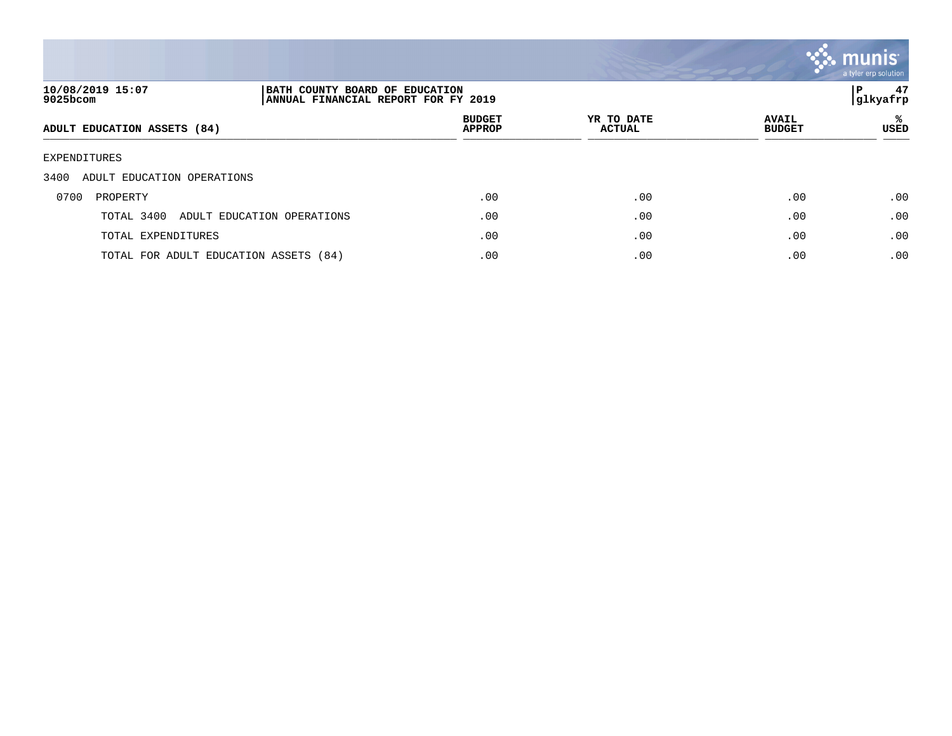![](_page_46_Picture_0.jpeg)

| 10/08/2019 15:07<br>9025bcom          | BATH COUNTY BOARD OF EDUCATION<br>ANNUAL FINANCIAL REPORT FOR FY 2019 |                                |                             |                               | 47<br>P<br> glkyafrp |
|---------------------------------------|-----------------------------------------------------------------------|--------------------------------|-----------------------------|-------------------------------|----------------------|
| ADULT EDUCATION ASSETS (84)           |                                                                       | <b>BUDGET</b><br><b>APPROP</b> | YR TO DATE<br><b>ACTUAL</b> | <b>AVAIL</b><br><b>BUDGET</b> | ℁<br>USED            |
| EXPENDITURES                          |                                                                       |                                |                             |                               |                      |
| 3400<br>ADULT EDUCATION OPERATIONS    |                                                                       |                                |                             |                               |                      |
| 0700<br>PROPERTY                      |                                                                       | .00                            | .00                         | .00                           | .00                  |
| TOTAL 3400                            | ADULT EDUCATION OPERATIONS                                            | .00                            | .00                         | .00                           | .00                  |
| TOTAL EXPENDITURES                    |                                                                       | .00                            | .00                         | .00                           | .00                  |
| TOTAL FOR ADULT EDUCATION ASSETS (84) |                                                                       | .00                            | .00                         | .00                           | .00                  |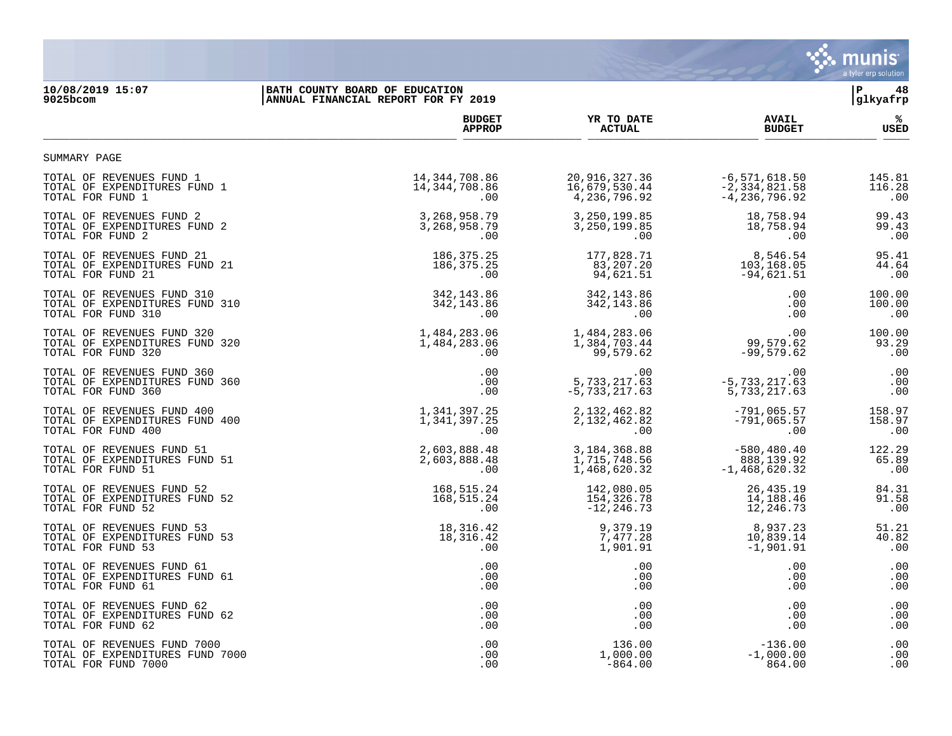![](_page_47_Picture_0.jpeg)

## **10/08/2019 15:07 |BATH COUNTY BOARD OF EDUCATION |P 48 9025bcom |ANNUAL FINANCIAL REPORT FOR FY 2019 |glkyafrp**

|                                                                                    | <b>BUDGET</b>                       | YR TO DATE                                | <b>AVAIL</b>                            | %                      |
|------------------------------------------------------------------------------------|-------------------------------------|-------------------------------------------|-----------------------------------------|------------------------|
|                                                                                    | <b>APPROP</b>                       | <b>ACTUAL</b>                             | <b>BUDGET</b>                           | USED                   |
| SUMMARY PAGE                                                                       |                                     |                                           |                                         |                        |
| TOTAL OF REVENUES FUND 1                                                           | 14,344,708.86                       | 20,916,327.36                             | $-6,571,618.50$                         | 145.81                 |
| TOTAL OF EXPENDITURES FUND 1                                                       | 14,344,708.86                       | 16,679,530.44                             | $-2, 334, 821.58$                       | 116.28                 |
| TOTAL FOR FUND 1                                                                   | .00                                 | 4,236,796.92                              | $-4,236,796.92$                         | .00                    |
| TOTAL OF REVENUES FUND 2                                                           | 3, 268, 958. 79                     | 3,250,199.85                              | 18,758.94                               | 99.43                  |
| TOTAL OF EXPENDITURES FUND 2                                                       | 3, 268, 958. 79                     | 3, 250, 199.85                            | 18,758.94                               | 99.43                  |
| TOTAL FOR FUND 2                                                                   | .00                                 | .00                                       | .00                                     | .00                    |
| TOTAL OF REVENUES FUND 21                                                          | 186, 375. 25                        | 177,828.71                                | 8,546.54                                | 95.41                  |
| TOTAL OF EXPENDITURES FUND 21                                                      | 186, 375. 25                        | 83,207.20                                 | 103,168.05                              | 44.64                  |
| TOTAL FOR FUND 21                                                                  | .00                                 | 94,621.51                                 | $-94,621.51$                            | .00                    |
| TOTAL OF REVENUES FUND 310                                                         | 342, 143.86                         | 342, 143.86                               | .00                                     | 100.00                 |
| TOTAL OF EXPENDITURES FUND 310                                                     | 342, 143.86                         | 342, 143.86                               | .00                                     | 100.00                 |
| TOTAL FOR FUND 310                                                                 | .00                                 | .00                                       | .00                                     | .00                    |
| TOTAL OF REVENUES FUND 320<br>TOTAL OF EXPENDITURES FUND 320<br>TOTAL FOR FUND 320 | 1,484,283.06<br>1,484,283.06<br>.00 | 1,484,283.06<br>1,384,703.44<br>99,579.62 | 99, 579. 62<br>53. فتحت<br>$-99,579.62$ | 100.00<br>93.29<br>.00 |
| TOTAL OF REVENUES FUND 360                                                         | .00                                 | .00                                       | .00                                     | .00                    |
| TOTAL OF EXPENDITURES FUND 360                                                     | .00                                 | 5,733,217.63                              | $-5, 733, 217.63$                       | .00                    |
| TOTAL FOR FUND 360                                                                 | .00                                 | $-5,733,217.63$                           | 5,733,217.63                            | .00                    |
| TOTAL OF REVENUES FUND 400                                                         | 1,341,397.25                        | 2, 132, 462.82                            | $-791,065.57$                           | 158.97                 |
| TOTAL OF EXPENDITURES FUND 400                                                     | 1,341,397.25                        | 2,132,462.82                              | $-791,065.57$                           | 158.97                 |
| TOTAL FOR FUND 400                                                                 | .00                                 | $.00 \,$                                  | .00                                     | .00                    |
| TOTAL OF REVENUES FUND 51                                                          | 2,603,888.48                        | 3, 184, 368.88                            | $-580, 480.40$                          | 122.29                 |
| TOTAL OF EXPENDITURES FUND 51                                                      | 2,603,888.48                        | 1,715,748.56                              | 888,139.92                              | 65.89                  |
| TOTAL FOR FUND 51                                                                  | .00                                 | 1,468,620.32                              | $-1,468,620.32$                         | .00                    |
| TOTAL OF REVENUES FUND 52                                                          | 168,515.24                          | 142,080.05                                | 26, 435. 19                             | 84.31                  |
| TOTAL OF EXPENDITURES FUND 52                                                      | 168,515.24                          | 154,326.78                                | 14,188.46                               | 91.58                  |
| TOTAL FOR FUND 52                                                                  | .00                                 | $-12, 246.73$                             | 12,246.73                               | .00                    |
| TOTAL OF REVENUES FUND 53                                                          | 18,316.42                           | 9,379.19                                  | 8,937.23                                | 51.21                  |
| TOTAL OF EXPENDITURES FUND 53                                                      | 18,316.42                           | 7,477.28                                  | 10,839.14                               | 40.82                  |
| TOTAL FOR FUND 53                                                                  | .00                                 | 1,901.91                                  | $-1,901.91$                             | .00                    |
| TOTAL OF REVENUES FUND 61                                                          | .00                                 | .00                                       | .00                                     | .00                    |
| TOTAL OF EXPENDITURES FUND 61                                                      | .00                                 | .00                                       | .00                                     | .00                    |
| TOTAL FOR FUND 61                                                                  | .00                                 | $.00 \,$                                  | .00                                     | .00                    |
| TOTAL OF REVENUES FUND 62                                                          | .00                                 | $.00 \,$                                  | .00                                     | .00                    |
| TOTAL OF EXPENDITURES FUND 62                                                      | .00                                 | $.00 \,$                                  | .00                                     | .00                    |
| TOTAL FOR FUND 62                                                                  | .00                                 | $.00 \,$                                  | .00                                     | .00                    |
| TOTAL OF REVENUES FUND 7000                                                        | .00                                 | 136.00                                    | $-136.00$                               | .00                    |
| TOTAL OF EXPENDITURES FUND 7000                                                    | .00                                 | 1,000.00                                  | $-1,000.00$                             | .00                    |
| TOTAL FOR FUND 7000                                                                | .00                                 | $-864.00$                                 | 864.00                                  | .00                    |